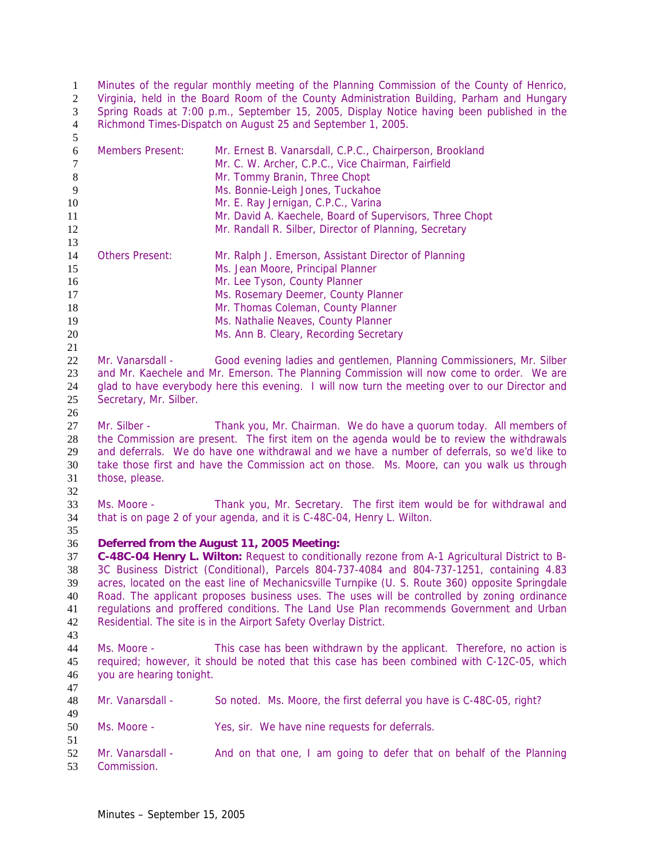Minutes of the regular monthly meeting of the Planning Commission of the County of Henrico, Virginia, held in the Board Room of the County Administration Building, Parham and Hungary Spring Roads at 7:00 p.m., September 15, 2005, Display Notice having been published in the Richmond Times-Dispatch on August 25 and September 1, 2005.

| 6  | <b>Members Present:</b>                                                                        | Mr. Ernest B. Vanarsdall, C.P.C., Chairperson, Brookland              |  |
|----|------------------------------------------------------------------------------------------------|-----------------------------------------------------------------------|--|
| 7  |                                                                                                | Mr. C. W. Archer, C.P.C., Vice Chairman, Fairfield                    |  |
| 8  |                                                                                                | Mr. Tommy Branin, Three Chopt                                         |  |
| 9  |                                                                                                | Ms. Bonnie-Leigh Jones, Tuckahoe                                      |  |
| 10 |                                                                                                | Mr. E. Ray Jernigan, C.P.C., Varina                                   |  |
| 11 |                                                                                                | Mr. David A. Kaechele, Board of Supervisors, Three Chopt              |  |
| 12 |                                                                                                | Mr. Randall R. Silber, Director of Planning, Secretary                |  |
| 13 |                                                                                                |                                                                       |  |
| 14 | <b>Others Present:</b>                                                                         | Mr. Ralph J. Emerson, Assistant Director of Planning                  |  |
| 15 |                                                                                                | Ms. Jean Moore, Principal Planner                                     |  |
| 16 |                                                                                                | Mr. Lee Tyson, County Planner                                         |  |
| 17 |                                                                                                | Ms. Rosemary Deemer, County Planner                                   |  |
| 18 |                                                                                                | Mr. Thomas Coleman, County Planner                                    |  |
| 19 |                                                                                                | Ms. Nathalie Neaves, County Planner                                   |  |
| 20 |                                                                                                | Ms. Ann B. Cleary, Recording Secretary                                |  |
| 21 |                                                                                                |                                                                       |  |
| 22 | Mr. Vanarsdall -                                                                               | Good evening ladies and gentlemen, Planning Commissioners, Mr. Silber |  |
| 23 | and Mr. Kaechele and Mr. Emerson. The Planning Commission will now come to order. We are       |                                                                       |  |
| 24 | glad to have everybody here this evening. I will now turn the meeting over to our Director and |                                                                       |  |
| 25 | Secretary, Mr. Silber.                                                                         |                                                                       |  |
|    |                                                                                                |                                                                       |  |
| 26 |                                                                                                |                                                                       |  |
| 27 | Mr. Silber -                                                                                   | Thank you, Mr. Chairman. We do have a quorum today. All members of    |  |

Mr. Silber - Thank you, Mr. Chairman. We do have a quorum today. All members of the Commission are present. The first item on the agenda would be to review the withdrawals and deferrals. We do have one withdrawal and we have a number of deferrals, so we'd like to take those first and have the Commission act on those. Ms. Moore, can you walk us through those, please.

 Ms. Moore - Thank you, Mr. Secretary. The first item would be for withdrawal and that is on page 2 of your agenda, and it is C-48C-04, Henry L. Wilton. 

## **Deferred from the August 11, 2005 Meeting:**

**C-48C-04 Henry L. Wilton:** Request to conditionally rezone from A-1 Agricultural District to B-3C Business District (Conditional), Parcels 804-737-4084 and 804-737-1251, containing 4.83 acres, located on the east line of Mechanicsville Turnpike (U. S. Route 360) opposite Springdale Road. The applicant proposes business uses. The uses will be controlled by zoning ordinance regulations and proffered conditions. The Land Use Plan recommends Government and Urban Residential. The site is in the Airport Safety Overlay District. 

Ms. Moore - This case has been withdrawn by the applicant. Therefore, no action is required; however, it should be noted that this case has been combined with C-12C-05, which you are hearing tonight. 

Mr. Vanarsdall - So noted. Ms. Moore, the first deferral you have is C-48C-05, right?

Ms. Moore - Yes, sir. We have nine requests for deferrals.

52 Mr. Vanarsdall - And on that one, I am going to defer that on behalf of the Planning Commission.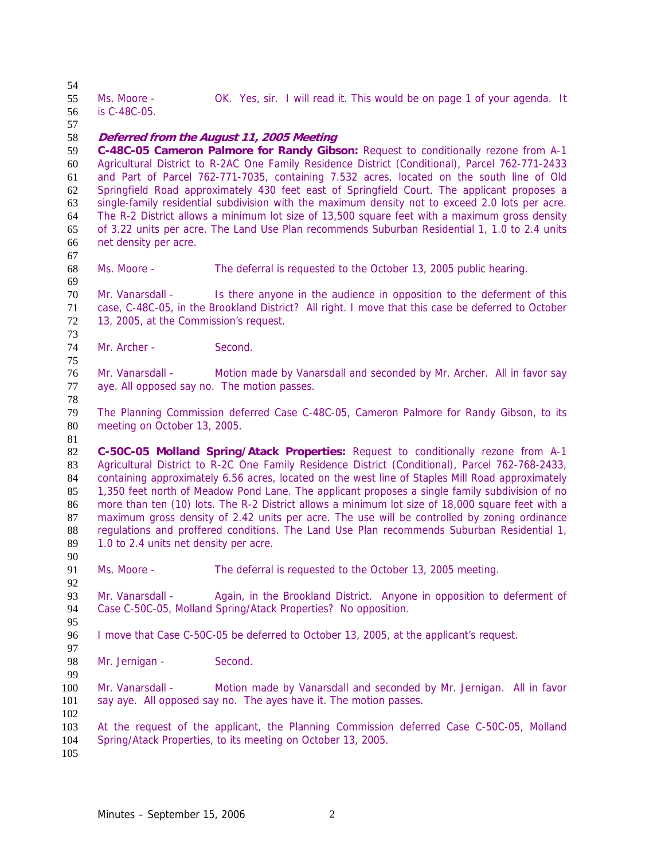Ms. Moore - OK. Yes, sir. I will read it. This would be on page 1 of your agenda. It is C-48C-05. **Deferred from the August 11, 2005 Meeting C-48C-05 Cameron Palmore for Randy Gibson:** Request to conditionally rezone from A-1 Agricultural District to R-2AC One Family Residence District (Conditional), Parcel 762-771-2433 and Part of Parcel 762-771-7035, containing 7.532 acres, located on the south line of Old Springfield Road approximately 430 feet east of Springfield Court. The applicant proposes a single-family residential subdivision with the maximum density not to exceed 2.0 lots per acre. The R-2 District allows a minimum lot size of 13,500 square feet with a maximum gross density of 3.22 units per acre. The Land Use Plan recommends Suburban Residential 1, 1.0 to 2.4 units net density per acre.  $\frac{67}{68}$ Ms. Moore - The deferral is requested to the October 13, 2005 public hearing. Mr. Vanarsdall - Is there anyone in the audience in opposition to the deferment of this case, C-48C-05, in the Brookland District? All right. I move that this case be deferred to October 13, 2005, at the Commission's request. Mr. Archer - Second. Mr. Vanarsdall - Motion made by Vanarsdall and seconded by Mr. Archer. All in favor say aye. All opposed say no. The motion passes. The Planning Commission deferred Case C-48C-05, Cameron Palmore for Randy Gibson, to its meeting on October 13, 2005. **C-50C-05 Molland Spring/Atack Properties:** Request to conditionally rezone from A-1 83 Agricultural District to R-2C One Family Residence District (Conditional), Parcel 762-768-2433, 84 containing approximately 6.56 acres, located on the west line of Staples Mill Road approximately 1,350 feet north of Meadow Pond Lane. The applicant proposes a single family subdivision of no 86 more than ten (10) lots. The R-2 District allows a minimum lot size of 18,000 square feet with a maximum gross density of 2.42 units per acre. The use will be controlled by zoning ordinance regulations and proffered conditions. The Land Use Plan recommends Suburban Residential 1, 89 1.0 to 2.4 units net density per acre. Ms. Moore - The deferral is requested to the October 13, 2005 meeting. Mr. Vanarsdall - Again, in the Brookland District. Anyone in opposition to deferment of Case C-50C-05, Molland Spring/Atack Properties? No opposition. I move that Case C-50C-05 be deferred to October 13, 2005, at the applicant's request. 98 Mr. Jernigan - Second. Mr. Vanarsdall - Motion made by Vanarsdall and seconded by Mr. Jernigan. All in favor say aye. All opposed say no. The ayes have it. The motion passes. At the request of the applicant, the Planning Commission deferred Case C-50C-05, Molland Spring/Atack Properties, to its meeting on October 13, 2005.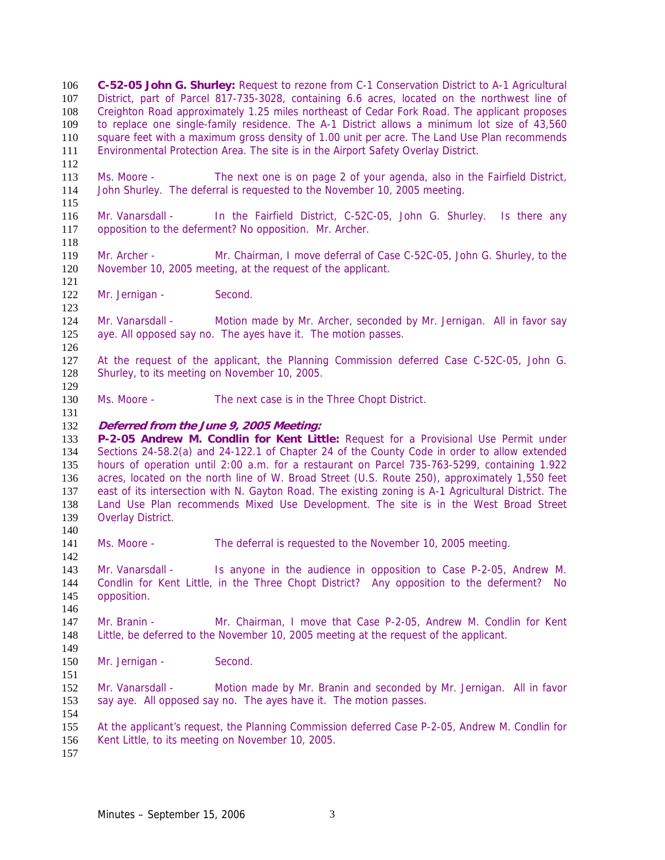**C-52-05 John G. Shurley:** Request to rezone from C-1 Conservation District to A-1 Agricultural District, part of Parcel 817-735-3028, containing 6.6 acres, located on the northwest line of Creighton Road approximately 1.25 miles northeast of Cedar Fork Road. The applicant proposes to replace one single-family residence. The A-1 District allows a minimum lot size of 43,560 square feet with a maximum gross density of 1.00 unit per acre. The Land Use Plan recommends Environmental Protection Area. The site is in the Airport Safety Overlay District.

Ms. Moore - The next one is on page 2 of your agenda, also in the Fairfield District, John Shurley. The deferral is requested to the November 10, 2005 meeting.

Mr. Vanarsdall - In the Fairfield District, C-52C-05, John G. Shurley. Is there any opposition to the deferment? No opposition. Mr. Archer.

Mr. Archer - Mr. Chairman, I move deferral of Case C-52C-05, John G. Shurley, to the November 10, 2005 meeting, at the request of the applicant.

122 Mr. Jernigan - Second.

Mr. Vanarsdall - Motion made by Mr. Archer, seconded by Mr. Jernigan. All in favor say aye. All opposed say no. The ayes have it. The motion passes.

At the request of the applicant, the Planning Commission deferred Case C-52C-05, John G. Shurley, to its meeting on November 10, 2005.

Ms. Moore - The next case is in the Three Chopt District.

#### **Deferred from the June 9, 2005 Meeting:**

**P-2-05 Andrew M. Condlin for Kent Little:** Request for a Provisional Use Permit under Sections 24-58.2(a) and 24-122.1 of Chapter 24 of the County Code in order to allow extended hours of operation until 2:00 a.m. for a restaurant on Parcel 735-763-5299, containing 1.922 acres, located on the north line of W. Broad Street (U.S. Route 250), approximately 1,550 feet east of its intersection with N. Gayton Road. The existing zoning is A-1 Agricultural District. The Land Use Plan recommends Mixed Use Development. The site is in the West Broad Street Overlay District. 

141 Ms. Moore - The deferral is requested to the November 10, 2005 meeting.

Mr. Vanarsdall - Is anyone in the audience in opposition to Case P-2-05, Andrew M. Condlin for Kent Little, in the Three Chopt District? Any opposition to the deferment? No opposition.

Mr. Branin - Mr. Chairman, I move that Case P-2-05, Andrew M. Condlin for Kent Little, be deferred to the November 10, 2005 meeting at the request of the applicant.

150 Mr. Jernigan - Second.

Mr. Vanarsdall - Motion made by Mr. Branin and seconded by Mr. Jernigan. All in favor say aye. All opposed say no. The ayes have it. The motion passes.

At the applicant's request, the Planning Commission deferred Case P-2-05, Andrew M. Condlin for Kent Little, to its meeting on November 10, 2005.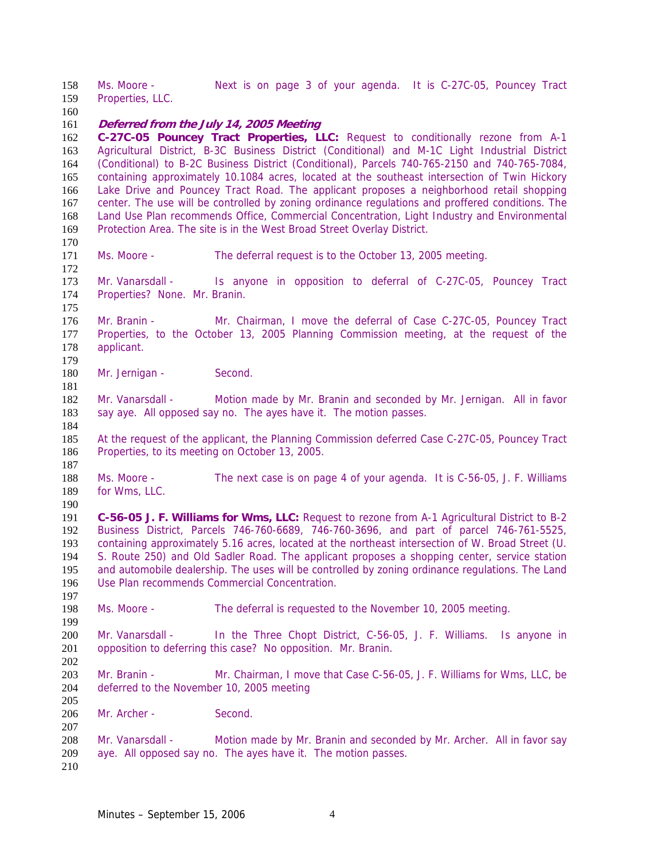Ms. Moore - Next is on page 3 of your agenda. It is C-27C-05, Pouncey Tract Properties, LLC.

#### **Deferred from the July 14, 2005 Meeting**

**C-27C-05 Pouncey Tract Properties, LLC:** Request to conditionally rezone from A-1 Agricultural District, B-3C Business District (Conditional) and M-1C Light Industrial District (Conditional) to B-2C Business District (Conditional), Parcels 740-765-2150 and 740-765-7084, containing approximately 10.1084 acres, located at the southeast intersection of Twin Hickory Lake Drive and Pouncey Tract Road. The applicant proposes a neighborhood retail shopping center. The use will be controlled by zoning ordinance regulations and proffered conditions. The Land Use Plan recommends Office, Commercial Concentration, Light Industry and Environmental Protection Area. The site is in the West Broad Street Overlay District.

Ms. Moore - The deferral request is to the October 13, 2005 meeting. 

Mr. Vanarsdall - Is anyone in opposition to deferral of C-27C-05, Pouncey Tract Properties? None. Mr. Branin.

Mr. Branin - Mr. Chairman, I move the deferral of Case C-27C-05, Pouncey Tract Properties, to the October 13, 2005 Planning Commission meeting, at the request of the applicant. 

180 Mr. Jernigan - Second.

182 Mr. Vanarsdall - Motion made by Mr. Branin and seconded by Mr. Jernigan. All in favor 183 say aye. All opposed say no. The ayes have it. The motion passes.

At the request of the applicant, the Planning Commission deferred Case C-27C-05, Pouncey Tract Properties, to its meeting on October 13, 2005.

Ms. Moore - The next case is on page 4 of your agenda. It is C-56-05, J. F. Williams for Wms, LLC.

**C-56-05 J. F. Williams for Wms, LLC:** Request to rezone from A-1 Agricultural District to B-2 Business District, Parcels 746-760-6689, 746-760-3696, and part of parcel 746-761-5525, containing approximately 5.16 acres, located at the northeast intersection of W. Broad Street (U. S. Route 250) and Old Sadler Road. The applicant proposes a shopping center, service station and automobile dealership. The uses will be controlled by zoning ordinance regulations. The Land Use Plan recommends Commercial Concentration.

Ms. Moore - The deferral is requested to the November 10, 2005 meeting.

Mr. Vanarsdall - In the Three Chopt District, C-56-05, J. F. Williams. Is anyone in opposition to deferring this case? No opposition. Mr. Branin.

203 Mr. Branin - Mr. Chairman, I move that Case C-56-05, J. F. Williams for Wms, LLC, be deferred to the November 10, 2005 meeting

206 Mr. Archer - Second.

Mr. Vanarsdall - Motion made by Mr. Branin and seconded by Mr. Archer. All in favor say aye. All opposed say no. The ayes have it. The motion passes.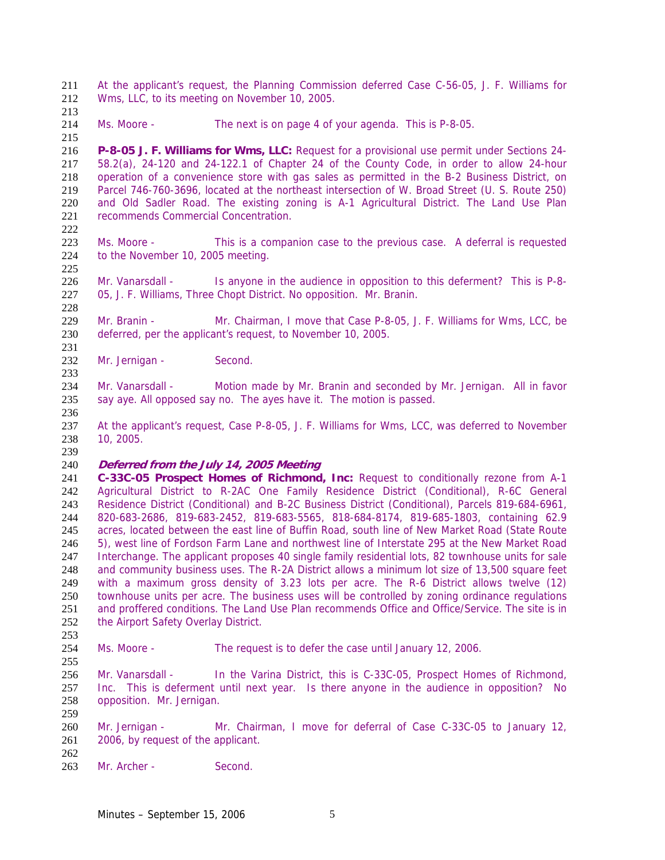At the applicant's request, the Planning Commission deferred Case C-56-05, J. F. Williams for Wms, LLC, to its meeting on November 10, 2005.

214 Ms. Moore - The next is on page 4 of your agenda. This is P-8-05.

**P-8-05 J. F. Williams for Wms, LLC:** Request for a provisional use permit under Sections 24- 58.2(a), 24-120 and 24-122.1 of Chapter 24 of the County Code, in order to allow 24-hour operation of a convenience store with gas sales as permitted in the B-2 Business District, on Parcel 746-760-3696, located at the northeast intersection of W. Broad Street (U. S. Route 250) and Old Sadler Road. The existing zoning is A-1 Agricultural District. The Land Use Plan recommends Commercial Concentration.

Ms. Moore - This is a companion case to the previous case. A deferral is requested to the November 10, 2005 meeting.

226 Mr. Vanarsdall - Is anyone in the audience in opposition to this deferment? This is P-8-05, J. F. Williams, Three Chopt District. No opposition. Mr. Branin.

229 Mr. Branin - Mr. Chairman, I move that Case P-8-05, J. F. Williams for Wms, LCC, be deferred, per the applicant's request, to November 10, 2005.

232 Mr. Jernigan - Second.

Mr. Vanarsdall - Motion made by Mr. Branin and seconded by Mr. Jernigan. All in favor say aye. All opposed say no. The ayes have it. The motion is passed.

At the applicant's request, Case P-8-05, J. F. Williams for Wms, LCC, was deferred to November 10, 2005.

## **Deferred from the July 14, 2005 Meeting**

**C-33C-05 Prospect Homes of Richmond, Inc:** Request to conditionally rezone from A-1 Agricultural District to R-2AC One Family Residence District (Conditional), R-6C General Residence District (Conditional) and B-2C Business District (Conditional), Parcels 819-684-6961, 820-683-2686, 819-683-2452, 819-683-5565, 818-684-8174, 819-685-1803, containing 62.9 acres, located between the east line of Buffin Road, south line of New Market Road (State Route 5), west line of Fordson Farm Lane and northwest line of Interstate 295 at the New Market Road Interchange. The applicant proposes 40 single family residential lots, 82 townhouse units for sale and community business uses. The R-2A District allows a minimum lot size of 13,500 square feet 249 with a maximum gross density of 3.23 lots per acre. The R-6 District allows twelve (12)<br>250 townhouse units per acre. The business uses will be controlled by zoning ordinance regulations townhouse units per acre. The business uses will be controlled by zoning ordinance regulations and proffered conditions. The Land Use Plan recommends Office and Office/Service. The site is in the Airport Safety Overlay District.

Ms. Moore - The request is to defer the case until January 12, 2006.

Mr. Vanarsdall - In the Varina District, this is C-33C-05, Prospect Homes of Richmond, Inc. This is deferment until next year. Is there anyone in the audience in opposition? No opposition. Mr. Jernigan.

Mr. Jernigan - Mr. Chairman, I move for deferral of Case C-33C-05 to January 12, 2006, by request of the applicant. 

263 Mr. Archer - Second.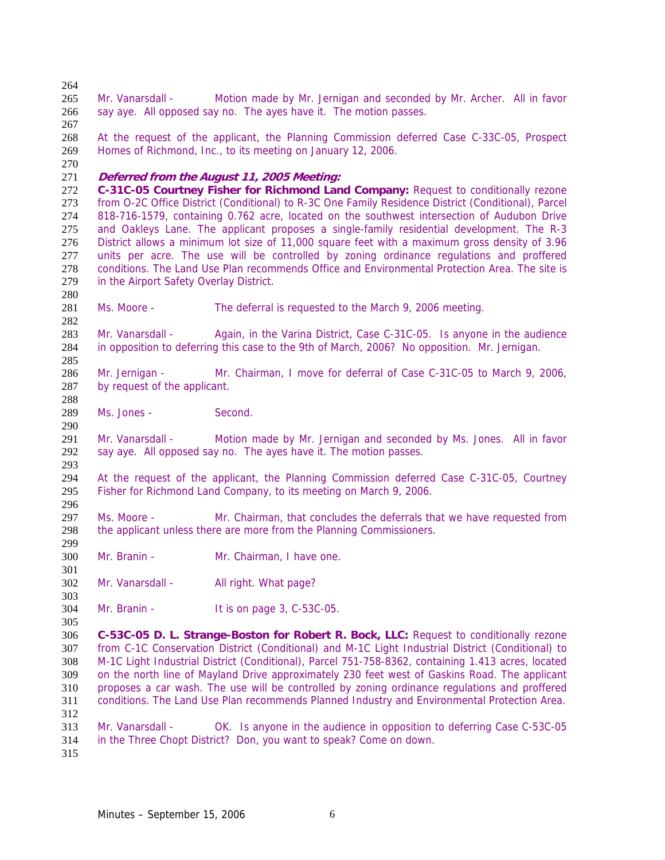say aye. All opposed say no. The ayes have it. The motion passes. At the request of the applicant, the Planning Commission deferred Case C-33C-05, Prospect Homes of Richmond, Inc., to its meeting on January 12, 2006. **Deferred from the August 11, 2005 Meeting: C-31C-05 Courtney Fisher for Richmond Land Company:** Request to conditionally rezone from O-2C Office District (Conditional) to R-3C One Family Residence District (Conditional), Parcel 818-716-1579, containing 0.762 acre, located on the southwest intersection of Audubon Drive and Oakleys Lane. The applicant proposes a single-family residential development. The R-3 District allows a minimum lot size of 11,000 square feet with a maximum gross density of 3.96 277 units per acre. The use will be controlled by zoning ordinance regulations and proffered<br>278 conditions. The Land Use Plan recommends Office and Environmental Protection Area. The site is conditions. The Land Use Plan recommends Office and Environmental Protection Area. The site is in the Airport Safety Overlay District. Ms. Moore - The deferral is requested to the March 9, 2006 meeting. 283 Mr. Vanarsdall - Again, in the Varina District, Case C-31C-05. Is anyone in the audience in opposition to deferring this case to the 9th of March, 2006? No opposition. Mr. Jernigan. Mr. Jernigan - Mr. Chairman, I move for deferral of Case C-31C-05 to March 9, 2006, by request of the applicant. Ms. Jones - Second. 

Mr. Vanarsdall - Motion made by Mr. Jernigan and seconded by Ms. Jones. All in favor say aye. All opposed say no. The ayes have it. The motion passes. 

At the request of the applicant, the Planning Commission deferred Case C-31C-05, Courtney Fisher for Richmond Land Company, to its meeting on March 9, 2006.

297 Ms. Moore - Mr. Chairman, that concludes the deferrals that we have requested from the applicant unless there are more from the Planning Commissioners. 

Mr. Branin - Mr. Chairman, I have one.

302 Mr. Vanarsdall - All right. What page?

Mr. Branin - It is on page 3, C-53C-05.

**C-53C-05 D. L. Strange-Boston for Robert R. Bock, LLC:** Request to conditionally rezone from C-1C Conservation District (Conditional) and M-1C Light Industrial District (Conditional) to M-1C Light Industrial District (Conditional), Parcel 751-758-8362, containing 1.413 acres, located on the north line of Mayland Drive approximately 230 feet west of Gaskins Road. The applicant proposes a car wash. The use will be controlled by zoning ordinance regulations and proffered conditions. The Land Use Plan recommends Planned Industry and Environmental Protection Area. 

Mr. Vanarsdall - OK. Is anyone in the audience in opposition to deferring Case C-53C-05 in the Three Chopt District? Don, you want to speak? Come on down.

 Mr. Vanarsdall - Motion made by Mr. Jernigan and seconded by Mr. Archer. All in favor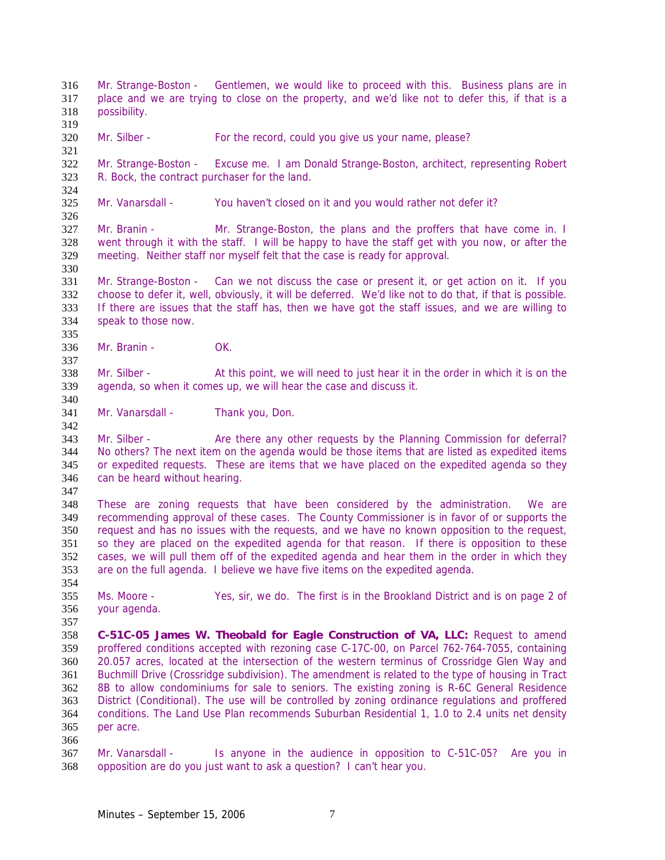Mr. Strange-Boston - Gentlemen, we would like to proceed with this. Business plans are in place and we are trying to close on the property, and we'd like not to defer this, if that is a possibility. Mr. Silber - For the record, could you give us your name, please? Mr. Strange-Boston - Excuse me. I am Donald Strange-Boston, architect, representing Robert R. Bock, the contract purchaser for the land. Mr. Vanarsdall - You haven't closed on it and you would rather not defer it? Mr. Branin - Mr. Strange-Boston, the plans and the proffers that have come in. I went through it with the staff. I will be happy to have the staff get with you now, or after the meeting. Neither staff nor myself felt that the case is ready for approval. Mr. Strange-Boston - Can we not discuss the case or present it, or get action on it. If you choose to defer it, well, obviously, it will be deferred. We'd like not to do that, if that is possible. If there are issues that the staff has, then we have got the staff issues, and we are willing to speak to those now. Mr. Branin - OK. Mr. Silber - At this point, we will need to just hear it in the order in which it is on the agenda, so when it comes up, we will hear the case and discuss it. 341 Mr. Vanarsdall - Thank you, Don. Mr. Silber - Are there any other requests by the Planning Commission for deferral? No others? The next item on the agenda would be those items that are listed as expedited items or expedited requests. These are items that we have placed on the expedited agenda so they can be heard without hearing. These are zoning requests that have been considered by the administration. We are recommending approval of these cases. The County Commissioner is in favor of or supports the request and has no issues with the requests, and we have no known opposition to the request, so they are placed on the expedited agenda for that reason. If there is opposition to these cases, we will pull them off of the expedited agenda and hear them in the order in which they are on the full agenda. I believe we have five items on the expedited agenda. Ms. Moore - Yes, sir, we do. The first is in the Brookland District and is on page 2 of your agenda. **C-51C-05 James W. Theobald for Eagle Construction of VA, LLC:** Request to amend proffered conditions accepted with rezoning case C-17C-00, on Parcel 762-764-7055, containing 20.057 acres, located at the intersection of the western terminus of Crossridge Glen Way and Buchmill Drive (Crossridge subdivision). The amendment is related to the type of housing in Tract 8B to allow condominiums for sale to seniors. The existing zoning is R-6C General Residence District (Conditional). The use will be controlled by zoning ordinance regulations and proffered conditions. The Land Use Plan recommends Suburban Residential 1, 1.0 to 2.4 units net density per acre. Mr. Vanarsdall - Is anyone in the audience in opposition to C-51C-05? Are you in opposition are do you just want to ask a question? I can't hear you.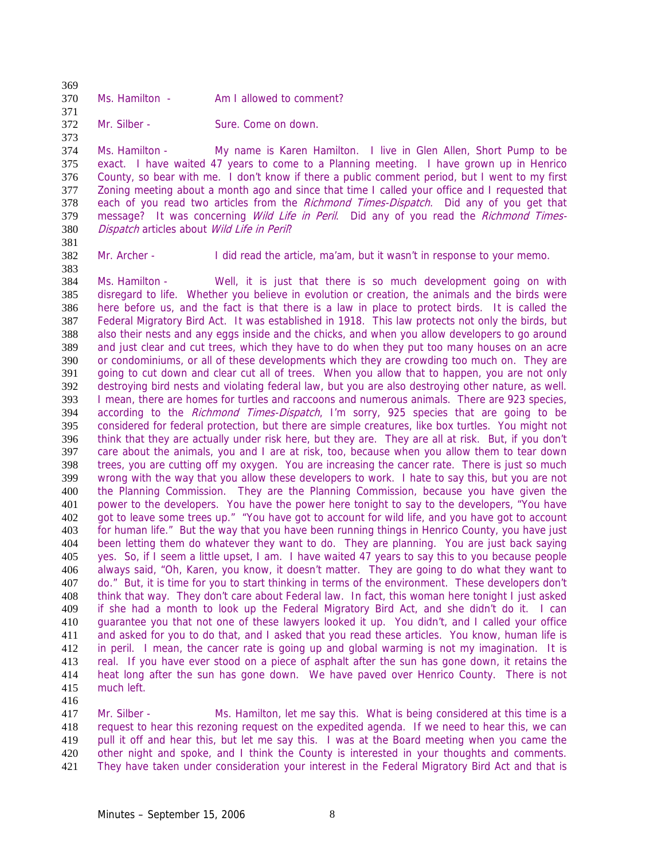| -309 |                |                          |
|------|----------------|--------------------------|
| 370  | Ms. Hamilton - | Am I allowed to comment? |
| 371  |                |                          |

372 Mr. Silber - Sure. Come on down.

Ms. Hamilton - My name is Karen Hamilton. I live in Glen Allen, Short Pump to be exact. I have waited 47 years to come to a Planning meeting. I have grown up in Henrico County, so bear with me. I don't know if there a public comment period, but I went to my first Zoning meeting about a month ago and since that time I called your office and I requested that 378 each of you read two articles from the Richmond Times-Dispatch. Did any of you get that 379 message? It was concerning *Wild Life in Peril*. Did any of you read the *Richmond Times*-Dispatch articles about Wild Life in Peril?

Mr. Archer - I did read the article, ma'am, but it wasn't in response to your memo.

Ms. Hamilton - Well, it is just that there is so much development going on with disregard to life. Whether you believe in evolution or creation, the animals and the birds were here before us, and the fact is that there is a law in place to protect birds. It is called the Federal Migratory Bird Act. It was established in 1918. This law protects not only the birds, but also their nests and any eggs inside and the chicks, and when you allow developers to go around and just clear and cut trees, which they have to do when they put too many houses on an acre or condominiums, or all of these developments which they are crowding too much on. They are going to cut down and clear cut all of trees. When you allow that to happen, you are not only destroying bird nests and violating federal law, but you are also destroying other nature, as well. I mean, there are homes for turtles and raccoons and numerous animals. There are 923 species, 394 according to the Richmond Times-Dispatch, I'm sorry, 925 species that are going to be considered for federal protection, but there are simple creatures, like box turtles. You might not think that they are actually under risk here, but they are. They are all at risk. But, if you don't care about the animals, you and I are at risk, too, because when you allow them to tear down trees, you are cutting off my oxygen. You are increasing the cancer rate. There is just so much wrong with the way that you allow these developers to work. I hate to say this, but you are not the Planning Commission. They are the Planning Commission, because you have given the power to the developers. You have the power here tonight to say to the developers, "You have got to leave some trees up." "You have got to account for wild life, and you have got to account for human life." But the way that you have been running things in Henrico County, you have just been letting them do whatever they want to do. They are planning. You are just back saying yes. So, if I seem a little upset, I am. I have waited 47 years to say this to you because people always said, "Oh, Karen, you know, it doesn't matter. They are going to do what they want to do." But, it is time for you to start thinking in terms of the environment. These developers don't think that way. They don't care about Federal law. In fact, this woman here tonight I just asked if she had a month to look up the Federal Migratory Bird Act, and she didn't do it. I can guarantee you that not one of these lawyers looked it up. You didn't, and I called your office and asked for you to do that, and I asked that you read these articles. You know, human life is in peril. I mean, the cancer rate is going up and global warming is not my imagination. It is real. If you have ever stood on a piece of asphalt after the sun has gone down, it retains the heat long after the sun has gone down. We have paved over Henrico County. There is not much left.

Mr. Silber - Ms. Hamilton, let me say this. What is being considered at this time is a request to hear this rezoning request on the expedited agenda. If we need to hear this, we can pull it off and hear this, but let me say this. I was at the Board meeting when you came the 420 other night and spoke, and I think the County is interested in your thoughts and comments. They have taken under consideration your interest in the Federal Migratory Bird Act and that is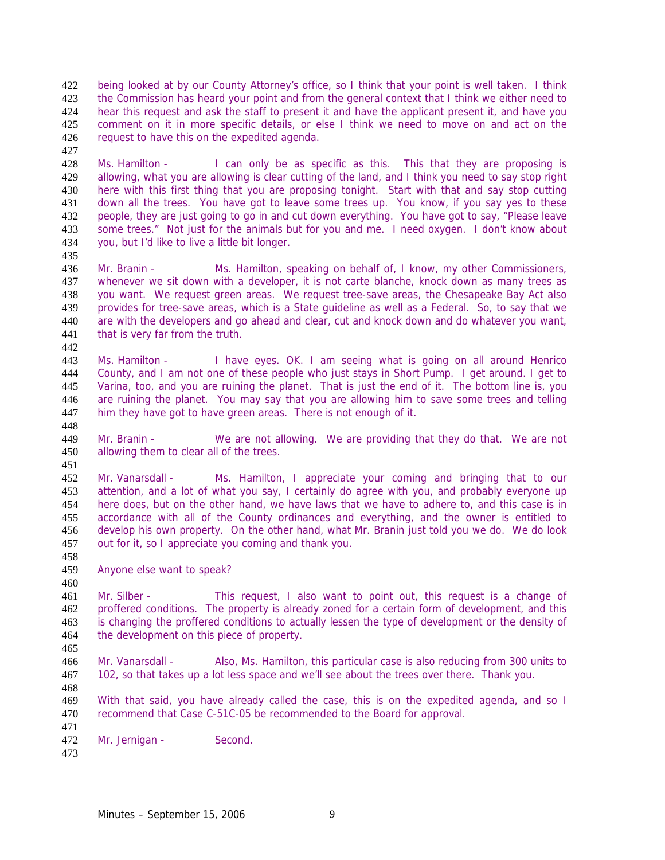being looked at by our County Attorney's office, so I think that your point is well taken. I think the Commission has heard your point and from the general context that I think we either need to hear this request and ask the staff to present it and have the applicant present it, and have you comment on it in more specific details, or else I think we need to move on and act on the request to have this on the expedited agenda.

Ms. Hamilton - I can only be as specific as this. This that they are proposing is allowing, what you are allowing is clear cutting of the land, and I think you need to say stop right here with this first thing that you are proposing tonight. Start with that and say stop cutting down all the trees. You have got to leave some trees up. You know, if you say yes to these people, they are just going to go in and cut down everything. You have got to say, "Please leave some trees." Not just for the animals but for you and me. I need oxygen. I don't know about you, but I'd like to live a little bit longer.

Mr. Branin - Ms. Hamilton, speaking on behalf of, I know, my other Commissioners, whenever we sit down with a developer, it is not carte blanche, knock down as many trees as you want. We request green areas. We request tree-save areas, the Chesapeake Bay Act also provides for tree-save areas, which is a State guideline as well as a Federal. So, to say that we are with the developers and go ahead and clear, cut and knock down and do whatever you want, 441 that is very far from the truth.

Ms. Hamilton - I have eyes. OK. I am seeing what is going on all around Henrico County, and I am not one of these people who just stays in Short Pump. I get around. I get to Varina, too, and you are ruining the planet. That is just the end of it. The bottom line is, you are ruining the planet. You may say that you are allowing him to save some trees and telling 447 him they have got to have green areas. There is not enough of it.

Mr. Branin - We are not allowing. We are providing that they do that. We are not allowing them to clear all of the trees. 

Mr. Vanarsdall - Ms. Hamilton, I appreciate your coming and bringing that to our attention, and a lot of what you say, I certainly do agree with you, and probably everyone up here does, but on the other hand, we have laws that we have to adhere to, and this case is in accordance with all of the County ordinances and everything, and the owner is entitled to develop his own property. On the other hand, what Mr. Branin just told you we do. We do look out for it, so I appreciate you coming and thank you.

Anyone else want to speak?

Mr. Silber - This request, I also want to point out, this request is a change of proffered conditions. The property is already zoned for a certain form of development, and this is changing the proffered conditions to actually lessen the type of development or the density of the development on this piece of property.

Mr. Vanarsdall - Also, Ms. Hamilton, this particular case is also reducing from 300 units to 102, so that takes up a lot less space and we'll see about the trees over there. Thank you.

With that said, you have already called the case, this is on the expedited agenda, and so I recommend that Case C-51C-05 be recommended to the Board for approval.

 Mr. Jernigan - Second.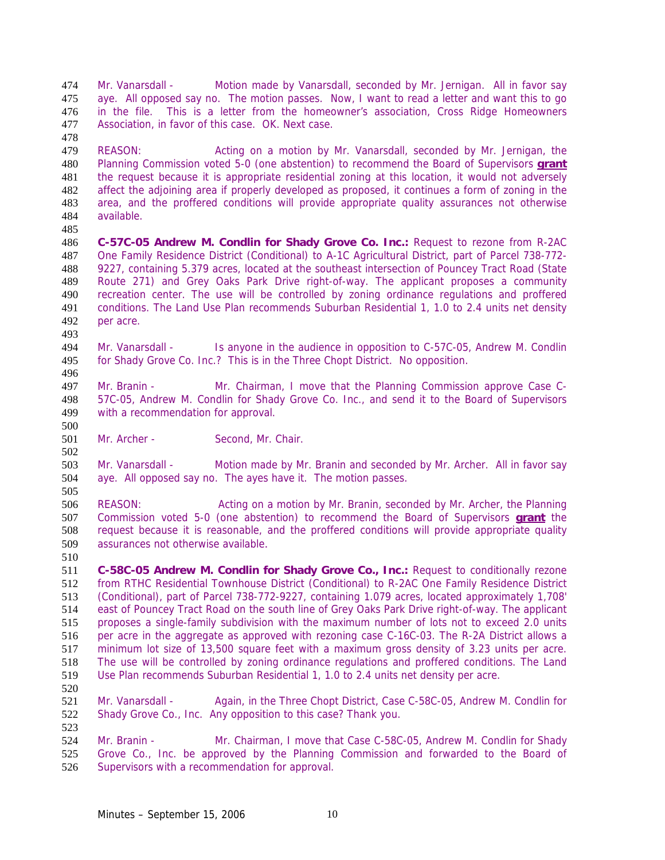Mr. Vanarsdall - Motion made by Vanarsdall, seconded by Mr. Jernigan. All in favor say aye. All opposed say no. The motion passes. Now, I want to read a letter and want this to go in the file. This is a letter from the homeowner's association, Cross Ridge Homeowners Association, in favor of this case. OK. Next case.

REASON: Acting on a motion by Mr. Vanarsdall, seconded by Mr. Jernigan, the Planning Commission voted 5-0 (one abstention) to recommend the Board of Supervisors **grant** the request because it is appropriate residential zoning at this location, it would not adversely affect the adjoining area if properly developed as proposed, it continues a form of zoning in the area, and the proffered conditions will provide appropriate quality assurances not otherwise available. 

**C-57C-05 Andrew M. Condlin for Shady Grove Co. Inc.:** Request to rezone from R-2AC One Family Residence District (Conditional) to A-1C Agricultural District, part of Parcel 738-772- 9227, containing 5.379 acres, located at the southeast intersection of Pouncey Tract Road (State Route 271) and Grey Oaks Park Drive right-of-way. The applicant proposes a community recreation center. The use will be controlled by zoning ordinance regulations and proffered conditions. The Land Use Plan recommends Suburban Residential 1, 1.0 to 2.4 units net density per acre.

Mr. Vanarsdall - Is anyone in the audience in opposition to C-57C-05, Andrew M. Condlin for Shady Grove Co. Inc.? This is in the Three Chopt District. No opposition.

- Mr. Branin Mr. Chairman, I move that the Planning Commission approve Case C-57C-05, Andrew M. Condlin for Shady Grove Co. Inc., and send it to the Board of Supervisors with a recommendation for approval.
- 501 Mr. Archer Second, Mr. Chair.

503 Mr. Vanarsdall - Motion made by Mr. Branin and seconded by Mr. Archer. All in favor say aye. All opposed say no. The ayes have it. The motion passes.

REASON: Acting on a motion by Mr. Branin, seconded by Mr. Archer, the Planning Commission voted 5-0 (one abstention) to recommend the Board of Supervisors **grant** the request because it is reasonable, and the proffered conditions will provide appropriate quality assurances not otherwise available.

**C-58C-05 Andrew M. Condlin for Shady Grove Co., Inc.:** Request to conditionally rezone from RTHC Residential Townhouse District (Conditional) to R-2AC One Family Residence District (Conditional), part of Parcel 738-772-9227, containing 1.079 acres, located approximately 1,708' east of Pouncey Tract Road on the south line of Grey Oaks Park Drive right-of-way. The applicant proposes a single-family subdivision with the maximum number of lots not to exceed 2.0 units per acre in the aggregate as approved with rezoning case C-16C-03. The R-2A District allows a minimum lot size of 13,500 square feet with a maximum gross density of 3.23 units per acre. The use will be controlled by zoning ordinance regulations and proffered conditions. The Land Use Plan recommends Suburban Residential 1, 1.0 to 2.4 units net density per acre.

521 Mr. Vanarsdall - Again, in the Three Chopt District, Case C-58C-05, Andrew M. Condlin for Shady Grove Co., Inc. Any opposition to this case? Thank you. 

524 Mr. Branin - Mr. Chairman, I move that Case C-58C-05, Andrew M. Condlin for Shady Grove Co., Inc. be approved by the Planning Commission and forwarded to the Board of Supervisors with a recommendation for approval.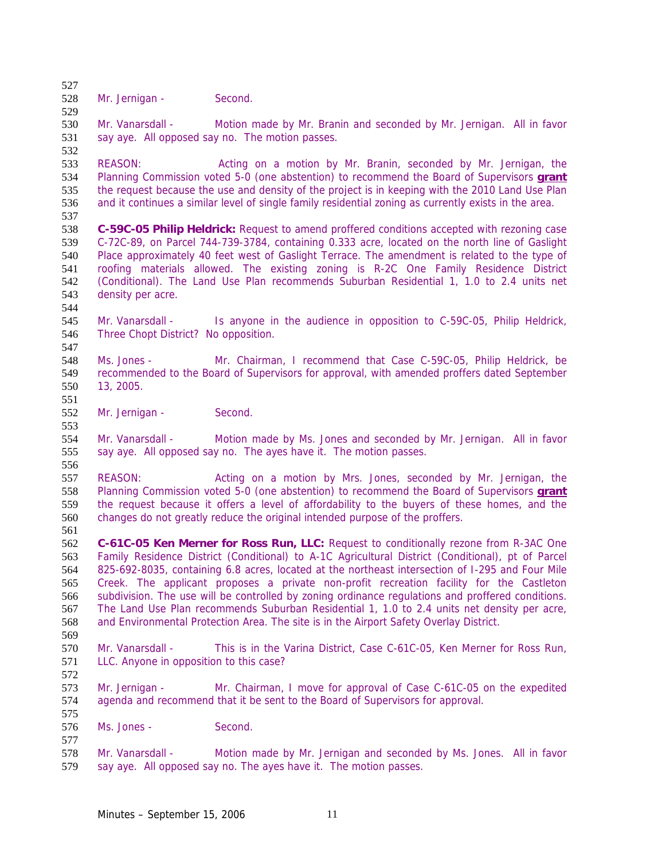528 Mr. Jernigan - Second.

Mr. Vanarsdall - Motion made by Mr. Branin and seconded by Mr. Jernigan. All in favor 531 say aye. All opposed say no. The motion passes. 

REASON: Acting on a motion by Mr. Branin, seconded by Mr. Jernigan, the Planning Commission voted 5-0 (one abstention) to recommend the Board of Supervisors **grant** the request because the use and density of the project is in keeping with the 2010 Land Use Plan and it continues a similar level of single family residential zoning as currently exists in the area.

**C-59C-05 Philip Heldrick:** Request to amend proffered conditions accepted with rezoning case C-72C-89, on Parcel 744-739-3784, containing 0.333 acre, located on the north line of Gaslight Place approximately 40 feet west of Gaslight Terrace. The amendment is related to the type of roofing materials allowed. The existing zoning is R-2C One Family Residence District (Conditional). The Land Use Plan recommends Suburban Residential 1, 1.0 to 2.4 units net density per acre.

Mr. Vanarsdall - Is anyone in the audience in opposition to C-59C-05, Philip Heldrick, Three Chopt District? No opposition. 

Ms. Jones - Mr. Chairman, I recommend that Case C-59C-05, Philip Heldrick, be recommended to the Board of Supervisors for approval, with amended proffers dated September 13, 2005. 

552 Mr. Jernigan - Second.

Mr. Vanarsdall - Motion made by Ms. Jones and seconded by Mr. Jernigan. All in favor say aye. All opposed say no. The ayes have it. The motion passes. 

REASON: Acting on a motion by Mrs. Jones, seconded by Mr. Jernigan, the Planning Commission voted 5-0 (one abstention) to recommend the Board of Supervisors **grant** the request because it offers a level of affordability to the buyers of these homes, and the changes do not greatly reduce the original intended purpose of the proffers. 

**C-61C-05 Ken Merner for Ross Run, LLC:** Request to conditionally rezone from R-3AC One Family Residence District (Conditional) to A-1C Agricultural District (Conditional), pt of Parcel 825-692-8035, containing 6.8 acres, located at the northeast intersection of I-295 and Four Mile Creek. The applicant proposes a private non-profit recreation facility for the Castleton subdivision. The use will be controlled by zoning ordinance regulations and proffered conditions. The Land Use Plan recommends Suburban Residential 1, 1.0 to 2.4 units net density per acre, and Environmental Protection Area. The site is in the Airport Safety Overlay District.

Mr. Vanarsdall - This is in the Varina District, Case C-61C-05, Ken Merner for Ross Run, LLC. Anyone in opposition to this case? 

Mr. Jernigan - Mr. Chairman, I move for approval of Case C-61C-05 on the expedited agenda and recommend that it be sent to the Board of Supervisors for approval.

Ms. Jones - Second.

Mr. Vanarsdall - Motion made by Mr. Jernigan and seconded by Ms. Jones. All in favor say aye. All opposed say no. The ayes have it. The motion passes.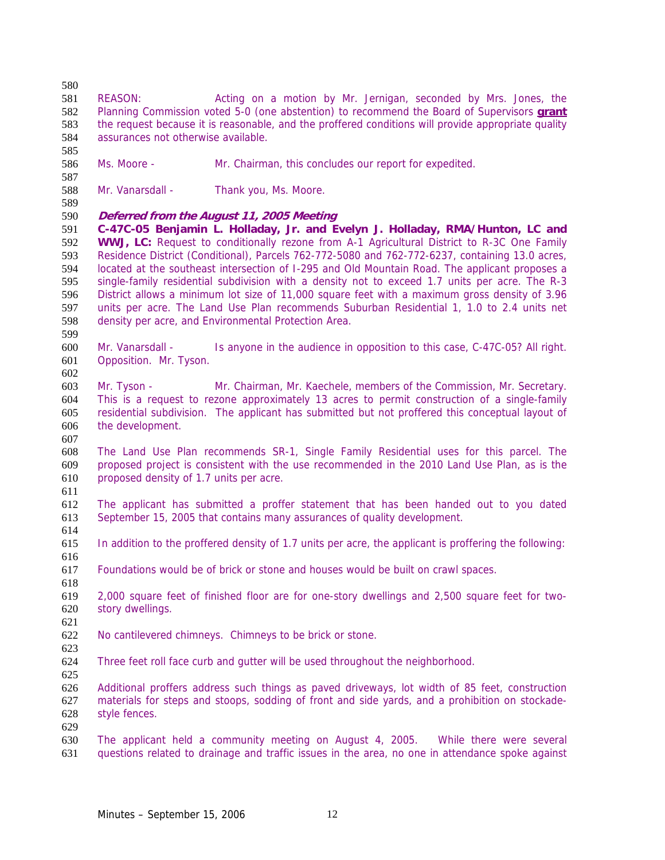REASON: Acting on a motion by Mr. Jernigan, seconded by Mrs. Jones, the Planning Commission voted 5-0 (one abstention) to recommend the Board of Supervisors **grant** the request because it is reasonable, and the proffered conditions will provide appropriate quality assurances not otherwise available.

Ms. Moore - Mr. Chairman, this concludes our report for expedited.

588 Mr. Vanarsdall - Thank you, Ms. Moore.

# **Deferred from the August 11, 2005 Meeting**

**C-47C-05 Benjamin L. Holladay, Jr. and Evelyn J. Holladay, RMA/Hunton, LC and WWJ, LC:** Request to conditionally rezone from A-1 Agricultural District to R-3C One Family Residence District (Conditional), Parcels 762-772-5080 and 762-772-6237, containing 13.0 acres, located at the southeast intersection of I-295 and Old Mountain Road. The applicant proposes a single-family residential subdivision with a density not to exceed 1.7 units per acre. The R-3 District allows a minimum lot size of 11,000 square feet with a maximum gross density of 3.96 units per acre. The Land Use Plan recommends Suburban Residential 1, 1.0 to 2.4 units net density per acre, and Environmental Protection Area. 

Mr. Vanarsdall - Is anyone in the audience in opposition to this case, C-47C-05? All right. Opposition. Mr. Tyson.

Mr. Tyson - Mr. Chairman, Mr. Kaechele, members of the Commission, Mr. Secretary. This is a request to rezone approximately 13 acres to permit construction of a single-family residential subdivision. The applicant has submitted but not proffered this conceptual layout of the development.

The Land Use Plan recommends SR-1, Single Family Residential uses for this parcel. The proposed project is consistent with the use recommended in the 2010 Land Use Plan, as is the proposed density of 1.7 units per acre.

The applicant has submitted a proffer statement that has been handed out to you dated September 15, 2005 that contains many assurances of quality development. 

In addition to the proffered density of 1.7 units per acre, the applicant is proffering the following:

Foundations would be of brick or stone and houses would be built on crawl spaces.

2,000 square feet of finished floor are for one-story dwellings and 2,500 square feet for two-story dwellings.

No cantilevered chimneys. Chimneys to be brick or stone.

Three feet roll face curb and gutter will be used throughout the neighborhood.

Additional proffers address such things as paved driveways, lot width of 85 feet, construction materials for steps and stoops, sodding of front and side yards, and a prohibition on stockade-style fences. 

The applicant held a community meeting on August 4, 2005. While there were several questions related to drainage and traffic issues in the area, no one in attendance spoke against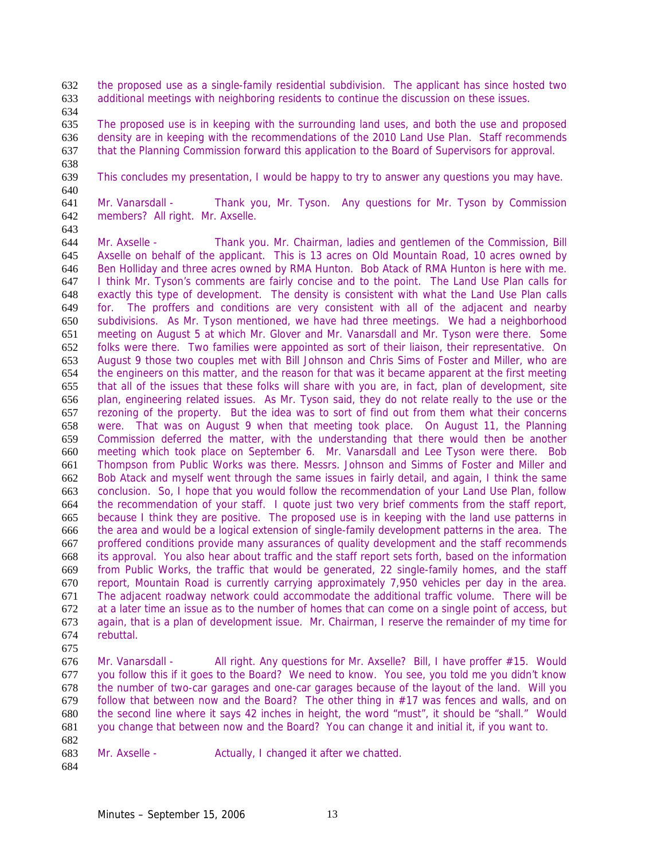the proposed use as a single-family residential subdivision. The applicant has since hosted two additional meetings with neighboring residents to continue the discussion on these issues.

The proposed use is in keeping with the surrounding land uses, and both the use and proposed density are in keeping with the recommendations of the 2010 Land Use Plan. Staff recommends that the Planning Commission forward this application to the Board of Supervisors for approval.

- 
- 

This concludes my presentation, I would be happy to try to answer any questions you may have.

Mr. Vanarsdall - Thank you, Mr. Tyson. Any questions for Mr. Tyson by Commission members? All right. Mr. Axselle.

Mr. Axselle - Thank you. Mr. Chairman, ladies and gentlemen of the Commission, Bill Axselle on behalf of the applicant. This is 13 acres on Old Mountain Road, 10 acres owned by Ben Holliday and three acres owned by RMA Hunton. Bob Atack of RMA Hunton is here with me. I think Mr. Tyson's comments are fairly concise and to the point. The Land Use Plan calls for exactly this type of development. The density is consistent with what the Land Use Plan calls for. The proffers and conditions are very consistent with all of the adjacent and nearby subdivisions. As Mr. Tyson mentioned, we have had three meetings. We had a neighborhood meeting on August 5 at which Mr. Glover and Mr. Vanarsdall and Mr. Tyson were there. Some folks were there. Two families were appointed as sort of their liaison, their representative. On August 9 those two couples met with Bill Johnson and Chris Sims of Foster and Miller, who are the engineers on this matter, and the reason for that was it became apparent at the first meeting that all of the issues that these folks will share with you are, in fact, plan of development, site plan, engineering related issues. As Mr. Tyson said, they do not relate really to the use or the rezoning of the property. But the idea was to sort of find out from them what their concerns were. That was on August 9 when that meeting took place. On August 11, the Planning Commission deferred the matter, with the understanding that there would then be another meeting which took place on September 6. Mr. Vanarsdall and Lee Tyson were there. Bob Thompson from Public Works was there. Messrs. Johnson and Simms of Foster and Miller and Bob Atack and myself went through the same issues in fairly detail, and again, I think the same conclusion. So, I hope that you would follow the recommendation of your Land Use Plan, follow the recommendation of your staff. I quote just two very brief comments from the staff report, because I think they are positive. The proposed use is in keeping with the land use patterns in the area and would be a logical extension of single-family development patterns in the area. The proffered conditions provide many assurances of quality development and the staff recommends its approval. You also hear about traffic and the staff report sets forth, based on the information from Public Works, the traffic that would be generated, 22 single-family homes, and the staff report, Mountain Road is currently carrying approximately 7,950 vehicles per day in the area. The adjacent roadway network could accommodate the additional traffic volume. There will be at a later time an issue as to the number of homes that can come on a single point of access, but again, that is a plan of development issue. Mr. Chairman, I reserve the remainder of my time for rebuttal.

Mr. Vanarsdall - All right. Any questions for Mr. Axselle? Bill, I have proffer #15. Would you follow this if it goes to the Board? We need to know. You see, you told me you didn't know the number of two-car garages and one-car garages because of the layout of the land. Will you follow that between now and the Board? The other thing in #17 was fences and walls, and on the second line where it says 42 inches in height, the word "must", it should be "shall." Would you change that between now and the Board? You can change it and initial it, if you want to.

683 Mr. Axselle - Actually, I changed it after we chatted.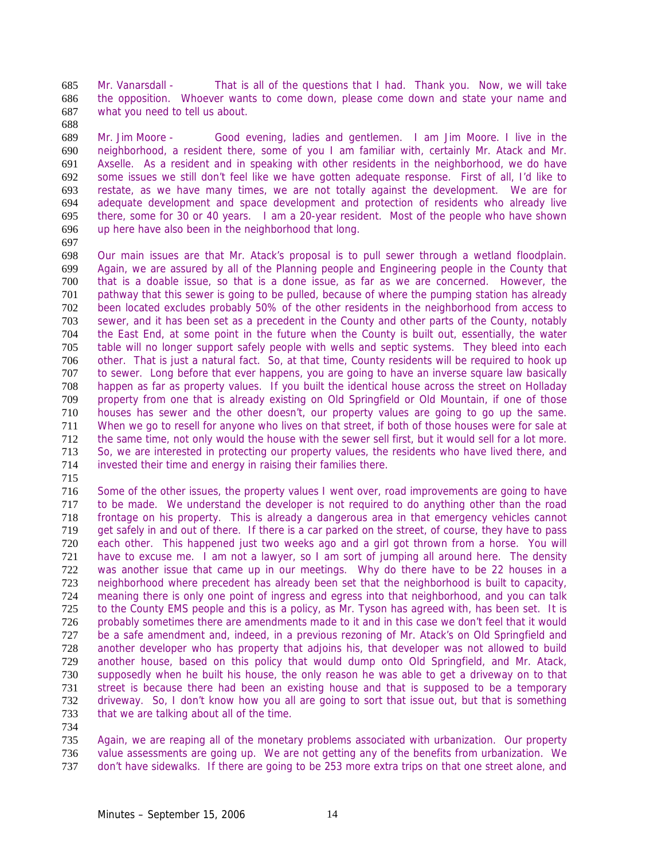Mr. Vanarsdall - That is all of the questions that I had. Thank you. Now, we will take the opposition. Whoever wants to come down, please come down and state your name and what you need to tell us about.

Mr. Jim Moore - Good evening, ladies and gentlemen. I am Jim Moore. I live in the neighborhood, a resident there, some of you I am familiar with, certainly Mr. Atack and Mr. Axselle. As a resident and in speaking with other residents in the neighborhood, we do have some issues we still don't feel like we have gotten adequate response. First of all, I'd like to restate, as we have many times, we are not totally against the development. We are for adequate development and space development and protection of residents who already live there, some for 30 or 40 years. I am a 20-year resident. Most of the people who have shown up here have also been in the neighborhood that long.

698 Our main issues are that Mr. Atack's proposal is to pull sewer through a wetland floodplain.<br>699 Again, we are assured by all of the Planning people and Engineering people in the County that Again, we are assured by all of the Planning people and Engineering people in the County that that is a doable issue, so that is a done issue, as far as we are concerned. However, the pathway that this sewer is going to be pulled, because of where the pumping station has already been located excludes probably 50% of the other residents in the neighborhood from access to sewer, and it has been set as a precedent in the County and other parts of the County, notably the East End, at some point in the future when the County is built out, essentially, the water table will no longer support safely people with wells and septic systems. They bleed into each other. That is just a natural fact. So, at that time, County residents will be required to hook up to sewer. Long before that ever happens, you are going to have an inverse square law basically happen as far as property values. If you built the identical house across the street on Holladay property from one that is already existing on Old Springfield or Old Mountain, if one of those houses has sewer and the other doesn't, our property values are going to go up the same. When we go to resell for anyone who lives on that street, if both of those houses were for sale at the same time, not only would the house with the sewer sell first, but it would sell for a lot more. So, we are interested in protecting our property values, the residents who have lived there, and invested their time and energy in raising their families there.

Some of the other issues, the property values I went over, road improvements are going to have to be made. We understand the developer is not required to do anything other than the road frontage on his property. This is already a dangerous area in that emergency vehicles cannot get safely in and out of there. If there is a car parked on the street, of course, they have to pass each other. This happened just two weeks ago and a girl got thrown from a horse. You will have to excuse me. I am not a lawyer, so I am sort of jumping all around here. The density was another issue that came up in our meetings. Why do there have to be 22 houses in a neighborhood where precedent has already been set that the neighborhood is built to capacity, meaning there is only one point of ingress and egress into that neighborhood, and you can talk 725 to the County EMS people and this is a policy, as Mr. Tyson has agreed with, has been set. It is probably sometimes there are amendments made to it and in this case we don't feel that it would be a safe amendment and, indeed, in a previous rezoning of Mr. Atack's on Old Springfield and another developer who has property that adjoins his, that developer was not allowed to build another house, based on this policy that would dump onto Old Springfield, and Mr. Atack, supposedly when he built his house, the only reason he was able to get a driveway on to that street is because there had been an existing house and that is supposed to be a temporary driveway. So, I don't know how you all are going to sort that issue out, but that is something that we are talking about all of the time.

Again, we are reaping all of the monetary problems associated with urbanization. Our property value assessments are going up. We are not getting any of the benefits from urbanization. We don't have sidewalks. If there are going to be 253 more extra trips on that one street alone, and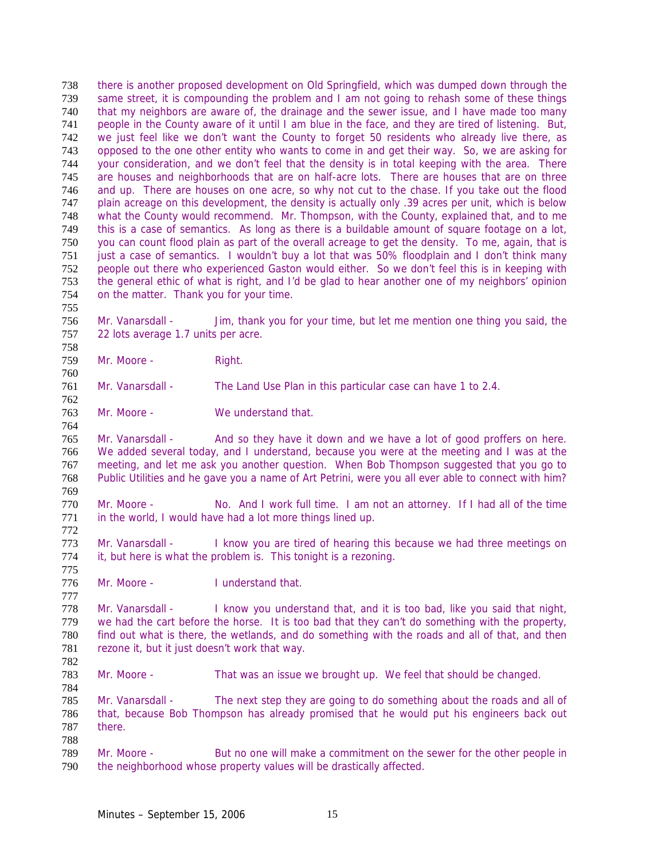there is another proposed development on Old Springfield, which was dumped down through the same street, it is compounding the problem and I am not going to rehash some of these things that my neighbors are aware of, the drainage and the sewer issue, and I have made too many people in the County aware of it until I am blue in the face, and they are tired of listening. But, we just feel like we don't want the County to forget 50 residents who already live there, as opposed to the one other entity who wants to come in and get their way. So, we are asking for your consideration, and we don't feel that the density is in total keeping with the area. There are houses and neighborhoods that are on half-acre lots. There are houses that are on three and up. There are houses on one acre, so why not cut to the chase. If you take out the flood plain acreage on this development, the density is actually only .39 acres per unit, which is below what the County would recommend. Mr. Thompson, with the County, explained that, and to me this is a case of semantics. As long as there is a buildable amount of square footage on a lot, you can count flood plain as part of the overall acreage to get the density. To me, again, that is 751 just a case of semantics. I wouldn't buy a lot that was 50% floodplain and I don't think many<br>752 people out there who experienced Gaston would either. So we don't feel this is in keeping with people out there who experienced Gaston would either. So we don't feel this is in keeping with the general ethic of what is right, and I'd be glad to hear another one of my neighbors' opinion on the matter. Thank you for your time. 

Mr. Vanarsdall - Jim, thank you for your time, but let me mention one thing you said, the 22 lots average 1.7 units per acre.

759 Mr. Moore - Right.

Mr. Vanarsdall - The Land Use Plan in this particular case can have 1 to 2.4.

Mr. Moore - We understand that.

Mr. Vanarsdall - And so they have it down and we have a lot of good proffers on here. We added several today, and I understand, because you were at the meeting and I was at the meeting, and let me ask you another question. When Bob Thompson suggested that you go to Public Utilities and he gave you a name of Art Petrini, were you all ever able to connect with him? 

- Mr. Moore No. And I work full time. I am not an attorney. If I had all of the time 771 in the world, I would have had a lot more things lined up.
- 773 Mr. Vanarsdall I know you are tired of hearing this because we had three meetings on it, but here is what the problem is. This tonight is a rezoning.
- Mr. Moore I understand that.

Mr. Vanarsdall - I know you understand that, and it is too bad, like you said that night, we had the cart before the horse. It is too bad that they can't do something with the property, find out what is there, the wetlands, and do something with the roads and all of that, and then 781 rezone it, but it just doesn't work that way. 

Mr. Moore - That was an issue we brought up. We feel that should be changed. 

Mr. Vanarsdall - The next step they are going to do something about the roads and all of that, because Bob Thompson has already promised that he would put his engineers back out there. 

Mr. Moore - But no one will make a commitment on the sewer for the other people in the neighborhood whose property values will be drastically affected.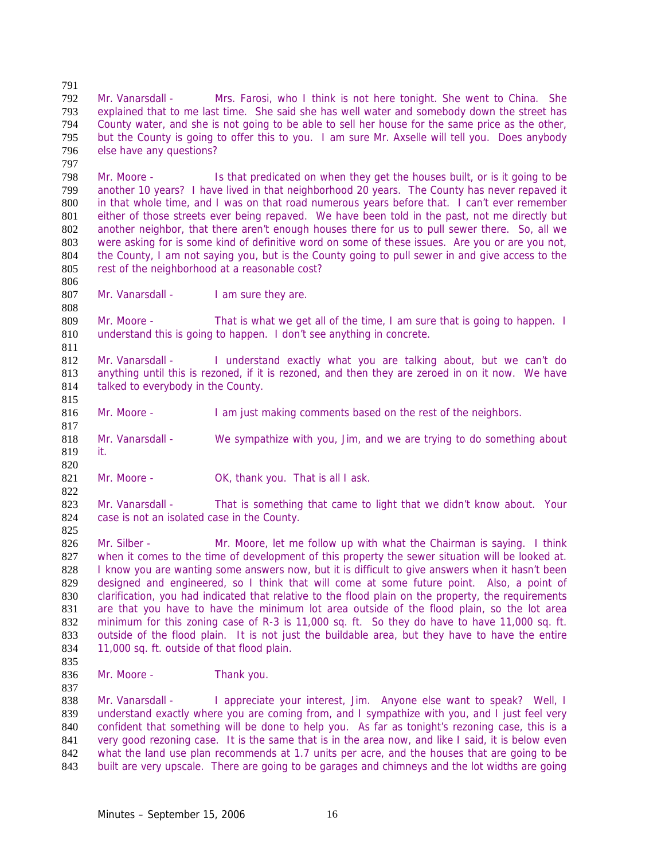Mr. Vanarsdall - Mrs. Farosi, who I think is not here tonight. She went to China. She explained that to me last time. She said she has well water and somebody down the street has County water, and she is not going to be able to sell her house for the same price as the other, but the County is going to offer this to you. I am sure Mr. Axselle will tell you. Does anybody else have any questions?

Mr. Moore - Is that predicated on when they get the houses built, or is it going to be another 10 years? I have lived in that neighborhood 20 years. The County has never repaved it in that whole time, and I was on that road numerous years before that. I can't ever remember either of those streets ever being repaved. We have been told in the past, not me directly but another neighbor, that there aren't enough houses there for us to pull sewer there. So, all we were asking for is some kind of definitive word on some of these issues. Are you or are you not, 804 the County, I am not saying you, but is the County going to pull sewer in and give access to the 805 rest of the neighborhood at a reasonable cost? rest of the neighborhood at a reasonable cost?

807 Mr. Vanarsdall - I am sure they are.

809 Mr. Moore - That is what we get all of the time, I am sure that is going to happen. I understand this is going to happen. I don't see anything in concrete.

Mr. Vanarsdall - I understand exactly what you are talking about, but we can't do anything until this is rezoned, if it is rezoned, and then they are zeroed in on it now. We have 814 talked to everybody in the County.

Mr. Moore - I am just making comments based on the rest of the neighbors.

Mr. Vanarsdall - We sympathize with you, Jim, and we are trying to do something about it. 

821 Mr. Moore - OK, thank you. That is all I ask.

Mr. Vanarsdall - That is something that came to light that we didn't know about. Your case is not an isolated case in the County.

826 Mr. Silber - Mr. Moore, let me follow up with what the Chairman is saying. I think 827 when it comes to the time of development of this property the sewer situation will be looked at. I know you are wanting some answers now, but it is difficult to give answers when it hasn't been designed and engineered, so I think that will come at some future point. Also, a point of clarification, you had indicated that relative to the flood plain on the property, the requirements are that you have to have the minimum lot area outside of the flood plain, so the lot area minimum for this zoning case of R-3 is 11,000 sq. ft. So they do have to have 11,000 sq. ft. outside of the flood plain. It is not just the buildable area, but they have to have the entire 11,000 sq. ft. outside of that flood plain.

836 Mr. Moore - Thank you.

Mr. Vanarsdall - I appreciate your interest, Jim. Anyone else want to speak? Well, I understand exactly where you are coming from, and I sympathize with you, and I just feel very 840 confident that something will be done to help you. As far as tonight's rezoning case, this is a very good rezoning case. It is the same that is in the area now, and like I said, it is below even what the land use plan recommends at 1.7 units per acre, and the houses that are going to be built are very upscale. There are going to be garages and chimneys and the lot widths are going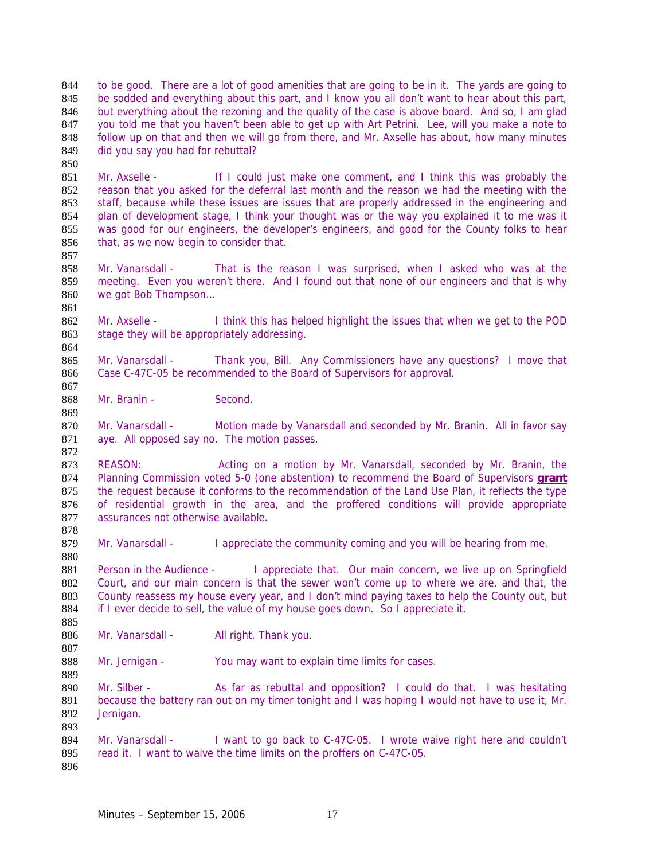to be good. There are a lot of good amenities that are going to be in it. The yards are going to 845 be sodded and everything about this part, and I know you all don't want to hear about this part, but everything about the rezoning and the quality of the case is above board. And so, I am glad you told me that you haven't been able to get up with Art Petrini. Lee, will you make a note to 848 follow up on that and then we will go from there, and Mr. Axselle has about, how many minutes did you say you had for rebuttal?

Mr. Axselle - If I could just make one comment, and I think this was probably the reason that you asked for the deferral last month and the reason we had the meeting with the staff, because while these issues are issues that are properly addressed in the engineering and plan of development stage, I think your thought was or the way you explained it to me was it was good for our engineers, the developer's engineers, and good for the County folks to hear 856 that, as we now begin to consider that.

Mr. Vanarsdall - That is the reason I was surprised, when I asked who was at the meeting. Even you weren't there. And I found out that none of our engineers and that is why we got Bob Thompson…

Mr. Axselle - I think this has helped highlight the issues that when we get to the POD 863 stage they will be appropriately addressing.

Mr. Vanarsdall - Thank you, Bill. Any Commissioners have any questions? I move that Case C-47C-05 be recommended to the Board of Supervisors for approval.

Mr. Branin - Second.

870 Mr. Vanarsdall - Motion made by Vanarsdall and seconded by Mr. Branin. All in favor say aye. All opposed say no. The motion passes.

REASON: Acting on a motion by Mr. Vanarsdall, seconded by Mr. Branin, the Planning Commission voted 5-0 (one abstention) to recommend the Board of Supervisors **grant** 875 the request because it conforms to the recommendation of the Land Use Plan, it reflects the type of residential growth in the area, and the proffered conditions will provide appropriate assurances not otherwise available.

879 Mr. Vanarsdall - I appreciate the community coming and you will be hearing from me.

881 Person in the Audience - I appreciate that. Our main concern, we live up on Springfield Court, and our main concern is that the sewer won't come up to where we are, and that, the 883 County reassess my house every year, and I don't mind paying taxes to help the County out, but 884 if I ever decide to sell, the value of my house goes down. So I appreciate it.

886 Mr. Vanarsdall - All right. Thank you.

888 Mr. Jernigan - You may want to explain time limits for cases.

890 Mr. Silber - As far as rebuttal and opposition? I could do that. I was hesitating 891 because the battery ran out on my timer tonight and I was hoping I would not have to use it, Mr. Jernigan.

Mr. Vanarsdall - I want to go back to C-47C-05. I wrote waive right here and couldn't read it. I want to waive the time limits on the proffers on C-47C-05.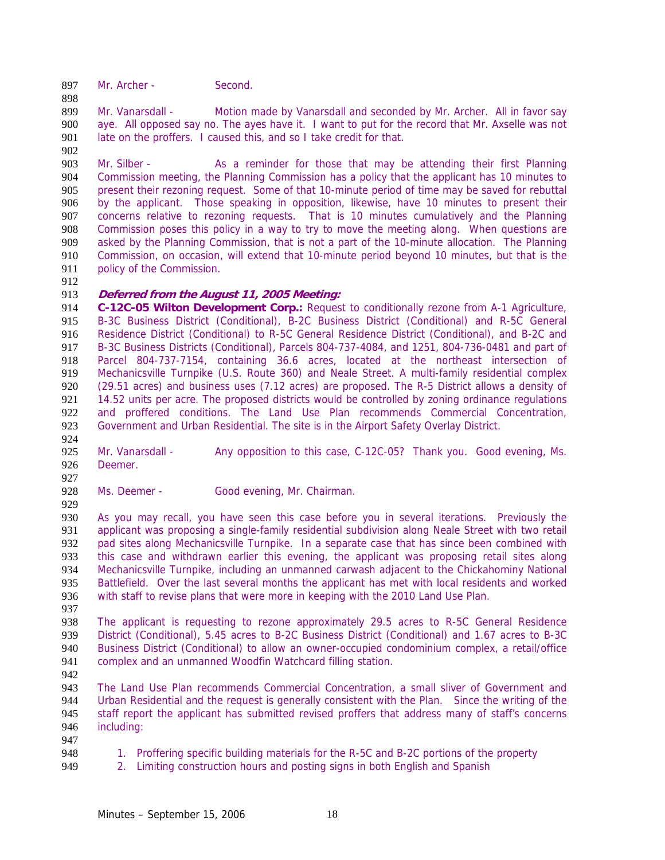897 Mr. Archer - Second.

Mr. Vanarsdall - Motion made by Vanarsdall and seconded by Mr. Archer. All in favor say aye. All opposed say no. The ayes have it. I want to put for the record that Mr. Axselle was not 901 late on the proffers. I caused this, and so I take credit for that.

Mr. Silber - As a reminder for those that may be attending their first Planning Commission meeting, the Planning Commission has a policy that the applicant has 10 minutes to present their rezoning request. Some of that 10-minute period of time may be saved for rebuttal by the applicant. Those speaking in opposition, likewise, have 10 minutes to present their concerns relative to rezoning requests. That is 10 minutes cumulatively and the Planning Commission poses this policy in a way to try to move the meeting along. When questions are asked by the Planning Commission, that is not a part of the 10-minute allocation. The Planning 910 Commission, on occasion, will extend that 10-minute period beyond 10 minutes, but that is the 911 policy of the Commission. policy of the Commission.

## **Deferred from the August 11, 2005 Meeting:**

**C-12C-05 Wilton Development Corp.:** Request to conditionally rezone from A-1 Agriculture, B-3C Business District (Conditional), B-2C Business District (Conditional) and R-5C General Residence District (Conditional) to R-5C General Residence District (Conditional), and B-2C and B-3C Business Districts (Conditional), Parcels 804-737-4084, and 1251, 804-736-0481 and part of Parcel 804-737-7154, containing 36.6 acres, located at the northeast intersection of Mechanicsville Turnpike (U.S. Route 360) and Neale Street. A multi-family residential complex (29.51 acres) and business uses (7.12 acres) are proposed. The R-5 District allows a density of 14.52 units per acre. The proposed districts would be controlled by zoning ordinance regulations and proffered conditions. The Land Use Plan recommends Commercial Concentration, Government and Urban Residential. The site is in the Airport Safety Overlay District.

924<br>925 Mr. Vanarsdall - Any opposition to this case, C-12C-05? Thank you. Good evening, Ms. Deemer.

928 Ms. Deemer - Good evening, Mr. Chairman.

As you may recall, you have seen this case before you in several iterations. Previously the applicant was proposing a single-family residential subdivision along Neale Street with two retail pad sites along Mechanicsville Turnpike. In a separate case that has since been combined with this case and withdrawn earlier this evening, the applicant was proposing retail sites along Mechanicsville Turnpike, including an unmanned carwash adjacent to the Chickahominy National Battlefield. Over the last several months the applicant has met with local residents and worked with staff to revise plans that were more in keeping with the 2010 Land Use Plan.

The applicant is requesting to rezone approximately 29.5 acres to R-5C General Residence District (Conditional), 5.45 acres to B-2C Business District (Conditional) and 1.67 acres to B-3C Business District (Conditional) to allow an owner-occupied condominium complex, a retail/office complex and an unmanned Woodfin Watchcard filling station.

The Land Use Plan recommends Commercial Concentration, a small sliver of Government and Urban Residential and the request is generally consistent with the Plan. Since the writing of the staff report the applicant has submitted revised proffers that address many of staff's concerns including:

- 948 1. Proffering specific building materials for the R-5C and B-2C portions of the property
- 2. Limiting construction hours and posting signs in both English and Spanish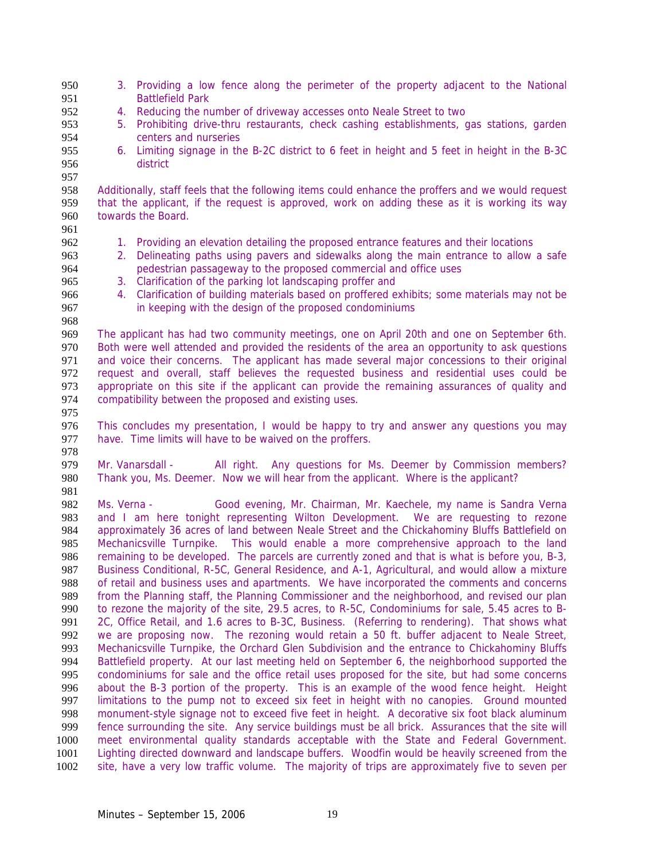| 950<br>951 |                                                                                                                                                                                                | 3. Providing a low fence along the perimeter of the property adjacent to the National<br><b>Battlefield Park</b> |  |
|------------|------------------------------------------------------------------------------------------------------------------------------------------------------------------------------------------------|------------------------------------------------------------------------------------------------------------------|--|
| 952        | 4.                                                                                                                                                                                             | Reducing the number of driveway accesses onto Neale Street to two                                                |  |
| 953        | 5.                                                                                                                                                                                             | Prohibiting drive-thru restaurants, check cashing establishments, gas stations, garden                           |  |
| 954        |                                                                                                                                                                                                | centers and nurseries                                                                                            |  |
|            |                                                                                                                                                                                                |                                                                                                                  |  |
| 955        |                                                                                                                                                                                                | 6. Limiting signage in the B-2C district to 6 feet in height and 5 feet in height in the B-3C                    |  |
| 956        |                                                                                                                                                                                                | district                                                                                                         |  |
| 957        |                                                                                                                                                                                                |                                                                                                                  |  |
| 958        |                                                                                                                                                                                                | Additionally, staff feels that the following items could enhance the proffers and we would request               |  |
| 959        |                                                                                                                                                                                                | that the applicant, if the request is approved, work on adding these as it is working its way                    |  |
| 960        |                                                                                                                                                                                                | towards the Board.                                                                                               |  |
| 961        |                                                                                                                                                                                                |                                                                                                                  |  |
| 962        |                                                                                                                                                                                                | 1. Providing an elevation detailing the proposed entrance features and their locations                           |  |
| 963        | 2.                                                                                                                                                                                             | Delineating paths using pavers and sidewalks along the main entrance to allow a safe                             |  |
| 964        |                                                                                                                                                                                                | pedestrian passageway to the proposed commercial and office uses                                                 |  |
| 965        | 3.                                                                                                                                                                                             | Clarification of the parking lot landscaping proffer and                                                         |  |
| 966        | 4.                                                                                                                                                                                             | Clarification of building materials based on proffered exhibits; some materials may not be                       |  |
| 967        |                                                                                                                                                                                                | in keeping with the design of the proposed condominiums                                                          |  |
| 968        |                                                                                                                                                                                                |                                                                                                                  |  |
| 969        |                                                                                                                                                                                                | The applicant has had two community meetings, one on April 20th and one on September 6th.                        |  |
| 970        |                                                                                                                                                                                                |                                                                                                                  |  |
| 971        | Both were well attended and provided the residents of the area an opportunity to ask questions<br>and voice their concerns. The applicant has made several major concessions to their original |                                                                                                                  |  |
| 972        |                                                                                                                                                                                                |                                                                                                                  |  |
|            |                                                                                                                                                                                                | request and overall, staff believes the requested business and residential uses could be                         |  |
| 973        |                                                                                                                                                                                                | appropriate on this site if the applicant can provide the remaining assurances of quality and                    |  |
| 974        |                                                                                                                                                                                                | compatibility between the proposed and existing uses.                                                            |  |
| 975        |                                                                                                                                                                                                |                                                                                                                  |  |
| 976        | This concludes my presentation, I would be happy to try and answer any questions you may                                                                                                       |                                                                                                                  |  |
| 977        |                                                                                                                                                                                                | have. Time limits will have to be waived on the proffers.                                                        |  |
| 978        |                                                                                                                                                                                                |                                                                                                                  |  |
| 979        |                                                                                                                                                                                                | Mr. Vanarsdall -<br>All right. Any questions for Ms. Deemer by Commission members?                               |  |
| 980        |                                                                                                                                                                                                | Thank you, Ms. Deemer. Now we will hear from the applicant. Where is the applicant?                              |  |
| 981        |                                                                                                                                                                                                |                                                                                                                  |  |
| 982        | Ms. Verna -                                                                                                                                                                                    | Good evening, Mr. Chairman, Mr. Kaechele, my name is Sandra Verna                                                |  |
| 983        |                                                                                                                                                                                                | and I am here tonight representing Wilton Development. We are requesting to rezone                               |  |
| 984        |                                                                                                                                                                                                | approximately 36 acres of land between Neale Street and the Chickahominy Bluffs Battlefield on                   |  |
| 985        |                                                                                                                                                                                                | Mechanicsville Turnpike. This would enable a more comprehensive approach to the land                             |  |
| 986        |                                                                                                                                                                                                | remaining to be developed. The parcels are currently zoned and that is what is before you, B-3,                  |  |
| 987        |                                                                                                                                                                                                | Business Conditional, R-5C, General Residence, and A-1, Agricultural, and would allow a mixture                  |  |
| 988        |                                                                                                                                                                                                | of retail and business uses and apartments. We have incorporated the comments and concerns                       |  |
| 989        |                                                                                                                                                                                                | from the Planning staff, the Planning Commissioner and the neighborhood, and revised our plan                    |  |
| 990        |                                                                                                                                                                                                | to rezone the majority of the site, 29.5 acres, to R-5C, Condominiums for sale, 5.45 acres to B-                 |  |
| 991        |                                                                                                                                                                                                | 2C, Office Retail, and 1.6 acres to B-3C, Business. (Referring to rendering). That shows what                    |  |
| 992        |                                                                                                                                                                                                | we are proposing now. The rezoning would retain a 50 ft. buffer adjacent to Neale Street,                        |  |
| 993        |                                                                                                                                                                                                | Mechanicsville Turnpike, the Orchard Glen Subdivision and the entrance to Chickahominy Bluffs                    |  |
| 994        |                                                                                                                                                                                                | Battlefield property. At our last meeting held on September 6, the neighborhood supported the                    |  |
|            |                                                                                                                                                                                                |                                                                                                                  |  |
| 995        |                                                                                                                                                                                                | condominiums for sale and the office retail uses proposed for the site, but had some concerns                    |  |
| 996        |                                                                                                                                                                                                | about the B-3 portion of the property. This is an example of the wood fence height. Height                       |  |
| 997        | limitations to the pump not to exceed six feet in height with no canopies. Ground mounted                                                                                                      |                                                                                                                  |  |
| 998        | monument-style signage not to exceed five feet in height. A decorative six foot black aluminum                                                                                                 |                                                                                                                  |  |
| 999        | fence surrounding the site. Any service buildings must be all brick. Assurances that the site will                                                                                             |                                                                                                                  |  |
| 1000       |                                                                                                                                                                                                | meet environmental quality standards acceptable with the State and Federal Government.                           |  |
| 1001       |                                                                                                                                                                                                | Lighting directed downward and landscape buffers. Woodfin would be heavily screened from the                     |  |
| 1002       |                                                                                                                                                                                                | site, have a very low traffic volume. The majority of trips are approximately five to seven per                  |  |
|            |                                                                                                                                                                                                |                                                                                                                  |  |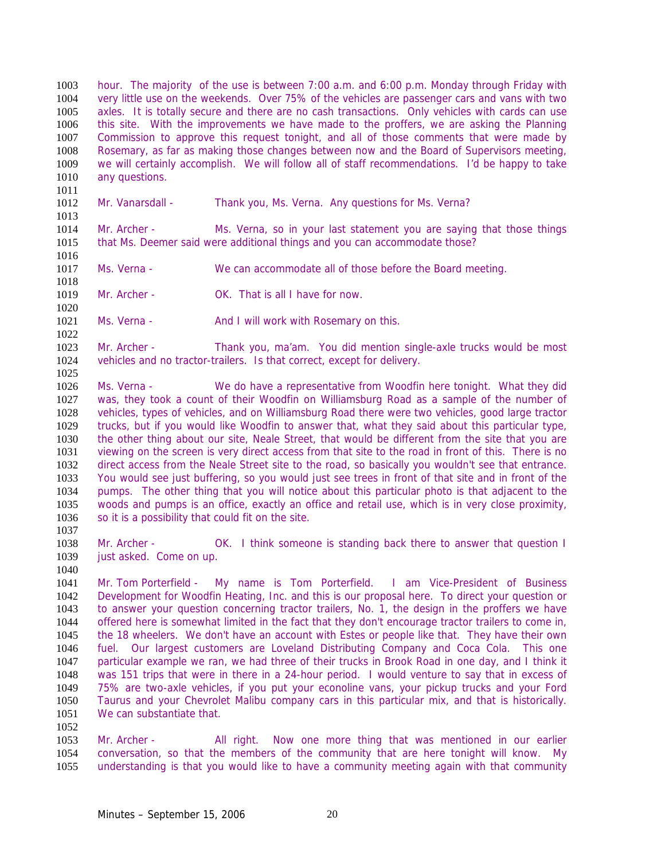hour. The majority of the use is between 7:00 a.m. and 6:00 p.m. Monday through Friday with very little use on the weekends. Over 75% of the vehicles are passenger cars and vans with two axles. It is totally secure and there are no cash transactions. Only vehicles with cards can use this site. With the improvements we have made to the proffers, we are asking the Planning Commission to approve this request tonight, and all of those comments that were made by Rosemary, as far as making those changes between now and the Board of Supervisors meeting, we will certainly accomplish. We will follow all of staff recommendations. I'd be happy to take 1010 any questions.

1012 Mr. Vanarsdall - Thank you, Ms. Verna. Any questions for Ms. Verna?

Mr. Archer - Ms. Verna, so in your last statement you are saying that those things that Ms. Deemer said were additional things and you can accommodate those?

1016<br>1017 Ms. Verna - We can accommodate all of those before the Board meeting.

Mr. Archer - OK. That is all I have for now. 

1021 Ms. Verna - And I will work with Rosemary on this.

Mr. Archer - Thank you, ma'am. You did mention single-axle trucks would be most vehicles and no tractor-trailers. Is that correct, except for delivery.

Ms. Verna - We do have a representative from Woodfin here tonight. What they did was, they took a count of their Woodfin on Williamsburg Road as a sample of the number of vehicles, types of vehicles, and on Williamsburg Road there were two vehicles, good large tractor trucks, but if you would like Woodfin to answer that, what they said about this particular type, the other thing about our site, Neale Street, that would be different from the site that you are viewing on the screen is very direct access from that site to the road in front of this. There is no direct access from the Neale Street site to the road, so basically you wouldn't see that entrance. You would see just buffering, so you would just see trees in front of that site and in front of the pumps. The other thing that you will notice about this particular photo is that adjacent to the woods and pumps is an office, exactly an office and retail use, which is in very close proximity, 1036 so it is a possibility that could fit on the site.

1038 Mr. Archer - OK. I think someone is standing back there to answer that question I 1039 just asked. Come on up. 

Mr. Tom Porterfield - My name is Tom Porterfield. I am Vice-President of Business Development for Woodfin Heating, Inc. and this is our proposal here. To direct your question or to answer your question concerning tractor trailers, No. 1, the design in the proffers we have offered here is somewhat limited in the fact that they don't encourage tractor trailers to come in, the 18 wheelers. We don't have an account with Estes or people like that. They have their own fuel. Our largest customers are Loveland Distributing Company and Coca Cola. This one particular example we ran, we had three of their trucks in Brook Road in one day, and I think it was 151 trips that were in there in a 24-hour period. I would venture to say that in excess of 75% are two-axle vehicles, if you put your econoline vans, your pickup trucks and your Ford Taurus and your Chevrolet Malibu company cars in this particular mix, and that is historically. We can substantiate that.

Mr. Archer - All right. Now one more thing that was mentioned in our earlier conversation, so that the members of the community that are here tonight will know. My understanding is that you would like to have a community meeting again with that community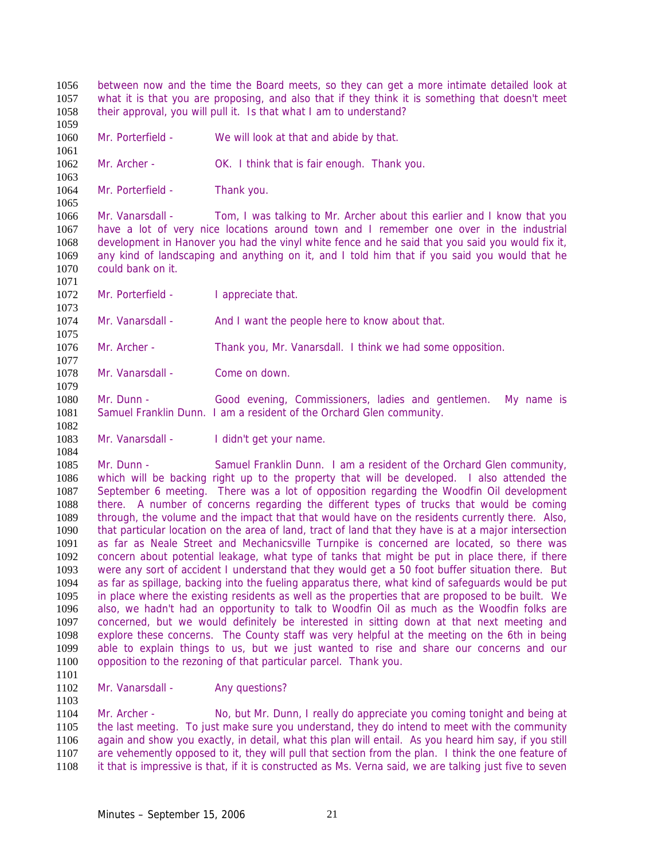between now and the time the Board meets, so they can get a more intimate detailed look at what it is that you are proposing, and also that if they think it is something that doesn't meet their approval, you will pull it. Is that what I am to understand? Mr. Porterfield - We will look at that and abide by that. 

Mr. Archer - OK. I think that is fair enough. Thank you.

1064 Mr. Porterfield - Thank you. 

Mr. Vanarsdall - Tom, I was talking to Mr. Archer about this earlier and I know that you have a lot of very nice locations around town and I remember one over in the industrial development in Hanover you had the vinyl white fence and he said that you said you would fix it, 1069 any kind of landscaping and anything on it, and I told him that if you said you would that he 1070 could bank on it. could bank on it.

1072 Mr. Porterfield - I appreciate that.

1074 Mr. Vanarsdall - And I want the people here to know about that. 

Mr. Archer - Thank you, Mr. Vanarsdall. I think we had some opposition. 

Mr. Vanarsdall - Come on down.

Mr. Dunn - Good evening, Commissioners, ladies and gentlemen. My name is Samuel Franklin Dunn. I am a resident of the Orchard Glen community.

1083 Mr. Vanarsdall - I didn't get your name.

1085 Mr. Dunn - Samuel Franklin Dunn. I am a resident of the Orchard Glen community, which will be backing right up to the property that will be developed. I also attended the September 6 meeting. There was a lot of opposition regarding the Woodfin Oil development there. A number of concerns regarding the different types of trucks that would be coming through, the volume and the impact that that would have on the residents currently there. Also, that particular location on the area of land, tract of land that they have is at a major intersection as far as Neale Street and Mechanicsville Turnpike is concerned are located, so there was concern about potential leakage, what type of tanks that might be put in place there, if there were any sort of accident I understand that they would get a 50 foot buffer situation there. But as far as spillage, backing into the fueling apparatus there, what kind of safeguards would be put in place where the existing residents as well as the properties that are proposed to be built. We also, we hadn't had an opportunity to talk to Woodfin Oil as much as the Woodfin folks are concerned, but we would definitely be interested in sitting down at that next meeting and explore these concerns. The County staff was very helpful at the meeting on the 6th in being able to explain things to us, but we just wanted to rise and share our concerns and our opposition to the rezoning of that particular parcel. Thank you.

1102 Mr. Vanarsdall - Any questions?

Mr. Archer - No, but Mr. Dunn, I really do appreciate you coming tonight and being at the last meeting. To just make sure you understand, they do intend to meet with the community again and show you exactly, in detail, what this plan will entail. As you heard him say, if you still are vehemently opposed to it, they will pull that section from the plan. I think the one feature of it that is impressive is that, if it is constructed as Ms. Verna said, we are talking just five to seven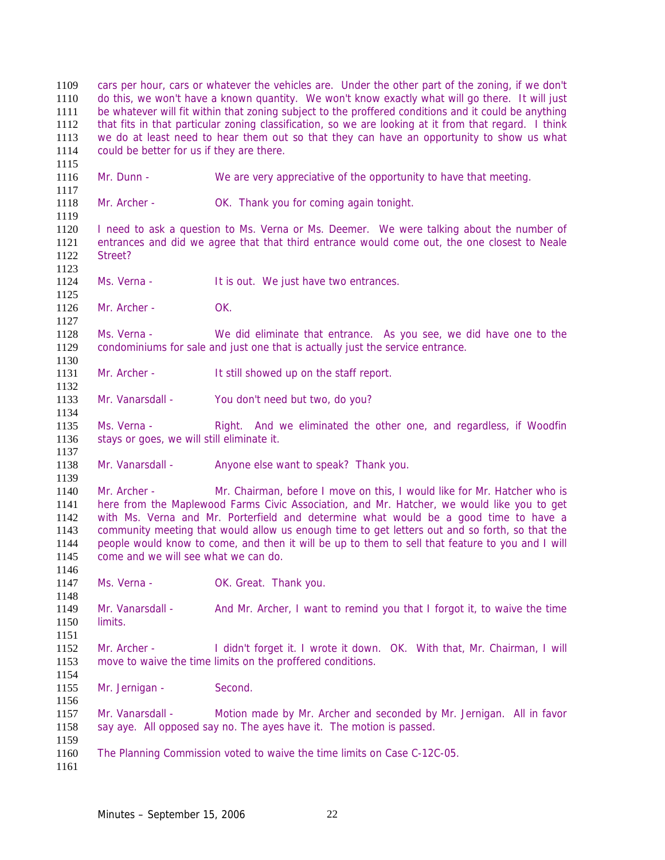cars per hour, cars or whatever the vehicles are. Under the other part of the zoning, if we don't do this, we won't have a known quantity. We won't know exactly what will go there. It will just be whatever will fit within that zoning subject to the proffered conditions and it could be anything that fits in that particular zoning classification, so we are looking at it from that regard. I think we do at least need to hear them out so that they can have an opportunity to show us what could be better for us if they are there. Mr. Dunn - We are very appreciative of the opportunity to have that meeting. 1118 Mr. Archer - OK. Thank you for coming again tonight. I need to ask a question to Ms. Verna or Ms. Deemer. We were talking about the number of entrances and did we agree that that third entrance would come out, the one closest to Neale Street? 1124 Ms. Verna - It is out. We just have two entrances. Mr. Archer - OK. Ms. Verna - We did eliminate that entrance. As you see, we did have one to the condominiums for sale and just one that is actually just the service entrance. 1131 Mr. Archer - It still showed up on the staff report. Mr. Vanarsdall - You don't need but two, do you? Ms. Verna - Right. And we eliminated the other one, and regardless, if Woodfin 1136 stays or goes, we will still eliminate it. 1138 Mr. Vanarsdall - Anyone else want to speak? Thank you. Mr. Archer - Mr. Chairman, before I move on this, I would like for Mr. Hatcher who is here from the Maplewood Farms Civic Association, and Mr. Hatcher, we would like you to get with Ms. Verna and Mr. Porterfield and determine what would be a good time to have a community meeting that would allow us enough time to get letters out and so forth, so that the people would know to come, and then it will be up to them to sell that feature to you and I will come and we will see what we can do. 1147 Ms. Verna - **OK. Great. Thank you.**  1149 Mr. Vanarsdall - And Mr. Archer, I want to remind you that I forgot it, to waive the time limits. Mr. Archer - I didn't forget it. I wrote it down. OK. With that, Mr. Chairman, I will move to waive the time limits on the proffered conditions. 1155 Mr. Jernigan - Second. Mr. Vanarsdall - Motion made by Mr. Archer and seconded by Mr. Jernigan. All in favor 1158 say aye. All opposed say no. The ayes have it. The motion is passed. The Planning Commission voted to waive the time limits on Case C-12C-05.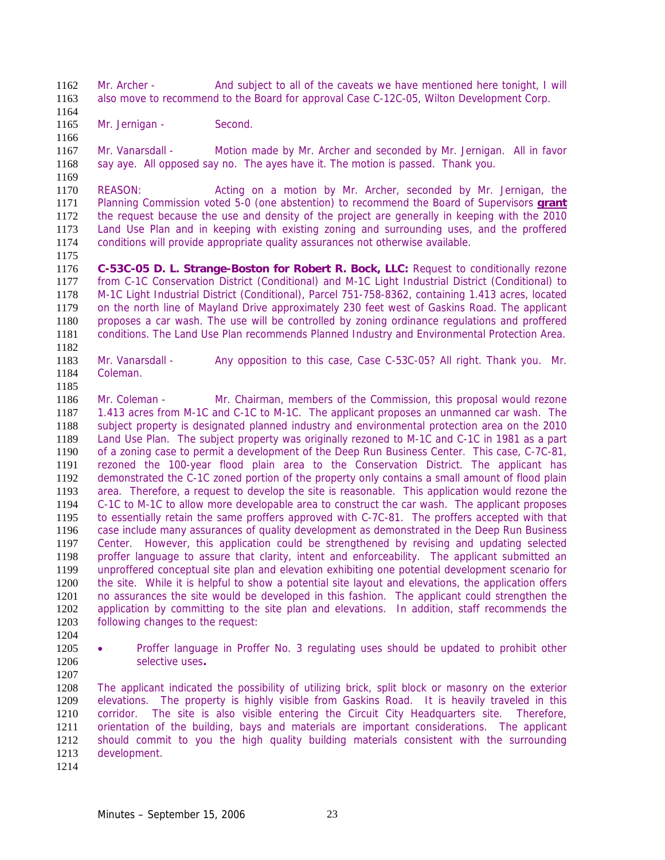1162 Mr. Archer - And subject to all of the caveats we have mentioned here tonight, I will also move to recommend to the Board for approval Case C-12C-05, Wilton Development Corp.

- 1165 Mr. Jernigan - Second.
- 

Mr. Vanarsdall - Motion made by Mr. Archer and seconded by Mr. Jernigan. All in favor say aye. All opposed say no. The ayes have it. The motion is passed. Thank you.

1170 REASON: Acting on a motion by Mr. Archer, seconded by Mr. Jernigan, the Planning Commission voted 5-0 (one abstention) to recommend the Board of Supervisors **grant** the request because the use and density of the project are generally in keeping with the 2010 Land Use Plan and in keeping with existing zoning and surrounding uses, and the proffered conditions will provide appropriate quality assurances not otherwise available.

1175<br>1176

C-53C-05 D. L. Strange-Boston for Robert R. Bock, LLC: Request to conditionally rezone from C-1C Conservation District (Conditional) and M-1C Light Industrial District (Conditional) to M-1C Light Industrial District (Conditional), Parcel 751-758-8362, containing 1.413 acres, located on the north line of Mayland Drive approximately 230 feet west of Gaskins Road. The applicant proposes a car wash. The use will be controlled by zoning ordinance regulations and proffered conditions. The Land Use Plan recommends Planned Industry and Environmental Protection Area. 

Mr. Vanarsdall - Any opposition to this case, Case C-53C-05? All right. Thank you. Mr. Coleman.

Mr. Coleman - Mr. Chairman, members of the Commission, this proposal would rezone 1.413 acres from M-1C and C-1C to M-1C. The applicant proposes an unmanned car wash. The subject property is designated planned industry and environmental protection area on the 2010 Land Use Plan. The subject property was originally rezoned to M-1C and C-1C in 1981 as a part of a zoning case to permit a development of the Deep Run Business Center. This case, C-7C-81, rezoned the 100-year flood plain area to the Conservation District. The applicant has demonstrated the C-1C zoned portion of the property only contains a small amount of flood plain area. Therefore, a request to develop the site is reasonable. This application would rezone the C-1C to M-1C to allow more developable area to construct the car wash. The applicant proposes to essentially retain the same proffers approved with C-7C-81. The proffers accepted with that case include many assurances of quality development as demonstrated in the Deep Run Business Center. However, this application could be strengthened by revising and updating selected proffer language to assure that clarity, intent and enforceability. The applicant submitted an unproffered conceptual site plan and elevation exhibiting one potential development scenario for the site. While it is helpful to show a potential site layout and elevations, the application offers no assurances the site would be developed in this fashion. The applicant could strengthen the application by committing to the site plan and elevations. In addition, staff recommends the following changes to the request:

• Proffer language in Proffer No. 3 regulating uses should be updated to prohibit other selective uses**.** 

The applicant indicated the possibility of utilizing brick, split block or masonry on the exterior elevations. The property is highly visible from Gaskins Road. It is heavily traveled in this corridor. The site is also visible entering the Circuit City Headquarters site. Therefore, orientation of the building, bays and materials are important considerations. The applicant should commit to you the high quality building materials consistent with the surrounding development.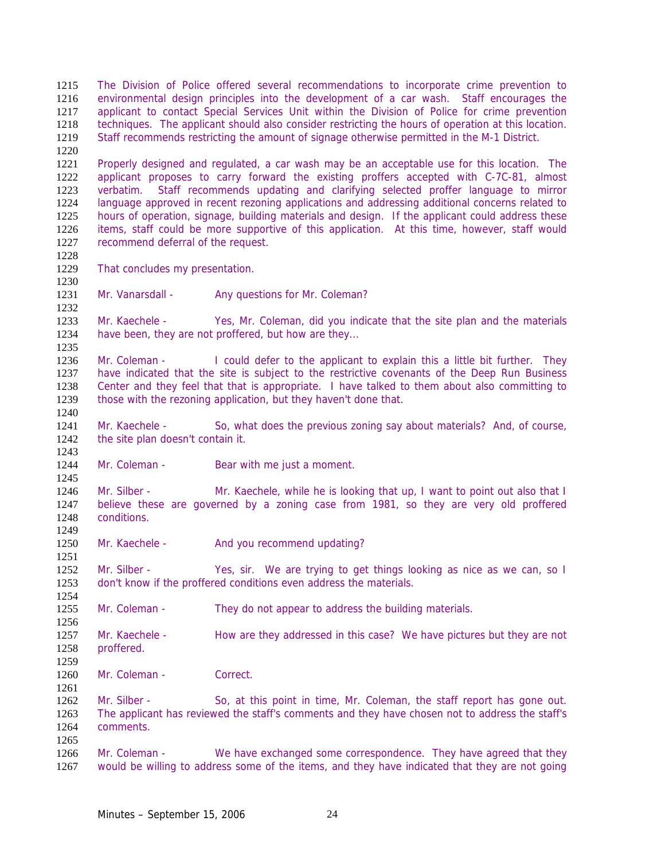The Division of Police offered several recommendations to incorporate crime prevention to environmental design principles into the development of a car wash. Staff encourages the applicant to contact Special Services Unit within the Division of Police for crime prevention techniques. The applicant should also consider restricting the hours of operation at this location. Staff recommends restricting the amount of signage otherwise permitted in the M-1 District. 

Properly designed and regulated, a car wash may be an acceptable use for this location. The applicant proposes to carry forward the existing proffers accepted with C-7C-81, almost verbatim. Staff recommends updating and clarifying selected proffer language to mirror language approved in recent rezoning applications and addressing additional concerns related to hours of operation, signage, building materials and design. If the applicant could address these items, staff could be more supportive of this application. At this time, however, staff would recommend deferral of the request.

- 1228<br>1229 That concludes my presentation.
- 

1231 Mr. Vanarsdall - Any questions for Mr. Coleman?

Mr. Kaechele - Yes, Mr. Coleman, did you indicate that the site plan and the materials have been, they are not proffered, but how are they...

Mr. Coleman - I could defer to the applicant to explain this a little bit further. They have indicated that the site is subject to the restrictive covenants of the Deep Run Business Center and they feel that that is appropriate. I have talked to them about also committing to those with the rezoning application, but they haven't done that. 

Mr. Kaechele - So, what does the previous zoning say about materials? And, of course, the site plan doesn't contain it.

1244 Mr. Coleman - Bear with me just a moment.

Mr. Silber - Mr. Kaechele, while he is looking that up, I want to point out also that I believe these are governed by a zoning case from 1981, so they are very old proffered conditions. 

1250 Mr. Kaechele - And you recommend updating?

Mr. Silber - Yes, sir. We are trying to get things looking as nice as we can, so I don't know if the proffered conditions even address the materials.

1255 Mr. Coleman - They do not appear to address the building materials.

Mr. Kaechele - How are they addressed in this case? We have pictures but they are not proffered.

Mr. Coleman - Correct.

1262 Mr. Silber - So, at this point in time, Mr. Coleman, the staff report has gone out. The applicant has reviewed the staff's comments and they have chosen not to address the staff's comments. 

Mr. Coleman - We have exchanged some correspondence. They have agreed that they would be willing to address some of the items, and they have indicated that they are not going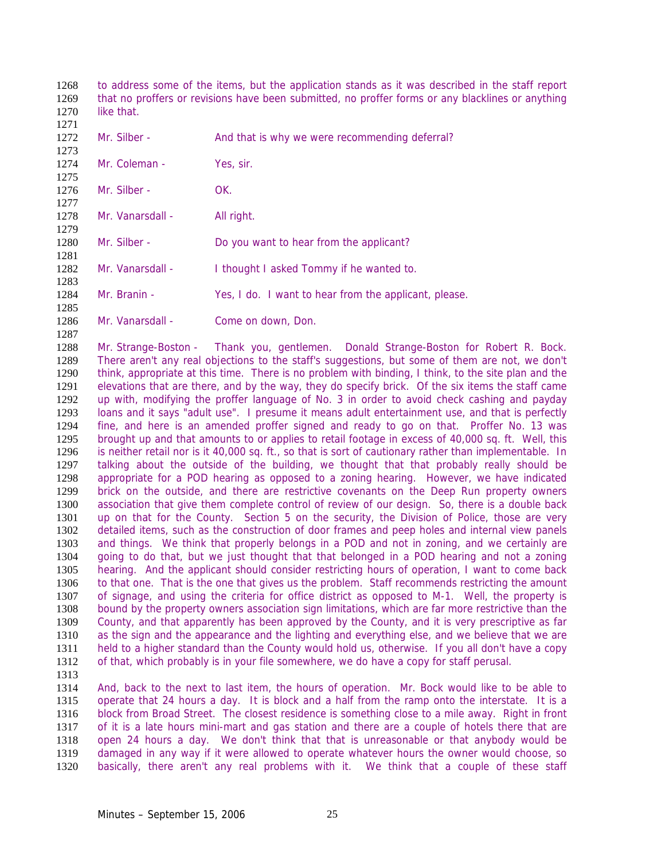to address some of the items, but the application stands as it was described in the staff report that no proffers or revisions have been submitted, no proffer forms or any blacklines or anything 1270 like that.

 1272 Mr. Silber - And that is why we were recommending deferral? 1274 Mr. Coleman - Yes, sir. Mr. Silber - OK. 1278 Mr. Vanarsdall - All right. 1280 Mr. Silber - Do you want to hear from the applicant? 1281<br>1282 Mr. Vanarsdall - I thought I asked Tommy if he wanted to. Mr. Branin - Yes, I do. I want to hear from the applicant, please. 1286 Mr. Vanarsdall - Come on down, Don. 

Mr. Strange-Boston - Thank you, gentlemen. Donald Strange-Boston for Robert R. Bock. There aren't any real objections to the staff's suggestions, but some of them are not, we don't think, appropriate at this time. There is no problem with binding, I think, to the site plan and the elevations that are there, and by the way, they do specify brick. Of the six items the staff came up with, modifying the proffer language of No. 3 in order to avoid check cashing and payday loans and it says "adult use". I presume it means adult entertainment use, and that is perfectly fine, and here is an amended proffer signed and ready to go on that. Proffer No. 13 was brought up and that amounts to or applies to retail footage in excess of 40,000 sq. ft. Well, this is neither retail nor is it 40,000 sq. ft., so that is sort of cautionary rather than implementable. In 1297 talking about the outside of the building, we thought that that probably really should be appropriate for a POD hearing as opposed to a zoning hearing. However, we have indicated brick on the outside, and there are restrictive covenants on the Deep Run property owners association that give them complete control of review of our design. So, there is a double back up on that for the County. Section 5 on the security, the Division of Police, those are very detailed items, such as the construction of door frames and peep holes and internal view panels and things. We think that properly belongs in a POD and not in zoning, and we certainly are going to do that, but we just thought that that belonged in a POD hearing and not a zoning hearing. And the applicant should consider restricting hours of operation, I want to come back to that one. That is the one that gives us the problem. Staff recommends restricting the amount of signage, and using the criteria for office district as opposed to M-1. Well, the property is bound by the property owners association sign limitations, which are far more restrictive than the County, and that apparently has been approved by the County, and it is very prescriptive as far as the sign and the appearance and the lighting and everything else, and we believe that we are held to a higher standard than the County would hold us, otherwise. If you all don't have a copy of that, which probably is in your file somewhere, we do have a copy for staff perusal.

And, back to the next to last item, the hours of operation. Mr. Bock would like to be able to operate that 24 hours a day. It is block and a half from the ramp onto the interstate. It is a block from Broad Street. The closest residence is something close to a mile away. Right in front of it is a late hours mini-mart and gas station and there are a couple of hotels there that are open 24 hours a day. We don't think that that is unreasonable or that anybody would be damaged in any way if it were allowed to operate whatever hours the owner would choose, so basically, there aren't any real problems with it. We think that a couple of these staff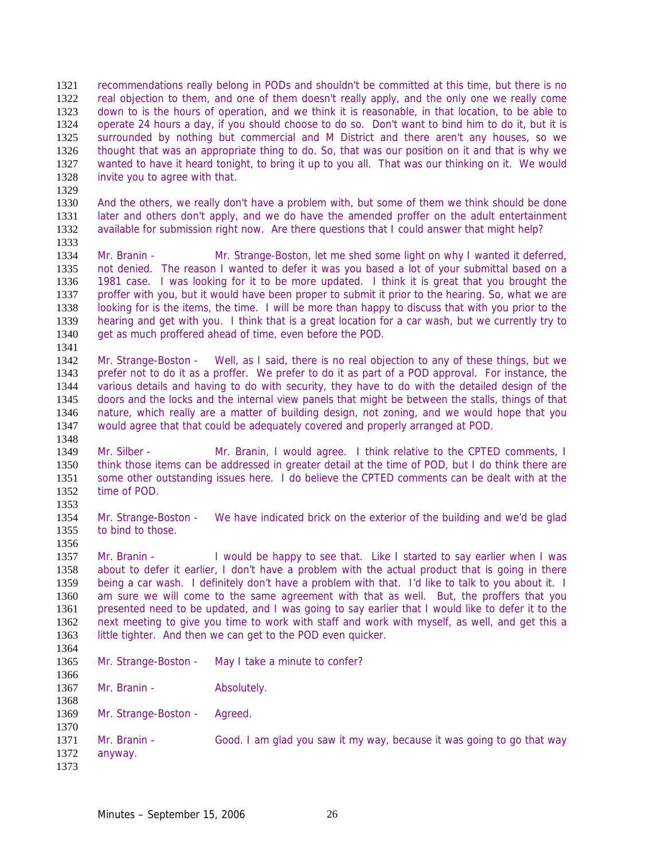recommendations really belong in PODs and shouldn't be committed at this time, but there is no real objection to them, and one of them doesn't really apply, and the only one we really come down to is the hours of operation, and we think it is reasonable, in that location, to be able to operate 24 hours a day, if you should choose to do so. Don't want to bind him to do it, but it is surrounded by nothing but commercial and M District and there aren't any houses, so we thought that was an appropriate thing to do. So, that was our position on it and that is why we wanted to have it heard tonight, to bring it up to you all. That was our thinking on it. We would invite you to agree with that. 

And the others, we really don't have a problem with, but some of them we think should be done later and others don't apply, and we do have the amended proffer on the adult entertainment available for submission right now. Are there questions that I could answer that might help? 

1334 Mr. Branin - Mr. Strange-Boston, let me shed some light on why I wanted it deferred,<br>1335 not denied. The reason I wanted to defer it was you based a lot of your submittal based on a not denied. The reason I wanted to defer it was you based a lot of your submittal based on a 1981 case. I was looking for it to be more updated. I think it is great that you brought the proffer with you, but it would have been proper to submit it prior to the hearing. So, what we are looking for is the items, the time. I will be more than happy to discuss that with you prior to the hearing and get with you. I think that is a great location for a car wash, but we currently try to get as much proffered ahead of time, even before the POD.

Mr. Strange-Boston - Well, as I said, there is no real objection to any of these things, but we prefer not to do it as a proffer. We prefer to do it as part of a POD approval. For instance, the various details and having to do with security, they have to do with the detailed design of the doors and the locks and the internal view panels that might be between the stalls, things of that nature, which really are a matter of building design, not zoning, and we would hope that you would agree that that could be adequately covered and properly arranged at POD.

Mr. Silber - Mr. Branin, I would agree. I think relative to the CPTED comments, I think those items can be addressed in greater detail at the time of POD, but I do think there are some other outstanding issues here. I do believe the CPTED comments can be dealt with at the time of POD. 

Mr. Strange-Boston - We have indicated brick on the exterior of the building and we'd be glad to bind to those. 

1357 Mr. Branin - I would be happy to see that. Like I started to say earlier when I was about to defer it earlier, I don't have a problem with the actual product that is going in there being a car wash. I definitely don't have a problem with that. I'd like to talk to you about it. I am sure we will come to the same agreement with that as well. But, the proffers that you presented need to be updated, and I was going to say earlier that I would like to defer it to the next meeting to give you time to work with staff and work with myself, as well, and get this a little tighter. And then we can get to the POD even quicker.

Mr. Strange-Boston - May I take a minute to confer? 

1367 Mr. Branin - Absolutely. 

Mr. Strange-Boston - Agreed.

 Mr. Branin - Good. I am glad you saw it my way, because it was going to go that way anyway.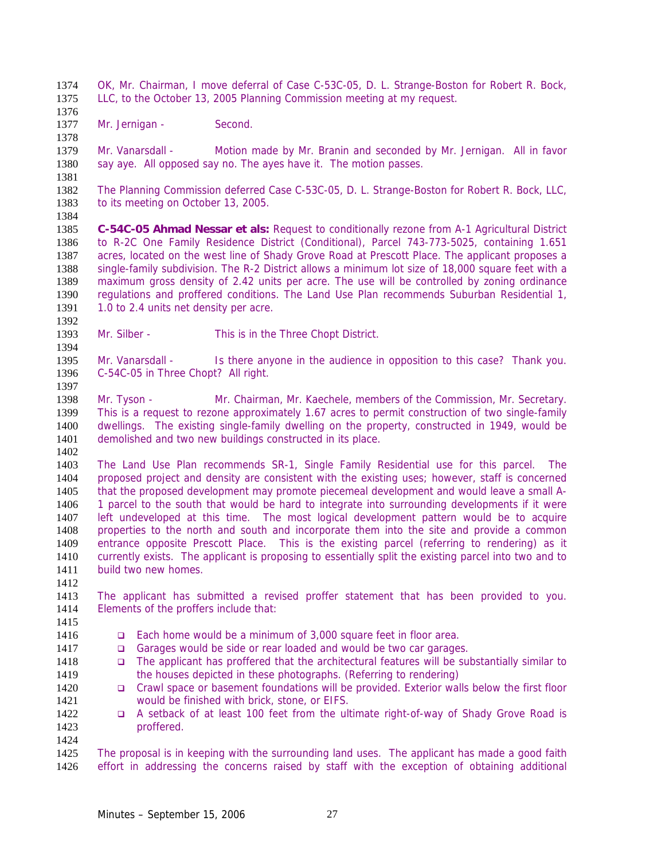OK, Mr. Chairman, I move deferral of Case C-53C-05, D. L. Strange-Boston for Robert R. Bock, LLC, to the October 13, 2005 Planning Commission meeting at my request.

1377 Mr. Jernigan - Second.

Mr. Vanarsdall - Motion made by Mr. Branin and seconded by Mr. Jernigan. All in favor 1380 say aye. All opposed say no. The ayes have it. The motion passes.

 The Planning Commission deferred Case C-53C-05, D. L. Strange-Boston for Robert R. Bock, LLC,

to its meeting on October 13, 2005.

**C-54C-05 Ahmad Nessar et als:** Request to conditionally rezone from A-1 Agricultural District to R-2C One Family Residence District (Conditional), Parcel 743-773-5025, containing 1.651 1387 acres, located on the west line of Shady Grove Road at Prescott Place. The applicant proposes a<br>1388 single-family subdivision. The R-2 District allows a minimum lot size of 18,000 square feet with a single-family subdivision. The R-2 District allows a minimum lot size of 18,000 square feet with a maximum gross density of 2.42 units per acre. The use will be controlled by zoning ordinance regulations and proffered conditions. The Land Use Plan recommends Suburban Residential 1,

1391 1.0 to 2.4 units net density per acre.

Mr. Silber - This is in the Three Chopt District. 

1395 Mr. Vanarsdall - Is there anyone in the audience in opposition to this case? Thank you. C-54C-05 in Three Chopt? All right. 

Mr. Tyson - Mr. Chairman, Mr. Kaechele, members of the Commission, Mr. Secretary. This is a request to rezone approximately 1.67 acres to permit construction of two single-family dwellings. The existing single-family dwelling on the property, constructed in 1949, would be demolished and two new buildings constructed in its place.

The Land Use Plan recommends SR-1, Single Family Residential use for this parcel. The proposed project and density are consistent with the existing uses; however, staff is concerned that the proposed development may promote piecemeal development and would leave a small A-1 parcel to the south that would be hard to integrate into surrounding developments if it were left undeveloped at this time. The most logical development pattern would be to acquire properties to the north and south and incorporate them into the site and provide a common entrance opposite Prescott Place. This is the existing parcel (referring to rendering) as it currently exists. The applicant is proposing to essentially split the existing parcel into two and to build two new homes.

The applicant has submitted a revised proffer statement that has been provided to you. Elements of the proffers include that: 

- Each home would be a minimum of 3,000 square feet in floor area.
- **Garages would be side or rear loaded and would be two car garages.**
- The applicant has proffered that the architectural features will be substantially similar to 1419 the houses depicted in these photographs. (Referring to rendering)
- **Crawl space or basement foundations will be provided. Exterior walls below the first floor** would be finished with brick, stone, or EIFS.
- 1422 Q A setback of at least 100 feet from the ultimate right-of-way of Shady Grove Road is proffered.

1425 The proposal is in keeping with the surrounding land uses. The applicant has made a good faith effort in addressing the concerns raised by staff with the exception of obtaining additional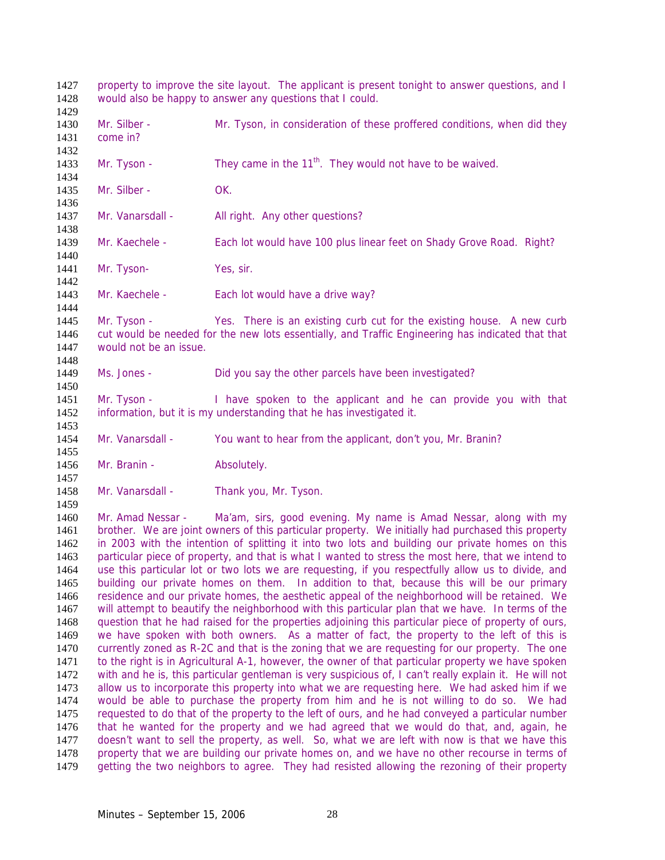property to improve the site layout. The applicant is present tonight to answer questions, and I would also be happy to answer any questions that I could. 1430 Mr. Silber - Mr. Tyson, in consideration of these proffered conditions, when did they come in? 1433 Mr. Tyson - They came in the  $11<sup>th</sup>$ . They would not have to be waived. Mr. Silber - OK. 1437 Mr. Vanarsdall - All right. Any other questions? Mr. Kaechele - Each lot would have 100 plus linear feet on Shady Grove Road. Right? 1440<br>1441 Mr. Tyson- Yes, sir. 1443 Mr. Kaechele - Each lot would have a drive way? Mr. Tyson - Yes. There is an existing curb cut for the existing house. A new curb cut would be needed for the new lots essentially, and Traffic Engineering has indicated that that would not be an issue. Ms. Jones - Did you say the other parcels have been investigated? Mr. Tyson - I have spoken to the applicant and he can provide you with that information, but it is my understanding that he has investigated it. Mr. Vanarsdall - You want to hear from the applicant, don't you, Mr. Branin? 1456 Mr. Branin - Absolutely. 1458 Mr. Vanarsdall - Thank you, Mr. Tyson. Mr. Amad Nessar - Ma'am, sirs, good evening. My name is Amad Nessar, along with my brother. We are joint owners of this particular property. We initially had purchased this property in 2003 with the intention of splitting it into two lots and building our private homes on this particular piece of property, and that is what I wanted to stress the most here, that we intend to use this particular lot or two lots we are requesting, if you respectfully allow us to divide, and building our private homes on them. In addition to that, because this will be our primary residence and our private homes, the aesthetic appeal of the neighborhood will be retained. We will attempt to beautify the neighborhood with this particular plan that we have. In terms of the question that he had raised for the properties adjoining this particular piece of property of ours, we have spoken with both owners. As a matter of fact, the property to the left of this is currently zoned as R-2C and that is the zoning that we are requesting for our property. The one to the right is in Agricultural A-1, however, the owner of that particular property we have spoken with and he is, this particular gentleman is very suspicious of, I can't really explain it. He will not allow us to incorporate this property into what we are requesting here. We had asked him if we would be able to purchase the property from him and he is not willing to do so. We had requested to do that of the property to the left of ours, and he had conveyed a particular number that he wanted for the property and we had agreed that we would do that, and, again, he doesn't want to sell the property, as well. So, what we are left with now is that we have this property that we are building our private homes on, and we have no other recourse in terms of getting the two neighbors to agree. They had resisted allowing the rezoning of their property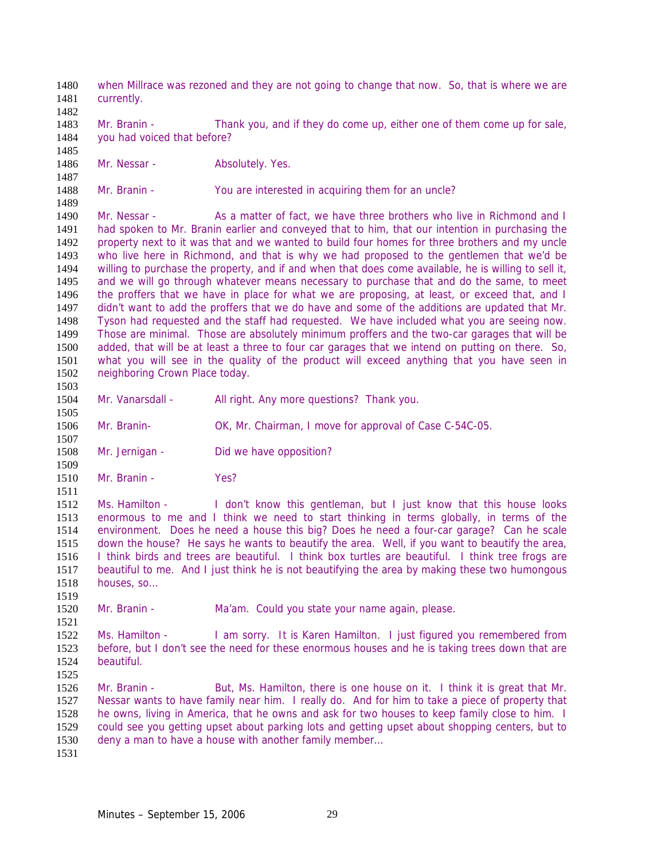when Millrace was rezoned and they are not going to change that now. So, that is where we are currently. 1483 Mr. Branin - Thank you, and if they do come up, either one of them come up for sale, you had voiced that before? 1486 Mr. Nessar - Absolutely. Yes. 1488 Mr. Branin - You are interested in acquiring them for an uncle? 1490 Mr. Nessar - As a matter of fact, we have three brothers who live in Richmond and I had spoken to Mr. Branin earlier and conveyed that to him, that our intention in purchasing the property next to it was that and we wanted to build four homes for three brothers and my uncle 1493 who live here in Richmond, and that is why we had proposed to the gentlemen that we'd be 1494 willing to purchase the property, and if and when that does come available, he is willing to sell it, willing to purchase the property, and if and when that does come available, he is willing to sell it, and we will go through whatever means necessary to purchase that and do the same, to meet the proffers that we have in place for what we are proposing, at least, or exceed that, and I didn't want to add the proffers that we do have and some of the additions are updated that Mr. Tyson had requested and the staff had requested. We have included what you are seeing now. Those are minimal. Those are absolutely minimum proffers and the two-car garages that will be added, that will be at least a three to four car garages that we intend on putting on there. So, what you will see in the quality of the product will exceed anything that you have seen in neighboring Crown Place today. 1504 Mr. Vanarsdall - All right. Any more questions? Thank you. Mr. Branin- OK, Mr. Chairman, I move for approval of Case C-54C-05. 1508 Mr. Jernigan - Did we have opposition? Mr. Branin - Yes? Ms. Hamilton - I don't know this gentleman, but I just know that this house looks enormous to me and I think we need to start thinking in terms globally, in terms of the environment. Does he need a house this big? Does he need a four-car garage? Can he scale down the house? He says he wants to beautify the area. Well, if you want to beautify the area, I think birds and trees are beautiful. I think box turtles are beautiful. I think tree frogs are beautiful to me. And I just think he is not beautifying the area by making these two humongous houses, so… Mr. Branin - Ma'am. Could you state your name again, please. Ms. Hamilton - I am sorry. It is Karen Hamilton. I just figured you remembered from before, but I don't see the need for these enormous houses and he is taking trees down that are beautiful. Mr. Branin - But, Ms. Hamilton, there is one house on it. I think it is great that Mr. Nessar wants to have family near him. I really do. And for him to take a piece of property that he owns, living in America, that he owns and ask for two houses to keep family close to him. I could see you getting upset about parking lots and getting upset about shopping centers, but to deny a man to have a house with another family member…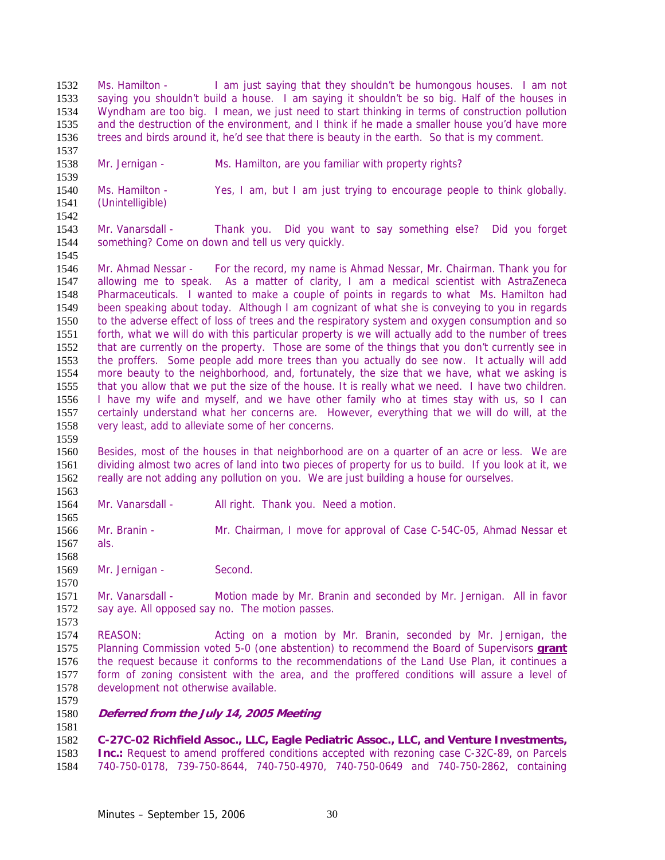Ms. Hamilton - I am just saying that they shouldn't be humongous houses. I am not saying you shouldn't build a house. I am saying it shouldn't be so big. Half of the houses in Wyndham are too big. I mean, we just need to start thinking in terms of construction pollution and the destruction of the environment, and I think if he made a smaller house you'd have more trees and birds around it, he'd see that there is beauty in the earth. So that is my comment.

Mr. Jernigan - Ms. Hamilton, are you familiar with property rights?

Ms. Hamilton - Yes, I am, but I am just trying to encourage people to think globally. (Unintelligible) 

Mr. Vanarsdall - Thank you. Did you want to say something else? Did you forget something? Come on down and tell us very quickly.

1545<br>1546 Mr. Ahmad Nessar - For the record, my name is Ahmad Nessar, Mr. Chairman. Thank you for allowing me to speak. As a matter of clarity, I am a medical scientist with AstraZeneca Pharmaceuticals. I wanted to make a couple of points in regards to what Ms. Hamilton had been speaking about today. Although I am cognizant of what she is conveying to you in regards to the adverse effect of loss of trees and the respiratory system and oxygen consumption and so forth, what we will do with this particular property is we will actually add to the number of trees that are currently on the property. Those are some of the things that you don't currently see in the proffers. Some people add more trees than you actually do see now. It actually will add more beauty to the neighborhood, and, fortunately, the size that we have, what we asking is that you allow that we put the size of the house. It is really what we need. I have two children. I have my wife and myself, and we have other family who at times stay with us, so I can certainly understand what her concerns are. However, everything that we will do will, at the very least, add to alleviate some of her concerns.

Besides, most of the houses in that neighborhood are on a quarter of an acre or less. We are dividing almost two acres of land into two pieces of property for us to build. If you look at it, we really are not adding any pollution on you. We are just building a house for ourselves. 

1564 Mr. Vanarsdall - All right. Thank you. Need a motion.

Mr. Branin - Mr. Chairman, I move for approval of Case C-54C-05, Ahmad Nessar et als.

 1569 Mr. Jernigan - Second.

Mr. Vanarsdall - Motion made by Mr. Branin and seconded by Mr. Jernigan. All in favor say aye. All opposed say no. The motion passes.

REASON: Acting on a motion by Mr. Branin, seconded by Mr. Jernigan, the Planning Commission voted 5-0 (one abstention) to recommend the Board of Supervisors **grant** the request because it conforms to the recommendations of the Land Use Plan, it continues a form of zoning consistent with the area, and the proffered conditions will assure a level of development not otherwise available.

#### **Deferred from the July 14, 2005 Meeting**

**C-27C-02 Richfield Assoc., LLC, Eagle Pediatric Assoc., LLC, and Venture Investments, Inc.:** Request to amend proffered conditions accepted with rezoning case C-32C-89, on Parcels 740-750-0178, 739-750-8644, 740-750-4970, 740-750-0649 and 740-750-2862, containing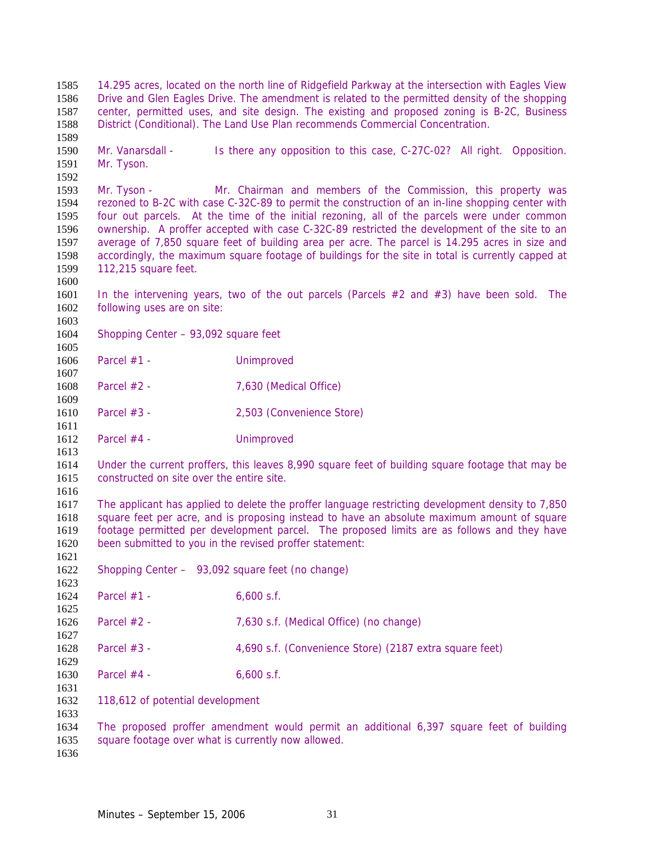14.295 acres, located on the north line of Ridgefield Parkway at the intersection with Eagles View Drive and Glen Eagles Drive. The amendment is related to the permitted density of the shopping center, permitted uses, and site design. The existing and proposed zoning is B-2C, Business District (Conditional). The Land Use Plan recommends Commercial Concentration. Mr. Vanarsdall - Is there any opposition to this case, C-27C-02? All right. Opposition. Mr. Tyson. Mr. Tyson - Mr. Chairman and members of the Commission, this property was rezoned to B-2C with case C-32C-89 to permit the construction of an in-line shopping center with four out parcels. At the time of the initial rezoning, all of the parcels were under common ownership. A proffer accepted with case C-32C-89 restricted the development of the site to an average of 7,850 square feet of building area per acre. The parcel is 14.295 acres in size and accordingly, the maximum square footage of buildings for the site in total is currently capped at  $112,215$  square feet. In the intervening years, two of the out parcels (Parcels #2 and #3) have been sold. The following uses are on site: Shopping Center – 93,092 square feet Parcel #1 - Unimproved Parcel #2 - 7,630 (Medical Office) Parcel #3 - 2,503 (Convenience Store) Parcel #4 - Unimproved Under the current proffers, this leaves 8,990 square feet of building square footage that may be constructed on site over the entire site. The applicant has applied to delete the proffer language restricting development density to 7,850 square feet per acre, and is proposing instead to have an absolute maximum amount of square footage permitted per development parcel. The proposed limits are as follows and they have been submitted to you in the revised proffer statement: Shopping Center – 93,092 square feet (no change) 1624 Parcel #1 - 6,600 s.f. Parcel #2 - 7,630 s.f. (Medical Office) (no change) Parcel #3 - 4,690 s.f. (Convenience Store) (2187 extra square feet) 1630 Parcel #4 - 6,600 s.f. 118,612 of potential development The proposed proffer amendment would permit an additional 6,397 square feet of building square footage over what is currently now allowed.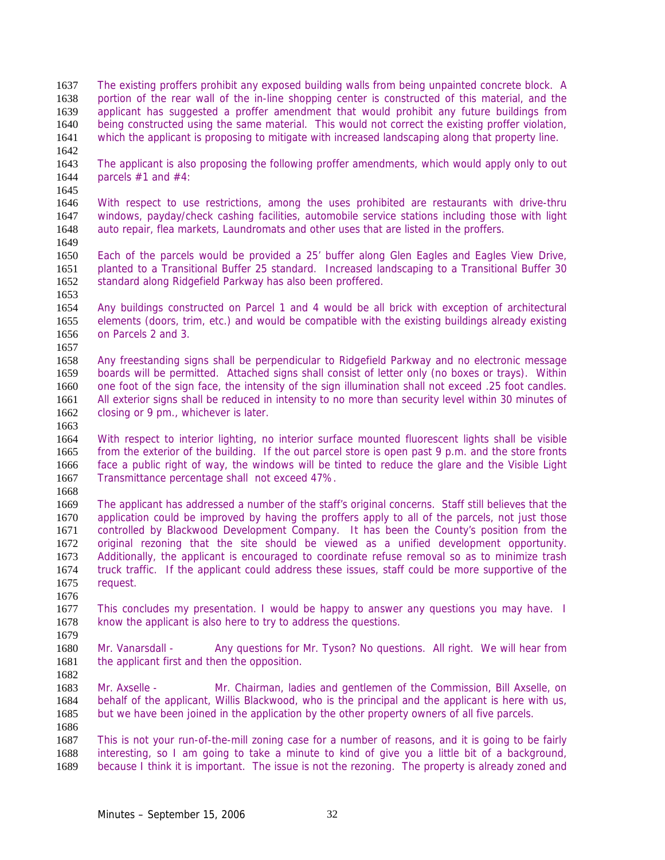The existing proffers prohibit any exposed building walls from being unpainted concrete block. A portion of the rear wall of the in-line shopping center is constructed of this material, and the applicant has suggested a proffer amendment that would prohibit any future buildings from being constructed using the same material. This would not correct the existing proffer violation, which the applicant is proposing to mitigate with increased landscaping along that property line.

The applicant is also proposing the following proffer amendments, which would apply only to out parcels #1 and #4:

With respect to use restrictions, among the uses prohibited are restaurants with drive-thru windows, payday/check cashing facilities, automobile service stations including those with light auto repair, flea markets, Laundromats and other uses that are listed in the proffers. 

1650 Each of the parcels would be provided a 25' buffer along Glen Eagles and Eagles View Drive,<br>1651 planted to a Transitional Buffer 25 standard. Increased landscaping to a Transitional Buffer 30 planted to a Transitional Buffer 25 standard. Increased landscaping to a Transitional Buffer 30 standard along Ridgefield Parkway has also been proffered.

- Any buildings constructed on Parcel 1 and 4 would be all brick with exception of architectural elements (doors, trim, etc.) and would be compatible with the existing buildings already existing on Parcels 2 and 3.
- Any freestanding signs shall be perpendicular to Ridgefield Parkway and no electronic message boards will be permitted. Attached signs shall consist of letter only (no boxes or trays). Within one foot of the sign face, the intensity of the sign illumination shall not exceed .25 foot candles. All exterior signs shall be reduced in intensity to no more than security level within 30 minutes of 1662 closing or 9 pm., whichever is later.
- With respect to interior lighting, no interior surface mounted fluorescent lights shall be visible from the exterior of the building. If the out parcel store is open past 9 p.m. and the store fronts face a public right of way, the windows will be tinted to reduce the glare and the Visible Light Transmittance percentage shall not exceed 47%.
- 

- The applicant has addressed a number of the staff's original concerns. Staff still believes that the application could be improved by having the proffers apply to all of the parcels, not just those controlled by Blackwood Development Company. It has been the County's position from the original rezoning that the site should be viewed as a unified development opportunity. Additionally, the applicant is encouraged to coordinate refuse removal so as to minimize trash truck traffic. If the applicant could address these issues, staff could be more supportive of the request.
- 1677 This concludes my presentation. I would be happy to answer any questions you may have. I know the applicant is also here to try to address the questions.
- 1680 Mr. Vanarsdall - Any questions for Mr. Tyson? No questions. All right. We will hear from 1681 the applicant first and then the opposition.
- Mr. Axselle - Mr. Chairman, ladies and gentlemen of the Commission, Bill Axselle, on behalf of the applicant, Willis Blackwood, who is the principal and the applicant is here with us, but we have been joined in the application by the other property owners of all five parcels.
- 
- This is not your run-of-the-mill zoning case for a number of reasons, and it is going to be fairly interesting, so I am going to take a minute to kind of give you a little bit of a background, because I think it is important. The issue is not the rezoning. The property is already zoned and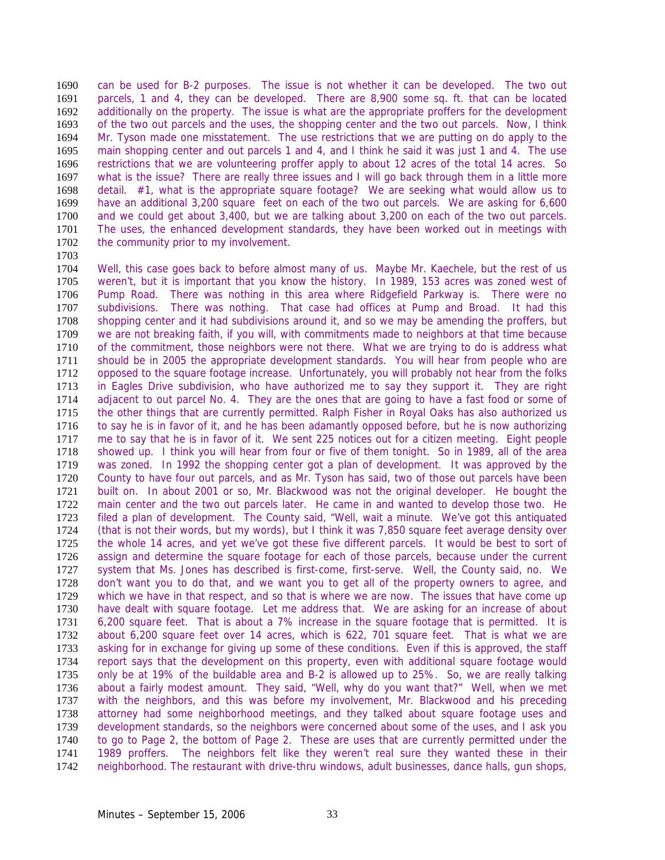can be used for B-2 purposes. The issue is not whether it can be developed. The two out parcels, 1 and 4, they can be developed. There are 8,900 some sq. ft. that can be located additionally on the property. The issue is what are the appropriate proffers for the development of the two out parcels and the uses, the shopping center and the two out parcels. Now, I think Mr. Tyson made one misstatement. The use restrictions that we are putting on do apply to the main shopping center and out parcels 1 and 4, and I think he said it was just 1 and 4. The use restrictions that we are volunteering proffer apply to about 12 acres of the total 14 acres. So what is the issue? There are really three issues and I will go back through them in a little more detail. #1, what is the appropriate square footage? We are seeking what would allow us to have an additional 3,200 square feet on each of the two out parcels. We are asking for 6,600 and we could get about 3,400, but we are talking about 3,200 on each of the two out parcels. The uses, the enhanced development standards, they have been worked out in meetings with 1702 the community prior to my involvement.

1703<br>1704

Well, this case goes back to before almost many of us. Maybe Mr. Kaechele, but the rest of us weren't, but it is important that you know the history. In 1989, 153 acres was zoned west of Pump Road. There was nothing in this area where Ridgefield Parkway is. There were no subdivisions. There was nothing. That case had offices at Pump and Broad. It had this shopping center and it had subdivisions around it, and so we may be amending the proffers, but we are not breaking faith, if you will, with commitments made to neighbors at that time because of the commitment, those neighbors were not there. What we are trying to do is address what should be in 2005 the appropriate development standards. You will hear from people who are opposed to the square footage increase. Unfortunately, you will probably not hear from the folks in Eagles Drive subdivision, who have authorized me to say they support it. They are right adjacent to out parcel No. 4. They are the ones that are going to have a fast food or some of the other things that are currently permitted. Ralph Fisher in Royal Oaks has also authorized us to say he is in favor of it, and he has been adamantly opposed before, but he is now authorizing me to say that he is in favor of it. We sent 225 notices out for a citizen meeting. Eight people showed up. I think you will hear from four or five of them tonight. So in 1989, all of the area was zoned. In 1992 the shopping center got a plan of development. It was approved by the County to have four out parcels, and as Mr. Tyson has said, two of those out parcels have been built on. In about 2001 or so, Mr. Blackwood was not the original developer. He bought the main center and the two out parcels later. He came in and wanted to develop those two. He filed a plan of development. The County said, "Well, wait a minute. We've got this antiquated (that is not their words, but my words), but I think it was 7,850 square feet average density over the whole 14 acres, and yet we've got these five different parcels. It would be best to sort of assign and determine the square footage for each of those parcels, because under the current system that Ms. Jones has described is first-come, first-serve. Well, the County said, no. We don't want you to do that, and we want you to get all of the property owners to agree, and which we have in that respect, and so that is where we are now. The issues that have come up have dealt with square footage. Let me address that. We are asking for an increase of about 6,200 square feet. That is about a 7% increase in the square footage that is permitted. It is about 6,200 square feet over 14 acres, which is 622, 701 square feet. That is what we are asking for in exchange for giving up some of these conditions. Even if this is approved, the staff report says that the development on this property, even with additional square footage would only be at 19% of the buildable area and B-2 is allowed up to 25%. So, we are really talking about a fairly modest amount. They said, "Well, why do you want that?" Well, when we met with the neighbors, and this was before my involvement, Mr. Blackwood and his preceding attorney had some neighborhood meetings, and they talked about square footage uses and development standards, so the neighbors were concerned about some of the uses, and I ask you to go to Page 2, the bottom of Page 2. These are uses that are currently permitted under the 1989 proffers. The neighbors felt like they weren't real sure they wanted these in their neighborhood. The restaurant with drive-thru windows, adult businesses, dance halls, gun shops,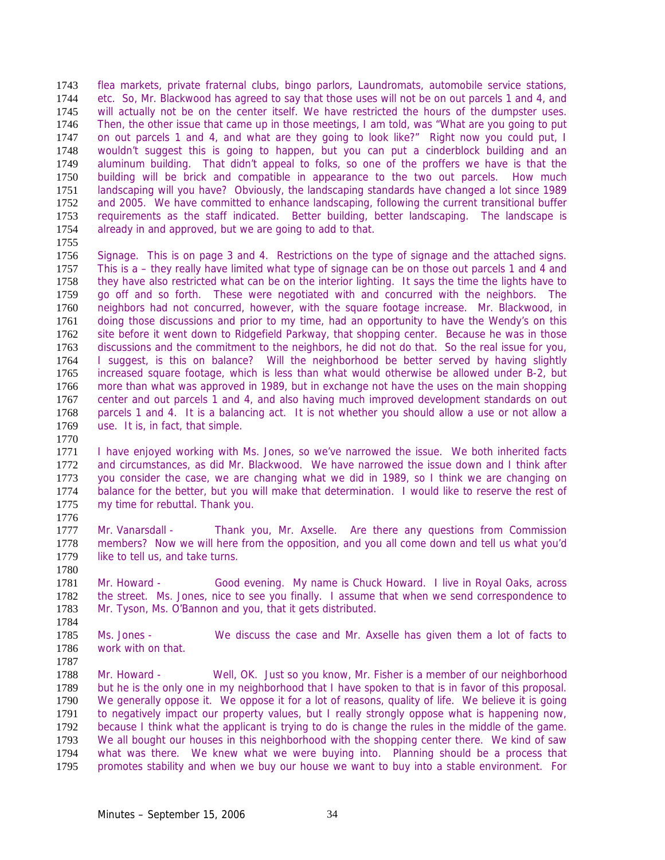flea markets, private fraternal clubs, bingo parlors, Laundromats, automobile service stations, etc. So, Mr. Blackwood has agreed to say that those uses will not be on out parcels 1 and 4, and will actually not be on the center itself. We have restricted the hours of the dumpster uses. Then, the other issue that came up in those meetings, I am told, was "What are you going to put on out parcels 1 and 4, and what are they going to look like?" Right now you could put, I wouldn't suggest this is going to happen, but you can put a cinderblock building and an aluminum building. That didn't appeal to folks, so one of the proffers we have is that the building will be brick and compatible in appearance to the two out parcels. How much landscaping will you have? Obviously, the landscaping standards have changed a lot since 1989 and 2005. We have committed to enhance landscaping, following the current transitional buffer requirements as the staff indicated. Better building, better landscaping. The landscape is already in and approved, but we are going to add to that.

1756 Signage. This is on page 3 and 4. Restrictions on the type of signage and the attached signs.<br>1757 This is a – they really have limited what type of signage can be on those out parcels 1 and 4 and This is a – they really have limited what type of signage can be on those out parcels 1 and 4 and they have also restricted what can be on the interior lighting. It says the time the lights have to go off and so forth. These were negotiated with and concurred with the neighbors. The neighbors had not concurred, however, with the square footage increase. Mr. Blackwood, in doing those discussions and prior to my time, had an opportunity to have the Wendy's on this site before it went down to Ridgefield Parkway, that shopping center. Because he was in those discussions and the commitment to the neighbors, he did not do that. So the real issue for you, I suggest, is this on balance? Will the neighborhood be better served by having slightly increased square footage, which is less than what would otherwise be allowed under B-2, but more than what was approved in 1989, but in exchange not have the uses on the main shopping center and out parcels 1 and 4, and also having much improved development standards on out parcels 1 and 4. It is a balancing act. It is not whether you should allow a use or not allow a use. It is, in fact, that simple.

I have enjoyed working with Ms. Jones, so we've narrowed the issue. We both inherited facts and circumstances, as did Mr. Blackwood. We have narrowed the issue down and I think after you consider the case, we are changing what we did in 1989, so I think we are changing on balance for the better, but you will make that determination. I would like to reserve the rest of my time for rebuttal. Thank you. 

- Mr. Vanarsdall Thank you, Mr. Axselle. Are there any questions from Commission members? Now we will here from the opposition, and you all come down and tell us what you'd 1779 like to tell us, and take turns.
- Mr. Howard Good evening. My name is Chuck Howard. I live in Royal Oaks, across the street. Ms. Jones, nice to see you finally. I assume that when we send correspondence to Mr. Tyson, Ms. O'Bannon and you, that it gets distributed.
- Ms. Jones We discuss the case and Mr. Axselle has given them a lot of facts to work with on that.
- Mr. Howard Well, OK. Just so you know, Mr. Fisher is a member of our neighborhood but he is the only one in my neighborhood that I have spoken to that is in favor of this proposal. We generally oppose it. We oppose it for a lot of reasons, quality of life. We believe it is going to negatively impact our property values, but I really strongly oppose what is happening now, because I think what the applicant is trying to do is change the rules in the middle of the game. We all bought our houses in this neighborhood with the shopping center there. We kind of saw what was there. We knew what we were buying into. Planning should be a process that promotes stability and when we buy our house we want to buy into a stable environment. For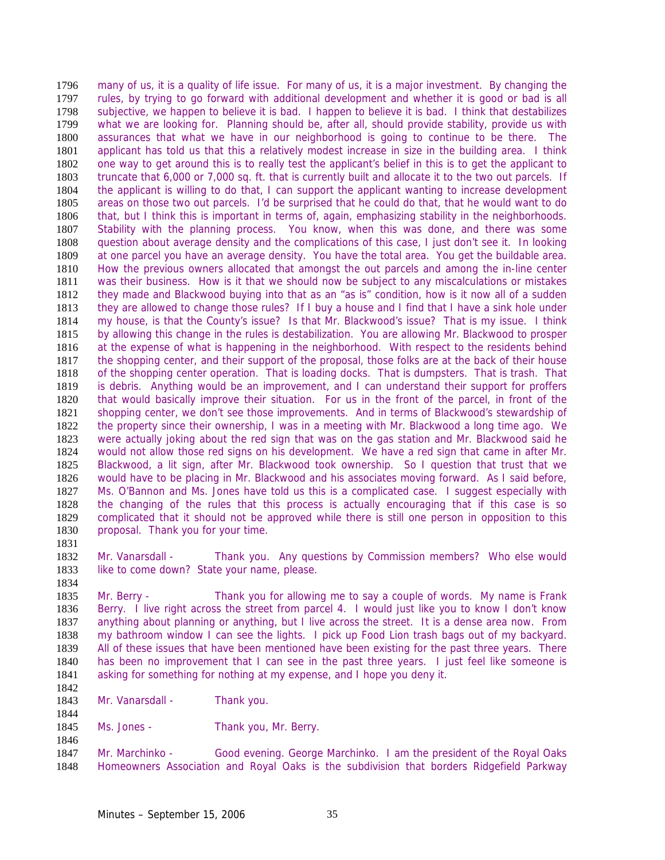many of us, it is a quality of life issue. For many of us, it is a major investment. By changing the rules, by trying to go forward with additional development and whether it is good or bad is all subjective, we happen to believe it is bad. I happen to believe it is bad. I think that destabilizes what we are looking for. Planning should be, after all, should provide stability, provide us with assurances that what we have in our neighborhood is going to continue to be there. The applicant has told us that this a relatively modest increase in size in the building area. I think one way to get around this is to really test the applicant's belief in this is to get the applicant to truncate that 6,000 or 7,000 sq. ft. that is currently built and allocate it to the two out parcels. If the applicant is willing to do that, I can support the applicant wanting to increase development areas on those two out parcels. I'd be surprised that he could do that, that he would want to do that, but I think this is important in terms of, again, emphasizing stability in the neighborhoods. Stability with the planning process. You know, when this was done, and there was some question about average density and the complications of this case, I just don't see it. In looking 1809 at one parcel you have an average density. You have the total area. You get the buildable area.<br>1810 How the previous owners allocated that amongst the out parcels and among the in-line center How the previous owners allocated that amongst the out parcels and among the in-line center was their business. How is it that we should now be subject to any miscalculations or mistakes they made and Blackwood buying into that as an "as is" condition, how is it now all of a sudden they are allowed to change those rules? If I buy a house and I find that I have a sink hole under my house, is that the County's issue? Is that Mr. Blackwood's issue? That is my issue. I think by allowing this change in the rules is destabilization. You are allowing Mr. Blackwood to prosper at the expense of what is happening in the neighborhood. With respect to the residents behind the shopping center, and their support of the proposal, those folks are at the back of their house of the shopping center operation. That is loading docks. That is dumpsters. That is trash. That is debris. Anything would be an improvement, and I can understand their support for proffers that would basically improve their situation. For us in the front of the parcel, in front of the shopping center, we don't see those improvements. And in terms of Blackwood's stewardship of the property since their ownership, I was in a meeting with Mr. Blackwood a long time ago. We were actually joking about the red sign that was on the gas station and Mr. Blackwood said he would not allow those red signs on his development. We have a red sign that came in after Mr. Blackwood, a lit sign, after Mr. Blackwood took ownership. So I question that trust that we would have to be placing in Mr. Blackwood and his associates moving forward. As I said before, Ms. O'Bannon and Ms. Jones have told us this is a complicated case. I suggest especially with the changing of the rules that this process is actually encouraging that if this case is so complicated that it should not be approved while there is still one person in opposition to this proposal. Thank you for your time.

Mr. Vanarsdall - Thank you. Any questions by Commission members? Who else would 1833 like to come down? State your name, please.

Mr. Berry - Thank you for allowing me to say a couple of words. My name is Frank Berry. I live right across the street from parcel 4. I would just like you to know I don't know anything about planning or anything, but I live across the street. It is a dense area now. From my bathroom window I can see the lights. I pick up Food Lion trash bags out of my backyard. All of these issues that have been mentioned have been existing for the past three years. There has been no improvement that I can see in the past three years. I just feel like someone is asking for something for nothing at my expense, and I hope you deny it. 

- 1843 Mr. Vanarsdall Thank you.
- Ms. Jones Thank you, Mr. Berry.

Mr. Marchinko - Good evening. George Marchinko. I am the president of the Royal Oaks Homeowners Association and Royal Oaks is the subdivision that borders Ridgefield Parkway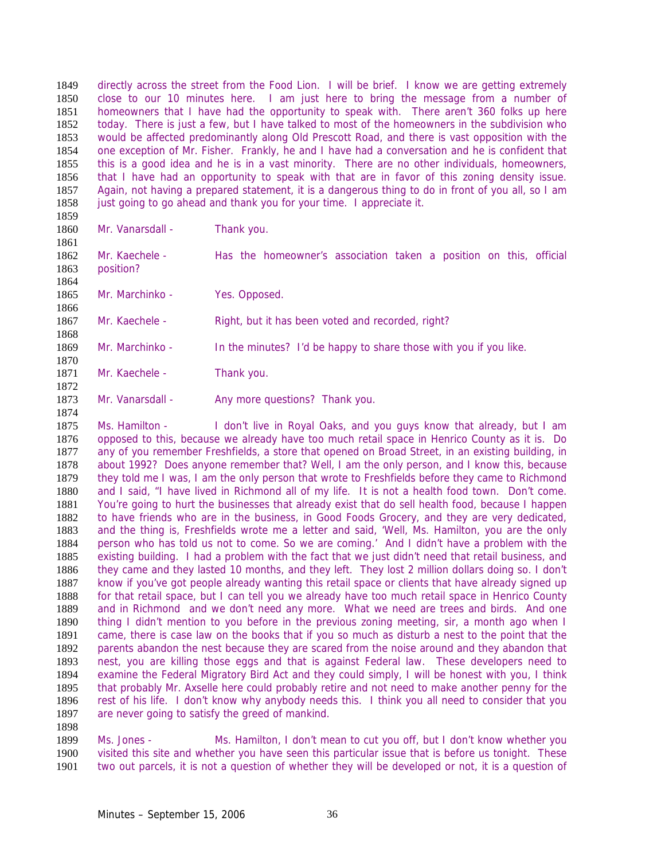directly across the street from the Food Lion. I will be brief. I know we are getting extremely close to our 10 minutes here. I am just here to bring the message from a number of homeowners that I have had the opportunity to speak with. There aren't 360 folks up here today. There is just a few, but I have talked to most of the homeowners in the subdivision who would be affected predominantly along Old Prescott Road, and there is vast opposition with the one exception of Mr. Fisher. Frankly, he and I have had a conversation and he is confident that this is a good idea and he is in a vast minority. There are no other individuals, homeowners, that I have had an opportunity to speak with that are in favor of this zoning density issue. Again, not having a prepared statement, it is a dangerous thing to do in front of you all, so I am 1858 just going to go ahead and thank you for your time. I appreciate it.

 

1860 Mr. Vanarsdall - Thank you.

1862 Mr. Kaechele - Has the homeowner's association taken a position on this, official 1863 position? position? 

1865 Mr. Marchinko - Yes. Opposed. 

1867 Mr. Kaechele - Right, but it has been voted and recorded, right? 

Mr. Marchinko - In the minutes? I'd be happy to share those with you if you like. 

1871 Mr. Kaechele - Thank you.

1873 Mr. Vanarsdall - Any more questions? Thank you. 

Ms. Hamilton - I don't live in Royal Oaks, and you guys know that already, but I am opposed to this, because we already have too much retail space in Henrico County as it is. Do any of you remember Freshfields, a store that opened on Broad Street, in an existing building, in about 1992? Does anyone remember that? Well, I am the only person, and I know this, because they told me I was, I am the only person that wrote to Freshfields before they came to Richmond and I said, "I have lived in Richmond all of my life. It is not a health food town. Don't come. You're going to hurt the businesses that already exist that do sell health food, because I happen to have friends who are in the business, in Good Foods Grocery, and they are very dedicated, and the thing is, Freshfields wrote me a letter and said, 'Well, Ms. Hamilton, you are the only person who has told us not to come. So we are coming.' And I didn't have a problem with the existing building. I had a problem with the fact that we just didn't need that retail business, and they came and they lasted 10 months, and they left. They lost 2 million dollars doing so. I don't know if you've got people already wanting this retail space or clients that have already signed up for that retail space, but I can tell you we already have too much retail space in Henrico County and in Richmond and we don't need any more. What we need are trees and birds. And one thing I didn't mention to you before in the previous zoning meeting, sir, a month ago when I came, there is case law on the books that if you so much as disturb a nest to the point that the parents abandon the nest because they are scared from the noise around and they abandon that nest, you are killing those eggs and that is against Federal law. These developers need to examine the Federal Migratory Bird Act and they could simply, I will be honest with you, I think that probably Mr. Axselle here could probably retire and not need to make another penny for the rest of his life. I don't know why anybody needs this. I think you all need to consider that you are never going to satisfy the greed of mankind.

Ms. Jones - Ms. Hamilton, I don't mean to cut you off, but I don't know whether you visited this site and whether you have seen this particular issue that is before us tonight. These two out parcels, it is not a question of whether they will be developed or not, it is a question of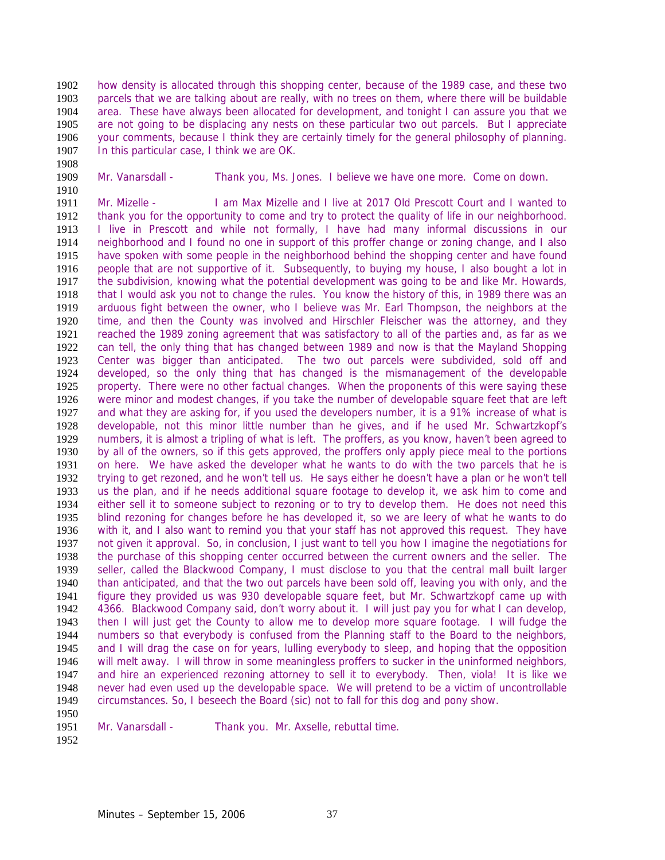how density is allocated through this shopping center, because of the 1989 case, and these two parcels that we are talking about are really, with no trees on them, where there will be buildable area. These have always been allocated for development, and tonight I can assure you that we are not going to be displacing any nests on these particular two out parcels. But I appreciate your comments, because I think they are certainly timely for the general philosophy of planning. 1907 In this particular case, I think we are OK.

Mr. Vanarsdall - Thank you, Ms. Jones. I believe we have one more. Come on down.

Mr. Mizelle - I am Max Mizelle and I live at 2017 Old Prescott Court and I wanted to thank you for the opportunity to come and try to protect the quality of life in our neighborhood. I live in Prescott and while not formally, I have had many informal discussions in our neighborhood and I found no one in support of this proffer change or zoning change, and I also 1915 have spoken with some people in the neighborhood behind the shopping center and have found<br>1916 people that are not supportive of it. Subsequently, to buying my house, I also bought a lot in people that are not supportive of it. Subsequently, to buying my house, I also bought a lot in the subdivision, knowing what the potential development was going to be and like Mr. Howards, that I would ask you not to change the rules. You know the history of this, in 1989 there was an arduous fight between the owner, who I believe was Mr. Earl Thompson, the neighbors at the time, and then the County was involved and Hirschler Fleischer was the attorney, and they reached the 1989 zoning agreement that was satisfactory to all of the parties and, as far as we can tell, the only thing that has changed between 1989 and now is that the Mayland Shopping Center was bigger than anticipated. The two out parcels were subdivided, sold off and developed, so the only thing that has changed is the mismanagement of the developable property. There were no other factual changes. When the proponents of this were saying these were minor and modest changes, if you take the number of developable square feet that are left and what they are asking for, if you used the developers number, it is a 91% increase of what is developable, not this minor little number than he gives, and if he used Mr. Schwartzkopf's numbers, it is almost a tripling of what is left. The proffers, as you know, haven't been agreed to by all of the owners, so if this gets approved, the proffers only apply piece meal to the portions on here. We have asked the developer what he wants to do with the two parcels that he is trying to get rezoned, and he won't tell us. He says either he doesn't have a plan or he won't tell us the plan, and if he needs additional square footage to develop it, we ask him to come and either sell it to someone subject to rezoning or to try to develop them. He does not need this blind rezoning for changes before he has developed it, so we are leery of what he wants to do with it, and I also want to remind you that your staff has not approved this request. They have not given it approval. So, in conclusion, I just want to tell you how I imagine the negotiations for the purchase of this shopping center occurred between the current owners and the seller. The seller, called the Blackwood Company, I must disclose to you that the central mall built larger than anticipated, and that the two out parcels have been sold off, leaving you with only, and the figure they provided us was 930 developable square feet, but Mr. Schwartzkopf came up with 4366. Blackwood Company said, don't worry about it. I will just pay you for what I can develop, then I will just get the County to allow me to develop more square footage. I will fudge the numbers so that everybody is confused from the Planning staff to the Board to the neighbors, and I will drag the case on for years, lulling everybody to sleep, and hoping that the opposition will melt away. I will throw in some meaningless proffers to sucker in the uninformed neighbors, and hire an experienced rezoning attorney to sell it to everybody. Then, viola! It is like we never had even used up the developable space. We will pretend to be a victim of uncontrollable circumstances. So, I beseech the Board (sic) not to fall for this dog and pony show. 

Mr. Vanarsdall - Thank you. Mr. Axselle, rebuttal time.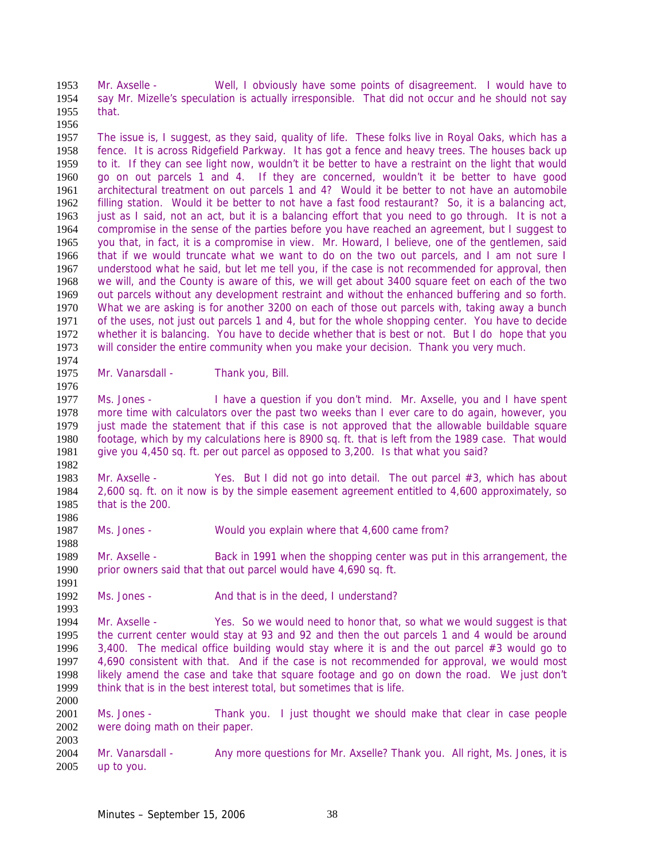Mr. Axselle - Well, I obviously have some points of disagreement. I would have to say Mr. Mizelle's speculation is actually irresponsible. That did not occur and he should not say that.

The issue is, I suggest, as they said, quality of life. These folks live in Royal Oaks, which has a fence. It is across Ridgefield Parkway. It has got a fence and heavy trees. The houses back up to it. If they can see light now, wouldn't it be better to have a restraint on the light that would go on out parcels 1 and 4. If they are concerned, wouldn't it be better to have good architectural treatment on out parcels 1 and 4? Would it be better to not have an automobile filling station. Would it be better to not have a fast food restaurant? So, it is a balancing act, just as I said, not an act, but it is a balancing effort that you need to go through. It is not a compromise in the sense of the parties before you have reached an agreement, but I suggest to you that, in fact, it is a compromise in view. Mr. Howard, I believe, one of the gentlemen, said 1966 that if we would truncate what we want to do on the two out parcels, and I am not sure I<br>1967 understood what he said, but let me tell you, if the case is not recommended for approval, then understood what he said, but let me tell you, if the case is not recommended for approval, then we will, and the County is aware of this, we will get about 3400 square feet on each of the two out parcels without any development restraint and without the enhanced buffering and so forth. What we are asking is for another 3200 on each of those out parcels with, taking away a bunch of the uses, not just out parcels 1 and 4, but for the whole shopping center. You have to decide whether it is balancing. You have to decide whether that is best or not. But I do hope that you will consider the entire community when you make your decision. Thank you very much.

1975 Mr. Vanarsdall - Thank you, Bill.

Ms. Jones - I have a question if you don't mind. Mr. Axselle, you and I have spent more time with calculators over the past two weeks than I ever care to do again, however, you just made the statement that if this case is not approved that the allowable buildable square footage, which by my calculations here is 8900 sq. ft. that is left from the 1989 case. That would give you 4,450 sq. ft. per out parcel as opposed to 3,200. Is that what you said? 

Mr. Axselle - Yes. But I did not go into detail. The out parcel #3, which has about 2,600 sq. ft. on it now is by the simple easement agreement entitled to 4,600 approximately, so that is the 200. 

Ms. Jones - Would you explain where that 4,600 came from?

Mr. Axselle - Back in 1991 when the shopping center was put in this arrangement, the prior owners said that that out parcel would have 4,690 sq. ft.

1991<br>1992 Ms. Jones - And that is in the deed, I understand?

Mr. Axselle - Yes. So we would need to honor that, so what we would suggest is that the current center would stay at 93 and 92 and then the out parcels 1 and 4 would be around 1996 3,400. The medical office building would stay where it is and the out parcel  $#3$  would go to 4,690 consistent with that. And if the case is not recommended for approval, we would most likely amend the case and take that square footage and go on down the road. We just don't think that is in the best interest total, but sometimes that is life.

Ms. Jones - Thank you. I just thought we should make that clear in case people were doing math on their paper. 

2004 Mr. Vanarsdall - Any more questions for Mr. Axselle? Thank you. All right, Ms. Jones, it is up to you.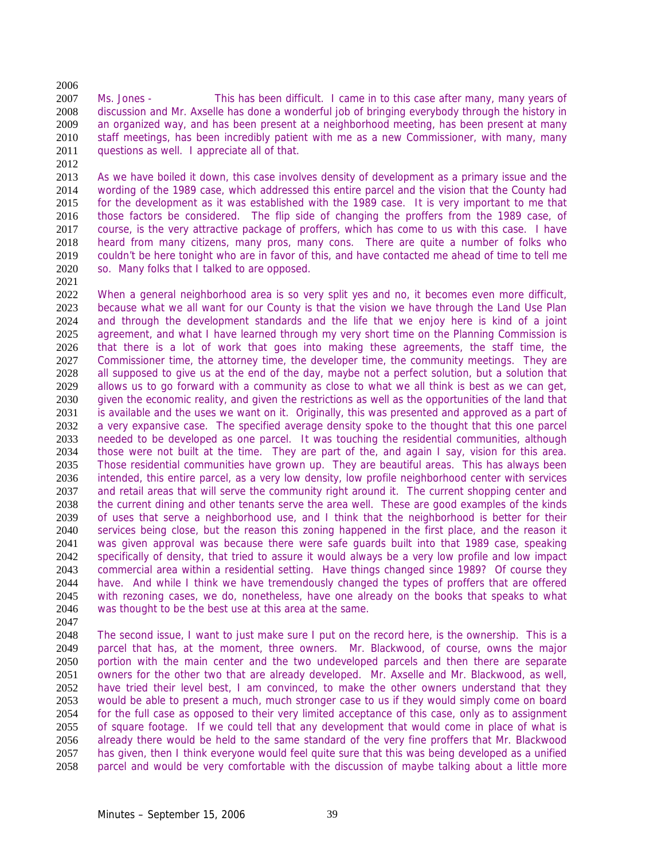Ms. Jones - This has been difficult. I came in to this case after many, many years of discussion and Mr. Axselle has done a wonderful job of bringing everybody through the history in an organized way, and has been present at a neighborhood meeting, has been present at many staff meetings, has been incredibly patient with me as a new Commissioner, with many, many 2011 guestions as well. I appreciate all of that.

As we have boiled it down, this case involves density of development as a primary issue and the wording of the 1989 case, which addressed this entire parcel and the vision that the County had for the development as it was established with the 1989 case. It is very important to me that those factors be considered. The flip side of changing the proffers from the 1989 case, of course, is the very attractive package of proffers, which has come to us with this case. I have heard from many citizens, many pros, many cons. There are quite a number of folks who 2019 couldn't be here tonight who are in favor of this, and have contacted me ahead of time to tell me<br>2020 so. Many folks that I talked to are opposed. so. Many folks that I talked to are opposed.

When a general neighborhood area is so very split yes and no, it becomes even more difficult, because what we all want for our County is that the vision we have through the Land Use Plan and through the development standards and the life that we enjoy here is kind of a joint 2025 agreement, and what I have learned through my very short time on the Planning Commission is that there is a lot of work that goes into making these agreements, the staff time, the Commissioner time, the attorney time, the developer time, the community meetings. They are all supposed to give us at the end of the day, maybe not a perfect solution, but a solution that allows us to go forward with a community as close to what we all think is best as we can get, given the economic reality, and given the restrictions as well as the opportunities of the land that is available and the uses we want on it. Originally, this was presented and approved as a part of a very expansive case. The specified average density spoke to the thought that this one parcel needed to be developed as one parcel. It was touching the residential communities, although those were not built at the time. They are part of the, and again I say, vision for this area. Those residential communities have grown up. They are beautiful areas. This has always been intended, this entire parcel, as a very low density, low profile neighborhood center with services and retail areas that will serve the community right around it. The current shopping center and the current dining and other tenants serve the area well. These are good examples of the kinds of uses that serve a neighborhood use, and I think that the neighborhood is better for their services being close, but the reason this zoning happened in the first place, and the reason it was given approval was because there were safe guards built into that 1989 case, speaking specifically of density, that tried to assure it would always be a very low profile and low impact commercial area within a residential setting. Have things changed since 1989? Of course they have. And while I think we have tremendously changed the types of proffers that are offered with rezoning cases, we do, nonetheless, have one already on the books that speaks to what was thought to be the best use at this area at the same.

The second issue, I want to just make sure I put on the record here, is the ownership. This is a parcel that has, at the moment, three owners. Mr. Blackwood, of course, owns the major portion with the main center and the two undeveloped parcels and then there are separate owners for the other two that are already developed. Mr. Axselle and Mr. Blackwood, as well, have tried their level best, I am convinced, to make the other owners understand that they would be able to present a much, much stronger case to us if they would simply come on board for the full case as opposed to their very limited acceptance of this case, only as to assignment of square footage. If we could tell that any development that would come in place of what is already there would be held to the same standard of the very fine proffers that Mr. Blackwood has given, then I think everyone would feel quite sure that this was being developed as a unified parcel and would be very comfortable with the discussion of maybe talking about a little more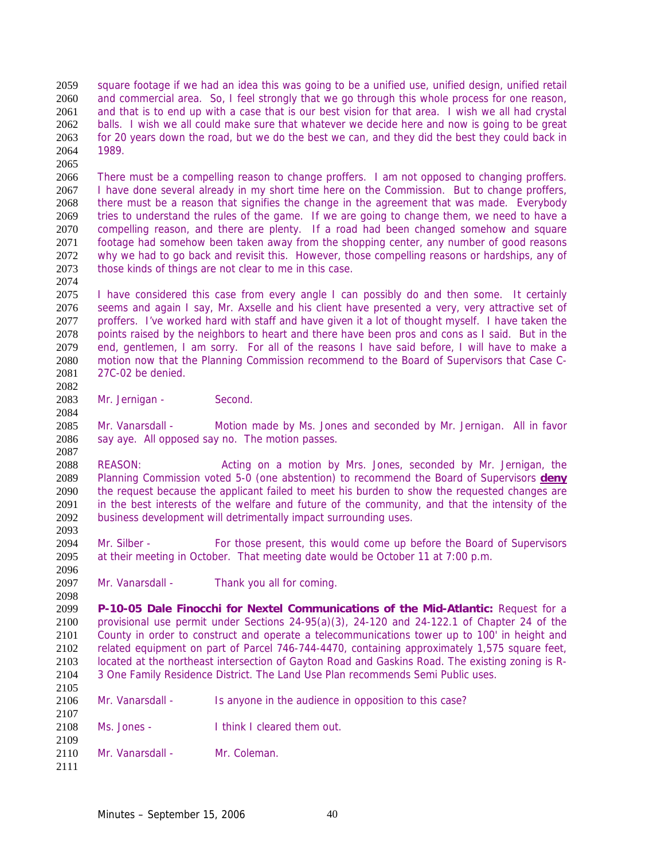square footage if we had an idea this was going to be a unified use, unified design, unified retail and commercial area. So, I feel strongly that we go through this whole process for one reason, and that is to end up with a case that is our best vision for that area. I wish we all had crystal balls. I wish we all could make sure that whatever we decide here and now is going to be great for 20 years down the road, but we do the best we can, and they did the best they could back in 1989.

There must be a compelling reason to change proffers. I am not opposed to changing proffers. I have done several already in my short time here on the Commission. But to change proffers, there must be a reason that signifies the change in the agreement that was made. Everybody tries to understand the rules of the game. If we are going to change them, we need to have a compelling reason, and there are plenty. If a road had been changed somehow and square footage had somehow been taken away from the shopping center, any number of good reasons 2072 why we had to go back and revisit this. However, those compelling reasons or hardships, any of 2073 those kinds of things are not clear to me in this case. those kinds of things are not clear to me in this case.

I have considered this case from every angle I can possibly do and then some. It certainly seems and again I say, Mr. Axselle and his client have presented a very, very attractive set of proffers. I've worked hard with staff and have given it a lot of thought myself. I have taken the points raised by the neighbors to heart and there have been pros and cons as I said. But in the end, gentlemen, I am sorry. For all of the reasons I have said before, I will have to make a motion now that the Planning Commission recommend to the Board of Supervisors that Case C-27C-02 be denied.

2083 Mr. Jernigan - Second.

Mr. Vanarsdall - Motion made by Ms. Jones and seconded by Mr. Jernigan. All in favor 2086 say aye. All opposed say no. The motion passes.

REASON: Acting on a motion by Mrs. Jones, seconded by Mr. Jernigan, the Planning Commission voted 5-0 (one abstention) to recommend the Board of Supervisors **deny** the request because the applicant failed to meet his burden to show the requested changes are in the best interests of the welfare and future of the community, and that the intensity of the business development will detrimentally impact surrounding uses. 

2094 Mr. Silber - For those present, this would come up before the Board of Supervisors at their meeting in October. That meeting date would be October 11 at 7:00 p.m.

2097 Mr. Vanarsdall - Thank you all for coming.

**P-10-05 Dale Finocchi for Nextel Communications of the Mid-Atlantic:** Request for a provisional use permit under Sections 24-95(a)(3), 24-120 and 24-122.1 of Chapter 24 of the County in order to construct and operate a telecommunications tower up to 100' in height and related equipment on part of Parcel 746-744-4470, containing approximately 1,575 square feet, located at the northeast intersection of Gayton Road and Gaskins Road. The existing zoning is R-3 One Family Residence District. The Land Use Plan recommends Semi Public uses. 

- Mr. Vanarsdall Is anyone in the audience in opposition to this case?
- Ms. Jones I think I cleared them out.
- 2110 Mr. Vanarsdall Mr. Coleman.
-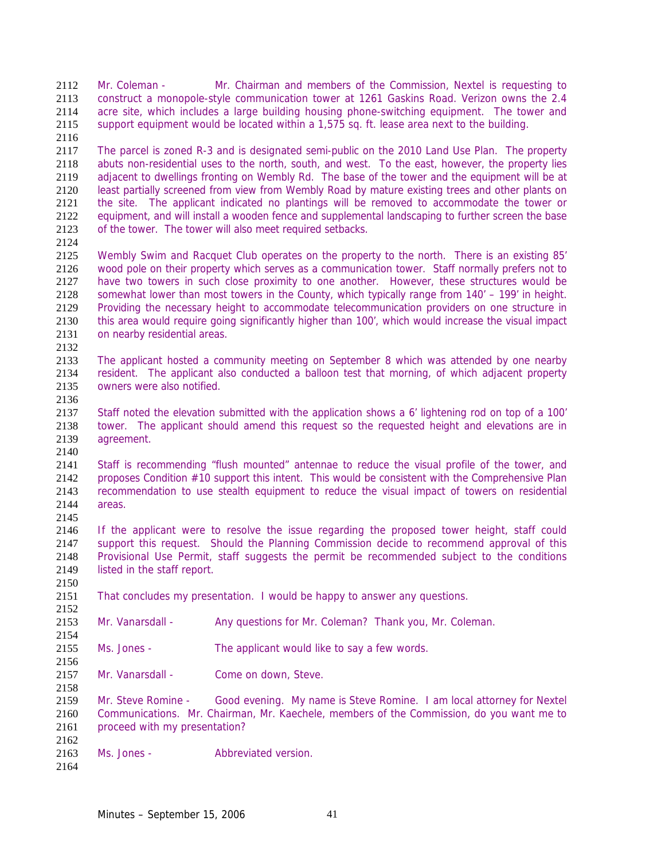Mr. Coleman - Mr. Chairman and members of the Commission, Nextel is requesting to construct a monopole-style communication tower at 1261 Gaskins Road. Verizon owns the 2.4 acre site, which includes a large building housing phone-switching equipment. The tower and support equipment would be located within a 1,575 sq. ft. lease area next to the building.

The parcel is zoned R-3 and is designated semi-public on the 2010 Land Use Plan. The property abuts non-residential uses to the north, south, and west. To the east, however, the property lies adjacent to dwellings fronting on Wembly Rd. The base of the tower and the equipment will be at least partially screened from view from Wembly Road by mature existing trees and other plants on the site. The applicant indicated no plantings will be removed to accommodate the tower or equipment, and will install a wooden fence and supplemental landscaping to further screen the base of the tower. The tower will also meet required setbacks.

2125 Wembly Swim and Racquet Club operates on the property to the north. There is an existing 85'<br>2126 wood pole on their property which serves as a communication tower. Staff normally prefers not to wood pole on their property which serves as a communication tower. Staff normally prefers not to have two towers in such close proximity to one another. However, these structures would be somewhat lower than most towers in the County, which typically range from 140' – 199' in height. Providing the necessary height to accommodate telecommunication providers on one structure in this area would require going significantly higher than 100', which would increase the visual impact on nearby residential areas. 

The applicant hosted a community meeting on September 8 which was attended by one nearby resident. The applicant also conducted a balloon test that morning, of which adjacent property owners were also notified. 

Staff noted the elevation submitted with the application shows a 6' lightening rod on top of a 100' tower. The applicant should amend this request so the requested height and elevations are in agreement.

Staff is recommending "flush mounted" antennae to reduce the visual profile of the tower, and proposes Condition #10 support this intent. This would be consistent with the Comprehensive Plan recommendation to use stealth equipment to reduce the visual impact of towers on residential areas. 

If the applicant were to resolve the issue regarding the proposed tower height, staff could support this request. Should the Planning Commission decide to recommend approval of this Provisional Use Permit, staff suggests the permit be recommended subject to the conditions 2149 listed in the staff report.

That concludes my presentation. I would be happy to answer any questions.

Mr. Vanarsdall - Any questions for Mr. Coleman? Thank you, Mr. Coleman. 

Ms. Jones - The applicant would like to say a few words.

2157 Mr. Vanarsdall - Come on down, Steve.

Mr. Steve Romine - Good evening. My name is Steve Romine. I am local attorney for Nextel Communications. Mr. Chairman, Mr. Kaechele, members of the Commission, do you want me to proceed with my presentation? 

Ms. Jones - Abbreviated version.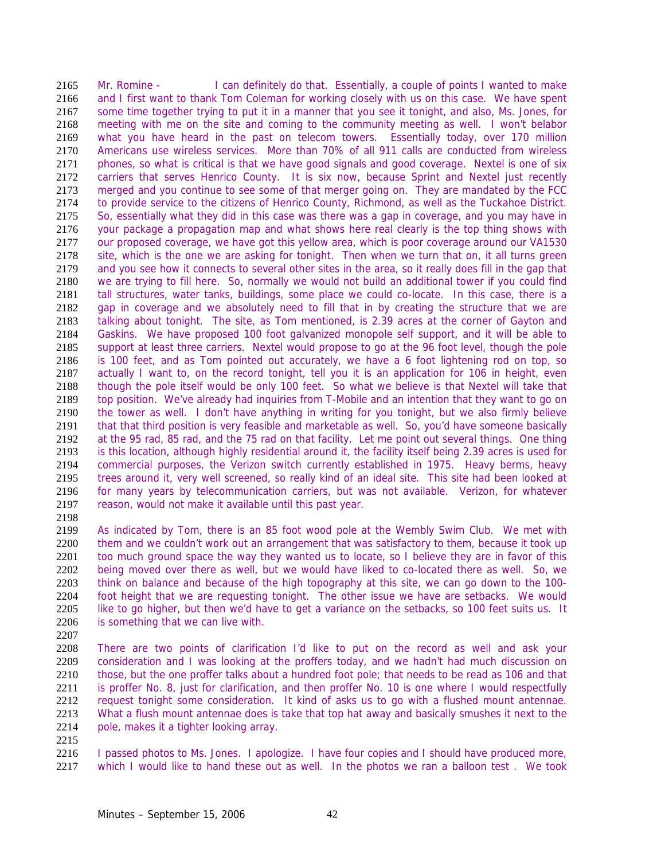Mr. Romine - I can definitely do that. Essentially, a couple of points I wanted to make and I first want to thank Tom Coleman for working closely with us on this case. We have spent some time together trying to put it in a manner that you see it tonight, and also, Ms. Jones, for meeting with me on the site and coming to the community meeting as well. I won't belabor what you have heard in the past on telecom towers. Essentially today, over 170 million Americans use wireless services. More than 70% of all 911 calls are conducted from wireless phones, so what is critical is that we have good signals and good coverage. Nextel is one of six carriers that serves Henrico County. It is six now, because Sprint and Nextel just recently merged and you continue to see some of that merger going on. They are mandated by the FCC to provide service to the citizens of Henrico County, Richmond, as well as the Tuckahoe District. So, essentially what they did in this case was there was a gap in coverage, and you may have in your package a propagation map and what shows here real clearly is the top thing shows with our proposed coverage, we have got this yellow area, which is poor coverage around our VA1530 2178 site, which is the one we are asking for tonight. Then when we turn that on, it all turns green<br>2179 and you see how it connects to several other sites in the area, so it really does fill in the gap that and you see how it connects to several other sites in the area, so it really does fill in the gap that we are trying to fill here. So, normally we would not build an additional tower if you could find tall structures, water tanks, buildings, some place we could co-locate. In this case, there is a gap in coverage and we absolutely need to fill that in by creating the structure that we are talking about tonight. The site, as Tom mentioned, is 2.39 acres at the corner of Gayton and Gaskins. We have proposed 100 foot galvanized monopole self support, and it will be able to support at least three carriers. Nextel would propose to go at the 96 foot level, though the pole is 100 feet, and as Tom pointed out accurately, we have a 6 foot lightening rod on top, so actually I want to, on the record tonight, tell you it is an application for 106 in height, even though the pole itself would be only 100 feet. So what we believe is that Nextel will take that top position. We've already had inquiries from T-Mobile and an intention that they want to go on the tower as well. I don't have anything in writing for you tonight, but we also firmly believe that that third position is very feasible and marketable as well. So, you'd have someone basically at the 95 rad, 85 rad, and the 75 rad on that facility. Let me point out several things. One thing is this location, although highly residential around it, the facility itself being 2.39 acres is used for commercial purposes, the Verizon switch currently established in 1975. Heavy berms, heavy trees around it, very well screened, so really kind of an ideal site. This site had been looked at for many years by telecommunication carriers, but was not available. Verizon, for whatever reason, would not make it available until this past year. 

As indicated by Tom, there is an 85 foot wood pole at the Wembly Swim Club. We met with 2200 them and we couldn't work out an arrangement that was satisfactory to them, because it took up 2201 too much ground space the way they wanted us to locate, so I believe they are in favor of this being moved over there as well, but we would have liked to co-located there as well. So, we think on balance and because of the high topography at this site, we can go down to the 100- foot height that we are requesting tonight. The other issue we have are setbacks. We would like to go higher, but then we'd have to get a variance on the setbacks, so 100 feet suits us. It is something that we can live with.

There are two points of clarification I'd like to put on the record as well and ask your consideration and I was looking at the proffers today, and we hadn't had much discussion on those, but the one proffer talks about a hundred foot pole; that needs to be read as 106 and that is proffer No. 8, just for clarification, and then proffer No. 10 is one where I would respectfully request tonight some consideration. It kind of asks us to go with a flushed mount antennae. What a flush mount antennae does is take that top hat away and basically smushes it next to the 2214 pole, makes it a tighter looking array.

2216 I passed photos to Ms. Jones. I apologize. I have four copies and I should have produced more, which I would like to hand these out as well. In the photos we ran a balloon test . We took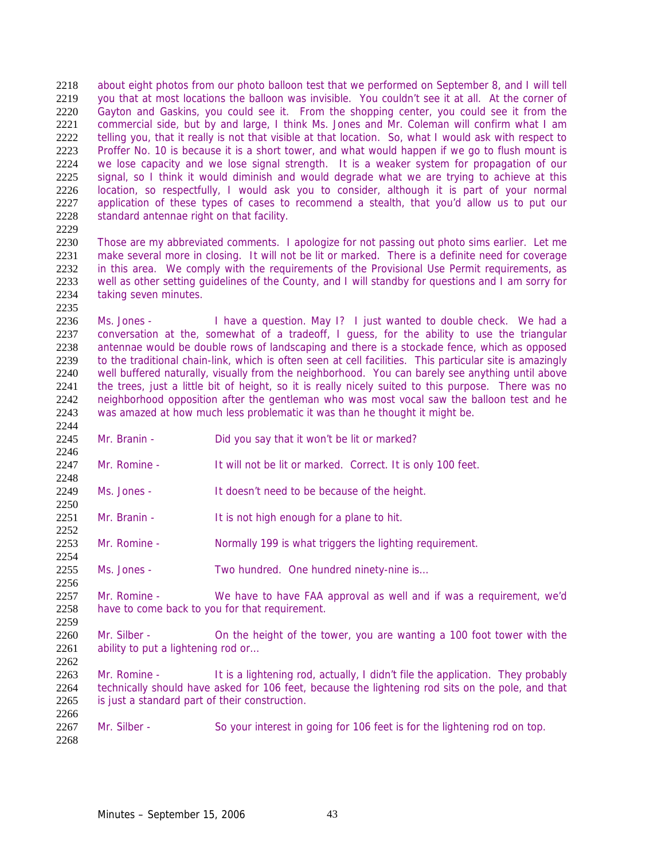2218 about eight photos from our photo balloon test that we performed on September 8, and I will tell you that at most locations the balloon was invisible. You couldn't see it at all. At the corner of Gayton and Gaskins, you could see it. From the shopping center, you could see it from the commercial side, but by and large, I think Ms. Jones and Mr. Coleman will confirm what I am telling you, that it really is not that visible at that location. So, what I would ask with respect to Proffer No. 10 is because it is a short tower, and what would happen if we go to flush mount is we lose capacity and we lose signal strength. It is a weaker system for propagation of our signal, so I think it would diminish and would degrade what we are trying to achieve at this location, so respectfully, I would ask you to consider, although it is part of your normal application of these types of cases to recommend a stealth, that you'd allow us to put our standard antennae right on that facility. 

Those are my abbreviated comments. I apologize for not passing out photo sims earlier. Let me 2231 make several more in closing. It will not be lit or marked. There is a definite need for coverage 2232 in this area. We comply with the requirements of the Provisional Use Permit requirements, as in this area. We comply with the requirements of the Provisional Use Permit requirements, as well as other setting guidelines of the County, and I will standby for questions and I am sorry for taking seven minutes.

Ms. Jones - I have a question. May I? I just wanted to double check. We had a conversation at the, somewhat of a tradeoff, I guess, for the ability to use the triangular antennae would be double rows of landscaping and there is a stockade fence, which as opposed to the traditional chain-link, which is often seen at cell facilities. This particular site is amazingly well buffered naturally, visually from the neighborhood. You can barely see anything until above the trees, just a little bit of height, so it is really nicely suited to this purpose. There was no neighborhood opposition after the gentleman who was most vocal saw the balloon test and he was amazed at how much less problematic it was than he thought it might be. 

Mr. Branin - Did you say that it won't be lit or marked?

- 2247 Mr. Romine It will not be lit or marked. Correct. It is only 100 feet.
- Ms. Jones It doesn't need to be because of the height.
- Mr. Branin It is not high enough for a plane to hit.
- Mr. Romine Normally 199 is what triggers the lighting requirement.
- Ms. Jones Two hundred. One hundred ninety-nine is…
- Mr. Romine We have to have FAA approval as well and if was a requirement, we'd have to come back to you for that requirement.
- Mr. Silber On the height of the tower, you are wanting a 100 foot tower with the 2261 ability to put a lightening rod or...
- 2263 Mr. Romine It is a lightening rod, actually, I didn't file the application. They probably technically should have asked for 106 feet, because the lightening rod sits on the pole, and that is just a standard part of their construction.
- 2267 Mr. Silber So your interest in going for 106 feet is for the lightening rod on top.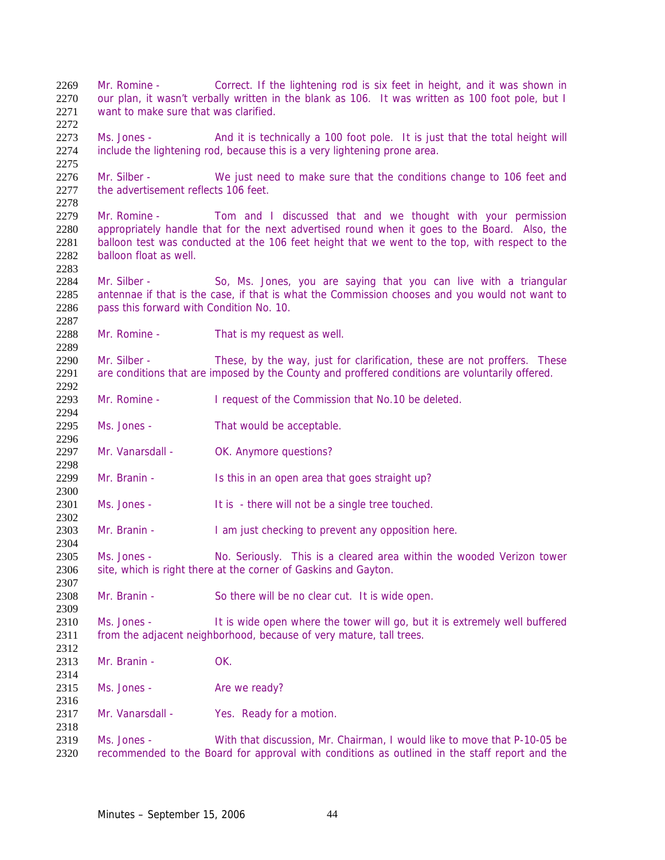want to make sure that was clarified. Ms. Jones - And it is technically a 100 foot pole. It is just that the total height will include the lightening rod, because this is a very lightening prone area. Mr. Silber - We just need to make sure that the conditions change to 106 feet and 2277 the advertisement reflects 106 feet. Mr. Romine - Tom and I discussed that and we thought with your permission appropriately handle that for the next advertised round when it goes to the Board. Also, the balloon test was conducted at the 106 feet height that we went to the top, with respect to the balloon float as well. Mr. Silber - So, Ms. Jones, you are saying that you can live with a triangular antennae if that is the case, if that is what the Commission chooses and you would not want to pass this forward with Condition No. 10. 2288 Mr. Romine - That is my request as well. 2290 Mr. Silber - These, by the way, just for clarification, these are not proffers. These are conditions that are imposed by the County and proffered conditions are voluntarily offered. 2293 Mr. Romine - I request of the Commission that No.10 be deleted. Ms. Jones - That would be acceptable. 2297 Mr. Vanarsdall - OK. Anymore questions? 2299 Mr. Branin - Is this in an open area that goes straight up? 2301 Ms. Jones - It is - there will not be a single tree touched. 2303 Mr. Branin - I am just checking to prevent any opposition here. Ms. Jones - No. Seriously. This is a cleared area within the wooded Verizon tower 2306 site, which is right there at the corner of Gaskins and Gayton. Mr. Branin - So there will be no clear cut. It is wide open. Ms. Jones - It is wide open where the tower will go, but it is extremely well buffered 2311 from the adjacent neighborhood, because of very mature, tall trees. Mr. Branin - OK. 2315 Ms. Jones - Are we ready? 2317 Mr. Vanarsdall - Yes. Ready for a motion. Ms. Jones - With that discussion, Mr. Chairman, I would like to move that P-10-05 be recommended to the Board for approval with conditions as outlined in the staff report and the

Mr. Romine - Correct. If the lightening rod is six feet in height, and it was shown in 2270 our plan, it wasn't verbally written in the blank as 106. It was written as 100 foot pole, but I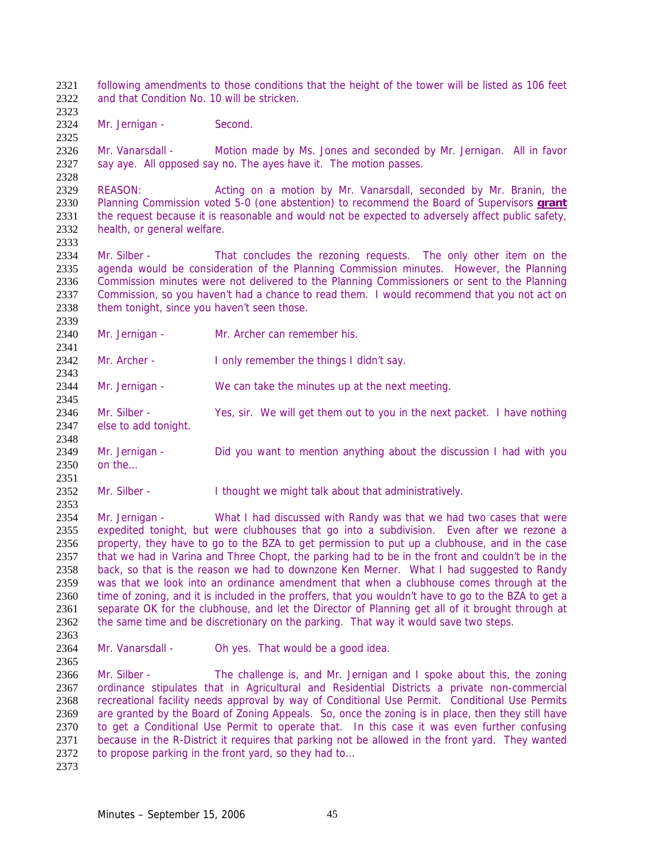following amendments to those conditions that the height of the tower will be listed as 106 feet and that Condition No. 10 will be stricken.

2324 Mr. Jernigan - Second.

Mr. Vanarsdall - Motion made by Ms. Jones and seconded by Mr. Jernigan. All in favor say aye. All opposed say no. The ayes have it. The motion passes.

REASON: Acting on a motion by Mr. Vanarsdall, seconded by Mr. Branin, the Planning Commission voted 5-0 (one abstention) to recommend the Board of Supervisors **grant** the request because it is reasonable and would not be expected to adversely affect public safety, health, or general welfare.

2334 Mr. Silber - That concludes the rezoning requests. The only other item on the 2335 agenda would be consideration of the Planning Commission minutes. However, the Planning agenda would be consideration of the Planning Commission minutes. However, the Planning Commission minutes were not delivered to the Planning Commissioners or sent to the Planning Commission, so you haven't had a chance to read them. I would recommend that you not act on them tonight, since you haven't seen those.

Mr. Jernigan - Mr. Archer can remember his.

2342 Mr. Archer - I only remember the things I didn't say.

Mr. Jernigan - We can take the minutes up at the next meeting.

Mr. Silber - Yes, sir. We will get them out to you in the next packet. I have nothing else to add tonight.

Mr. Jernigan - Did you want to mention anything about the discussion I had with you on the…

2352 Mr. Silber - I thought we might talk about that administratively.

Mr. Jernigan - What I had discussed with Randy was that we had two cases that were expedited tonight, but were clubhouses that go into a subdivision. Even after we rezone a property, they have to go to the BZA to get permission to put up a clubhouse, and in the case that we had in Varina and Three Chopt, the parking had to be in the front and couldn't be in the back, so that is the reason we had to downzone Ken Merner. What I had suggested to Randy was that we look into an ordinance amendment that when a clubhouse comes through at the time of zoning, and it is included in the proffers, that you wouldn't have to go to the BZA to get a separate OK for the clubhouse, and let the Director of Planning get all of it brought through at the same time and be discretionary on the parking. That way it would save two steps. 

2364 Mr. Vanarsdall - Oh yes. That would be a good idea.

2366 Mr. Silber - The challenge is, and Mr. Jernigan and I spoke about this, the zoning ordinance stipulates that in Agricultural and Residential Districts a private non-commercial recreational facility needs approval by way of Conditional Use Permit. Conditional Use Permits are granted by the Board of Zoning Appeals. So, once the zoning is in place, then they still have to get a Conditional Use Permit to operate that. In this case it was even further confusing because in the R-District it requires that parking not be allowed in the front yard. They wanted 2372 to propose parking in the front yard, so they had to...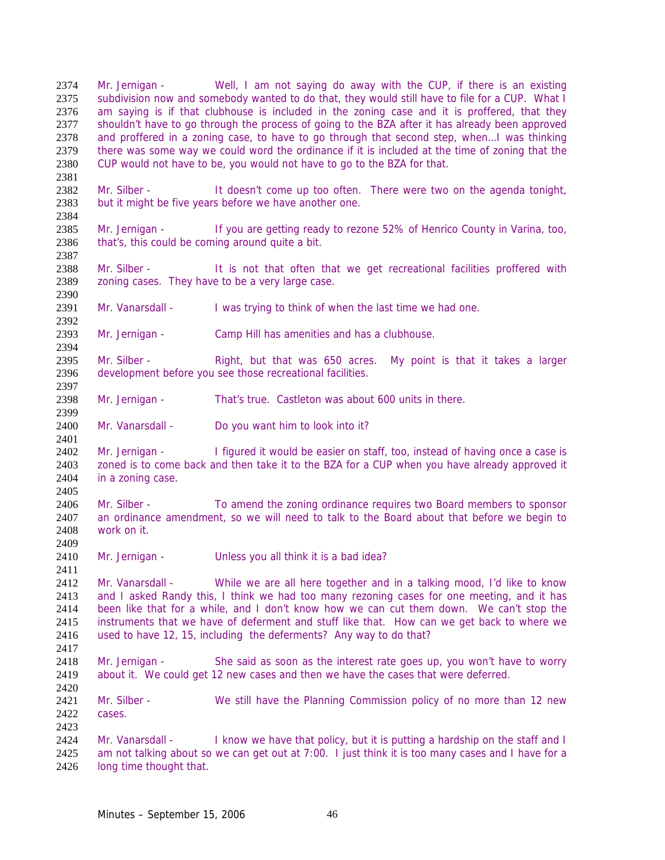Mr. Jernigan - Well, I am not saying do away with the CUP, if there is an existing 2375 subdivision now and somebody wanted to do that, they would still have to file for a CUP. What I am saying is if that clubhouse is included in the zoning case and it is proffered, that they 2377 shouldn't have to go through the process of going to the BZA after it has already been approved and proffered in a zoning case, to have to go through that second step, when…I was thinking there was some way we could word the ordinance if it is included at the time of zoning that the CUP would not have to be, you would not have to go to the BZA for that. 

2382 Mr. Silber - It doesn't come up too often. There were two on the agenda tonight, but it might be five years before we have another one. 

Mr. Jernigan - If you are getting ready to rezone 52% of Henrico County in Varina, too, 2386 that's, this could be coming around quite a bit.

2387<br>2388 Mr. Silber - It is not that often that we get recreational facilities proffered with zoning cases. They have to be a very large case.

Mr. Vanarsdall - I was trying to think of when the last time we had one.

Mr. Jernigan - Camp Hill has amenities and has a clubhouse.

Mr. Silber - Right, but that was 650 acres. My point is that it takes a larger development before you see those recreational facilities.

Mr. Jernigan - That's true. Castleton was about 600 units in there. 

Mr. Vanarsdall - Do you want him to look into it?

Mr. Jernigan - I figured it would be easier on staff, too, instead of having once a case is zoned is to come back and then take it to the BZA for a CUP when you have already approved it in a zoning case. 

Mr. Silber - To amend the zoning ordinance requires two Board members to sponsor an ordinance amendment, so we will need to talk to the Board about that before we begin to work on it. 

Mr. Jernigan - Unless you all think it is a bad idea?

Mr. Vanarsdall - While we are all here together and in a talking mood, I'd like to know and I asked Randy this, I think we had too many rezoning cases for one meeting, and it has been like that for a while, and I don't know how we can cut them down. We can't stop the instruments that we have of deferment and stuff like that. How can we get back to where we used to have 12, 15, including the deferments? Any way to do that?

Mr. Jernigan - She said as soon as the interest rate goes up, you won't have to worry about it. We could get 12 new cases and then we have the cases that were deferred.

 Mr. Silber - We still have the Planning Commission policy of no more than 12 new cases.

2424 Mr. Vanarsdall - I know we have that policy, but it is putting a hardship on the staff and I am not talking about so we can get out at 7:00. I just think it is too many cases and I have for a long time thought that.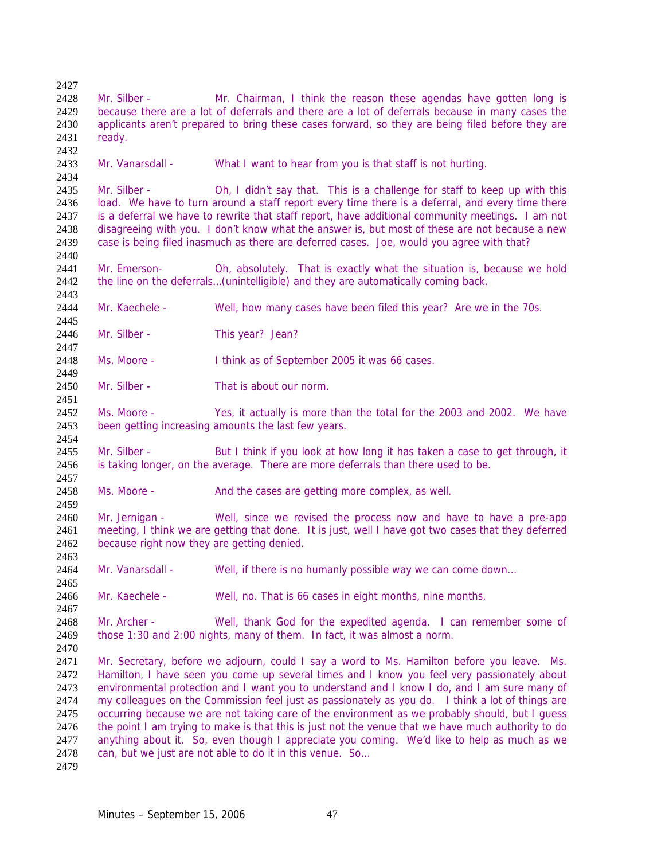Mr. Silber - Mr. Chairman, I think the reason these agendas have gotten long is because there are a lot of deferrals and there are a lot of deferrals because in many cases the applicants aren't prepared to bring these cases forward, so they are being filed before they are ready. Mr. Vanarsdall - What I want to hear from you is that staff is not hurting. Mr. Silber - Oh, I didn't say that. This is a challenge for staff to keep up with this load. We have to turn around a staff report every time there is a deferral, and every time there is a deferral we have to rewrite that staff report, have additional community meetings. I am not disagreeing with you. I don't know what the answer is, but most of these are not because a new case is being filed inasmuch as there are deferred cases. Joe, would you agree with that? 2440<br>2441 Mr. Emerson- Oh, absolutely. That is exactly what the situation is, because we hold 2442 the line on the deferrals...(unintelligible) and they are automatically coming back. Mr. Kaechele - Well, how many cases have been filed this year? Are we in the 70s. 2446 Mr. Silber - This year? Jean? Ms. Moore - I think as of September 2005 it was 66 cases. Mr. Silber - That is about our norm. Ms. Moore - Yes, it actually is more than the total for the 2003 and 2002. We have been getting increasing amounts the last few years. Mr. Silber - But I think if you look at how long it has taken a case to get through, it is taking longer, on the average. There are more deferrals than there used to be. 2458 Ms. Moore - And the cases are getting more complex, as well. Mr. Jernigan - Well, since we revised the process now and have to have a pre-app meeting, I think we are getting that done. It is just, well I have got two cases that they deferred because right now they are getting denied. Mr. Vanarsdall - Well, if there is no humanly possible way we can come down… Mr. Kaechele - Well, no. That is 66 cases in eight months, nine months. Mr. Archer - Well, thank God for the expedited agenda. I can remember some of those 1:30 and 2:00 nights, many of them. In fact, it was almost a norm. Mr. Secretary, before we adjourn, could I say a word to Ms. Hamilton before you leave. Ms. 2472 Hamilton, I have seen you come up several times and I know you feel very passionately about environmental protection and I want you to understand and I know I do, and I am sure many of my colleagues on the Commission feel just as passionately as you do. I think a lot of things are occurring because we are not taking care of the environment as we probably should, but I guess 2476 the point I am trying to make is that this is just not the venue that we have much authority to do anything about it. So, even though I appreciate you coming. We'd like to help as much as we 2478 can, but we just are not able to do it in this venue. So...